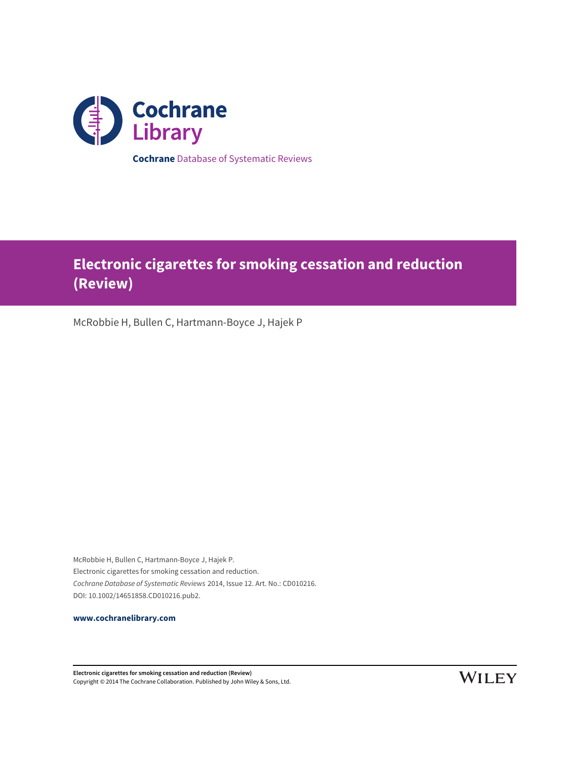

# **Electronic cigarettes for smoking cessation and reduction (Review)**

McRobbie H, Bullen C, Hartmann-Boyce J, Hajek P

McRobbie H, Bullen C, Hartmann-Boyce J, Hajek P. Electronic cigarettes for smoking cessation and reduction. Cochrane Database of Systematic Reviews 2014, Issue 12. Art. No.: CD010216. DOI: 10.1002/14651858.CD010216.pub2.

**[www.cochranelibrary.com](http://www.cochranelibrary.com)**

**Electronic cigarettes for smoking cessation and reduction (Review)** Copyright © 2014 The Cochrane Collaboration. Published by John Wiley & Sons, Ltd.

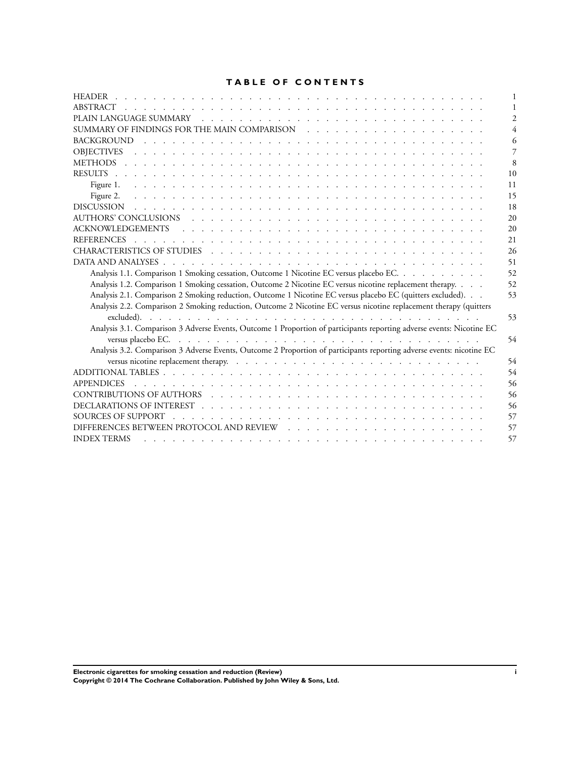# **TABLE OF CONTENTS**

| 10                                                                                                                                                                                                                                                        |
|-----------------------------------------------------------------------------------------------------------------------------------------------------------------------------------------------------------------------------------------------------------|
| 11                                                                                                                                                                                                                                                        |
| 15                                                                                                                                                                                                                                                        |
| 18                                                                                                                                                                                                                                                        |
| AUTHORS' CONCLUSIONS (experience and experience and experience and experience and experience and experience and the set of the set of the set of the set of the set of the set of the set of the set of the set of the set of<br>20                       |
| 20                                                                                                                                                                                                                                                        |
| <b>REFERENCES</b><br>المتحدث والمتحدث والمتحدث والمتحدث والمتحدث والمتحدث والمتحدث والمتحدث والمتحدث والمتحدث والمتحدث والمتحدث<br>21                                                                                                                     |
| 26                                                                                                                                                                                                                                                        |
| 51                                                                                                                                                                                                                                                        |
| Analysis 1.1. Comparison 1 Smoking cessation, Outcome 1 Nicotine EC versus placebo EC.<br>52                                                                                                                                                              |
| Analysis 1.2. Comparison 1 Smoking cessation, Outcome 2 Nicotine EC versus nicotine replacement therapy.<br>52                                                                                                                                            |
| Analysis 2.1. Comparison 2 Smoking reduction, Outcome 1 Nicotine EC versus placebo EC (quitters excluded).<br>53                                                                                                                                          |
| Analysis 2.2. Comparison 2 Smoking reduction, Outcome 2 Nicotine EC versus nicotine replacement therapy (quitters<br>53                                                                                                                                   |
| Analysis 3.1. Comparison 3 Adverse Events, Outcome 1 Proportion of participants reporting adverse events: Nicotine EC                                                                                                                                     |
| 54                                                                                                                                                                                                                                                        |
| Analysis 3.2. Comparison 3 Adverse Events, Outcome 2 Proportion of participants reporting adverse events: nicotine EC                                                                                                                                     |
| 54                                                                                                                                                                                                                                                        |
| 54                                                                                                                                                                                                                                                        |
| 56                                                                                                                                                                                                                                                        |
| 56                                                                                                                                                                                                                                                        |
| 56                                                                                                                                                                                                                                                        |
| SOURCES OF SUPPORT<br>57                                                                                                                                                                                                                                  |
| 57                                                                                                                                                                                                                                                        |
| 57<br><b>INDEX TERMS</b><br>a constitution of the constitution of the constitution of the constitution of the constitution of the constitution of the constitution of the constitution of the constitution of the constitution of the constitution of the |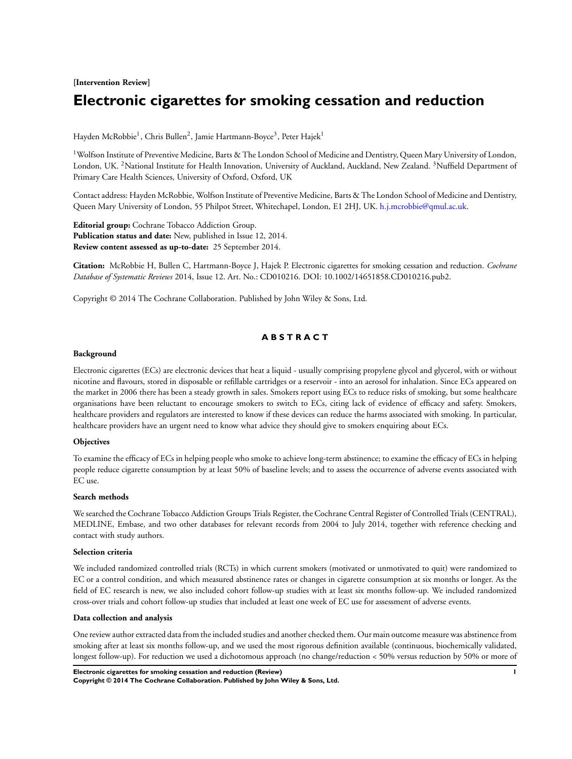# **[Intervention Review] Electronic cigarettes for smoking cessation and reduction**

Hayden McRobbie<sup>1</sup>, Chris Bullen<sup>2</sup>, Jamie Hartmann-Boyce<sup>3</sup>, Peter Hajek<sup>1</sup>

<sup>1</sup>Wolfson Institute of Preventive Medicine, Barts & The London School of Medicine and Dentistry, Queen Mary University of London, London, UK. <sup>2</sup>National Institute for Health Innovation, University of Auckland, Auckland, New Zealand. <sup>3</sup>Nuffield Department of Primary Care Health Sciences, University of Oxford, Oxford, UK

Contact address: Hayden McRobbie, Wolfson Institute of Preventive Medicine, Barts & The London School of Medicine and Dentistry, Queen Mary University of London, 55 Philpot Street, Whitechapel, London, E1 2HJ, UK. [h.j.mcrobbie@qmul.ac.uk.](mailto:h.j.mcrobbie@qmul.ac.uk)

**Editorial group:** Cochrane Tobacco Addiction Group. **Publication status and date:** New, published in Issue 12, 2014. **Review content assessed as up-to-date:** 25 September 2014.

**Citation:** McRobbie H, Bullen C, Hartmann-Boyce J, Hajek P. Electronic cigarettes for smoking cessation and reduction. *Cochrane Database of Systematic Reviews* 2014, Issue 12. Art. No.: CD010216. DOI: 10.1002/14651858.CD010216.pub2.

Copyright © 2014 The Cochrane Collaboration. Published by John Wiley & Sons, Ltd.

# **A B S T R A C T**

## **Background**

Electronic cigarettes (ECs) are electronic devices that heat a liquid - usually comprising propylene glycol and glycerol, with or without nicotine and flavours, stored in disposable or refillable cartridges or a reservoir - into an aerosol for inhalation. Since ECs appeared on the market in 2006 there has been a steady growth in sales. Smokers report using ECs to reduce risks of smoking, but some healthcare organisations have been reluctant to encourage smokers to switch to ECs, citing lack of evidence of efficacy and safety. Smokers, healthcare providers and regulators are interested to know if these devices can reduce the harms associated with smoking. In particular, healthcare providers have an urgent need to know what advice they should give to smokers enquiring about ECs.

## **Objectives**

To examine the efficacy of ECs in helping people who smoke to achieve long-term abstinence; to examine the efficacy of ECs in helping people reduce cigarette consumption by at least 50% of baseline levels; and to assess the occurrence of adverse events associated with EC use.

## **Search methods**

We searched the Cochrane Tobacco Addiction Groups Trials Register, the Cochrane Central Register of Controlled Trials (CENTRAL), MEDLINE, Embase, and two other databases for relevant records from 2004 to July 2014, together with reference checking and contact with study authors.

# **Selection criteria**

We included randomized controlled trials (RCTs) in which current smokers (motivated or unmotivated to quit) were randomized to EC or a control condition, and which measured abstinence rates or changes in cigarette consumption at six months or longer. As the field of EC research is new, we also included cohort follow-up studies with at least six months follow-up. We included randomized cross-over trials and cohort follow-up studies that included at least one week of EC use for assessment of adverse events.

## **Data collection and analysis**

One review author extracted data from the included studies and another checked them. Our main outcome measure was abstinence from smoking after at least six months follow-up, and we used the most rigorous definition available (continuous, biochemically validated, longest follow-up). For reduction we used a dichotomous approach (no change/reduction < 50% versus reduction by 50% or more of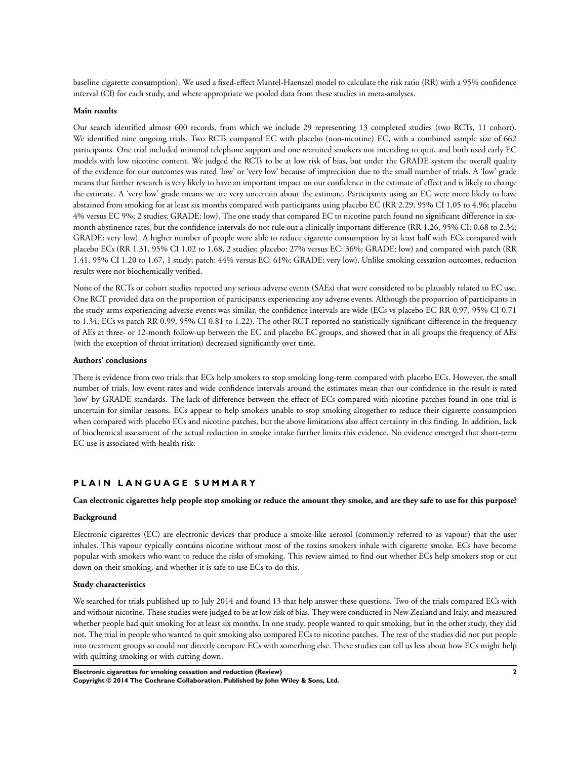baseline cigarette consumption). We used a fixed-effect Mantel-Haenszel model to calculate the risk ratio (RR) with a 95% confidence interval (CI) for each study, and where appropriate we pooled data from these studies in meta-analyses.

## **Main results**

Our search identified almost 600 records, from which we include 29 representing 13 completed studies (two RCTs, 11 cohort). We identified nine ongoing trials. Two RCTs compared EC with placebo (non-nicotine) EC, with a combined sample size of 662 participants. One trial included minimal telephone support and one recruited smokers not intending to quit, and both used early EC models with low nicotine content. We judged the RCTs to be at low risk of bias, but under the GRADE system the overall quality of the evidence for our outcomes was rated 'low' or 'very low' because of imprecision due to the small number of trials. A 'low' grade means that further research is very likely to have an important impact on our confidence in the estimate of effect and is likely to change the estimate. A 'very low' grade means we are very uncertain about the estimate. Participants using an EC were more likely to have abstained from smoking for at least six months compared with participants using placebo EC (RR 2.29, 95% CI 1.05 to 4.96; placebo 4% versus EC 9%; 2 studies; GRADE: low). The one study that compared EC to nicotine patch found no significant difference in sixmonth abstinence rates, but the confidence intervals do not rule out a clinically important difference (RR 1.26, 95% CI: 0.68 to 2.34; GRADE: very low). A higher number of people were able to reduce cigarette consumption by at least half with ECs compared with placebo ECs (RR 1.31, 95% CI 1.02 to 1.68, 2 studies; placebo: 27% versus EC: 36%; GRADE: low) and compared with patch (RR 1.41, 95% CI 1.20 to 1.67, 1 study; patch: 44% versus EC: 61%; GRADE: very low). Unlike smoking cessation outcomes, reduction results were not biochemically verified.

None of the RCTs or cohort studies reported any serious adverse events (SAEs) that were considered to be plausibly related to EC use. One RCT provided data on the proportion of participants experiencing any adverse events. Although the proportion of participants in the study arms experiencing adverse events was similar, the confidence intervals are wide (ECs vs placebo EC RR 0.97, 95% CI 0.71 to 1.34; ECs vs patch RR 0.99, 95% CI 0.81 to 1.22). The other RCT reported no statistically significant difference in the frequency of AEs at three- or 12-month follow-up between the EC and placebo EC groups, and showed that in all groups the frequency of AEs (with the exception of throat irritation) decreased significantly over time.

#### **Authors' conclusions**

There is evidence from two trials that ECs help smokers to stop smoking long-term compared with placebo ECs. However, the small number of trials, low event rates and wide confidence intervals around the estimates mean that our confidence in the result is rated 'low' by GRADE standards. The lack of difference between the effect of ECs compared with nicotine patches found in one trial is uncertain for similar reasons. ECs appear to help smokers unable to stop smoking altogether to reduce their cigarette consumption when compared with placebo ECs and nicotine patches, but the above limitations also affect certainty in this finding. In addition, lack of biochemical assessment of the actual reduction in smoke intake further limits this evidence. No evidence emerged that short-term EC use is associated with health risk.

## **P L A I N L A N G U A G E S U M M A R Y**

## **Can electronic cigarettes help people stop smoking or reduce the amount they smoke, and are they safe to use for this purpose?**

#### **Background**

Electronic cigarettes (EC) are electronic devices that produce a smoke-like aerosol (commonly referred to as vapour) that the user inhales. This vapour typically contains nicotine without most of the toxins smokers inhale with cigarette smoke. ECs have become popular with smokers who want to reduce the risks of smoking. This review aimed to find out whether ECs help smokers stop or cut down on their smoking, and whether it is safe to use ECs to do this.

## **Study characteristics**

We searched for trials published up to July 2014 and found 13 that help answer these questions. Two of the trials compared ECs with and without nicotine. These studies were judged to be at low risk of bias. They were conducted in New Zealand and Italy, and measured whether people had quit smoking for at least six months. In one study, people wanted to quit smoking, but in the other study, they did not. The trial in people who wanted to quit smoking also compared ECs to nicotine patches. The rest of the studies did not put people into treatment groups so could not directly compare ECs with something else. These studies can tell us less about how ECs might help with quitting smoking or with cutting down.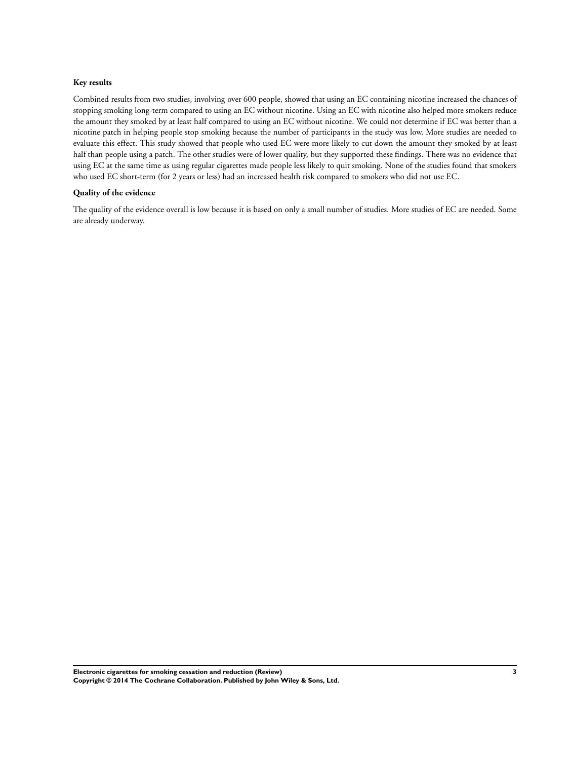## **Key results**

Combined results from two studies, involving over 600 people, showed that using an EC containing nicotine increased the chances of stopping smoking long-term compared to using an EC without nicotine. Using an EC with nicotine also helped more smokers reduce the amount they smoked by at least half compared to using an EC without nicotine. We could not determine if EC was better than a nicotine patch in helping people stop smoking because the number of participants in the study was low. More studies are needed to evaluate this effect. This study showed that people who used EC were more likely to cut down the amount they smoked by at least half than people using a patch. The other studies were of lower quality, but they supported these findings. There was no evidence that using EC at the same time as using regular cigarettes made people less likely to quit smoking. None of the studies found that smokers who used EC short-term (for 2 years or less) had an increased health risk compared to smokers who did not use EC.

## **Quality of the evidence**

The quality of the evidence overall is low because it is based on only a small number of studies. More studies of EC are needed. Some are already underway.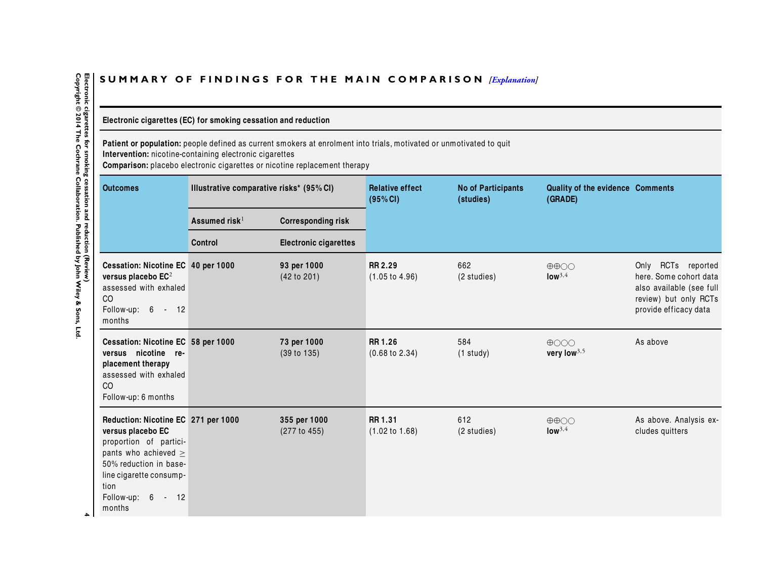# <span id="page-5-0"></span>SUMMARY OF FINDINGS FOR THE MAIN COMPARISON *[\[Explanation\]](http://www.thecochranelibrary.com/view/0/SummaryFindings.html)*

# **Electronic cigarettes (EC) for smoking cessation and reduction**

**Patient or population:** people defined as current smokers at enrolment into trials, motivated or unmotivated to quit

**Intervention:** nicotine-containing electronic cigarettes **Comparison:** placebo electronic cigarettes or nicotine replacement therapy

| <b>Outcomes</b> |                                                                                                                                                                                               | Illustrative comparative risks* (95% CI) |                              | <b>Relative effect</b><br>(95% CI)   | <b>No of Participants</b><br>(studies) | Quality of the evidence Comments<br>(GRADE)             |                                                                                                                            |
|-----------------|-----------------------------------------------------------------------------------------------------------------------------------------------------------------------------------------------|------------------------------------------|------------------------------|--------------------------------------|----------------------------------------|---------------------------------------------------------|----------------------------------------------------------------------------------------------------------------------------|
|                 |                                                                                                                                                                                               | Assumed risk $1$                         | <b>Corresponding risk</b>    |                                      |                                        |                                                         |                                                                                                                            |
|                 |                                                                                                                                                                                               | <b>Control</b>                           | <b>Electronic cigarettes</b> |                                      |                                        |                                                         |                                                                                                                            |
| CO<br>months    | Cessation: Nicotine EC 40 per 1000<br>versus placebo EC <sup>2</sup><br>assessed with exhaled<br>Follow-up: 6 - 12                                                                            |                                          | 93 per 1000<br>(42 to 201)   | <b>RR 2.29</b><br>(1.05 to 4.96)     | 662<br>(2 studies)                     | $\oplus \oplus \bigcirc \bigcirc$<br>low <sup>3,4</sup> | Only RCTs reported<br>here. Some cohort data<br>also available (see full<br>review) but only RCTs<br>provide efficacy data |
| CO              | Cessation: Nicotine EC 58 per 1000<br>versus nicotine re-<br>placement therapy<br>assessed with exhaled<br>Follow-up: 6 months                                                                |                                          | 73 per 1000<br>(39 to 135)   | RR 1.26<br>$(0.68 \text{ to } 2.34)$ | 584<br>$(1$ study)                     | $\bigoplus$ OOO<br>very low $3,5$                       | As above                                                                                                                   |
| tion<br>months  | Reduction: Nicotine EC 271 per 1000<br>versus placebo EC<br>proportion of partici-<br>pants who achieved $\geq$<br>50% reduction in base-<br>line cigarette consump-<br>Follow-up: 6<br>$-12$ |                                          | 355 per 1000<br>(277 to 455) | RR 1.31<br>$(1.02 \text{ to } 1.68)$ | 612<br>(2 studies)                     | $\oplus \oplus \bigcirc \bigcirc$<br>low <sup>3,4</sup> | As above. Analysis ex-<br>cludes quitters                                                                                  |

 $\overline{\mathbf{4}}$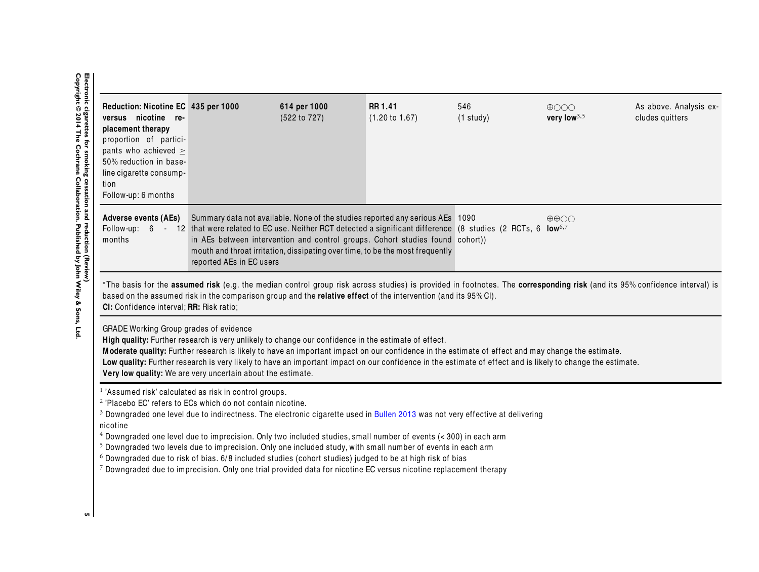| placement therapy<br>proportion of partici-<br>pants who achieved $\geq$<br>50% reduction in base-<br>line cigarette consump-<br>tion<br>Follow-up: 6 months                                                                                                                                                                                                                   | Reduction: Nicotine EC 435 per 1000                                                                                                                                                                                                                                                                                                                                                                                                              | 614 per 1000<br>(522 to 727)                                                                                                                                              | RR 1.41<br>(1.20 to 1.67) | 546<br>$(1$ study) | $\bigoplus$ 000<br>very low <sup>3,5</sup> | As above. Analysis ex-<br>cludes quitters |  |  |
|--------------------------------------------------------------------------------------------------------------------------------------------------------------------------------------------------------------------------------------------------------------------------------------------------------------------------------------------------------------------------------|--------------------------------------------------------------------------------------------------------------------------------------------------------------------------------------------------------------------------------------------------------------------------------------------------------------------------------------------------------------------------------------------------------------------------------------------------|---------------------------------------------------------------------------------------------------------------------------------------------------------------------------|---------------------------|--------------------|--------------------------------------------|-------------------------------------------|--|--|
| <b>Adverse events (AEs)</b><br>Follow-up:<br>months                                                                                                                                                                                                                                                                                                                            | Summary data not available. None of the studies reported any serious AEs 1090<br>$\oplus \oplus \bigcirc \bigcirc$<br>6 - 12 that were related to EC use. Neither RCT detected a significant difference (8 studies (2 RCTs, 6 low <sup>6,7</sup> )<br>in AEs between intervention and control groups. Cohort studies found cohort))<br>mouth and throat irritation, dissipating over time, to be the most frequently<br>reported AEs in EC users |                                                                                                                                                                           |                           |                    |                                            |                                           |  |  |
| based on the assumed risk in the comparison group and the relative effect of the intervention (and its 95%CI).<br>CI: Confidence interval; RR: Risk ratio;<br>GRADE Working Group grades of evidence<br>High quality: Further research is very unlikely to change our confidence in the estimate of effect.                                                                    |                                                                                                                                                                                                                                                                                                                                                                                                                                                  | *The basis for the assumed risk (e.g. the median control group risk across studies) is provided in footnotes. The corresponding risk (and its 95% confidence interval) is |                           |                    |                                            |                                           |  |  |
| Moderate quality: Further research is likely to have an important impact on our confidence in the estimate of effect and may change the estimate.<br>Low quality: Further research is very likely to have an important impact on our confidence in the estimate of effect and is likely to change the estimate.<br>Very low quality: We are very uncertain about the estimate. |                                                                                                                                                                                                                                                                                                                                                                                                                                                  |                                                                                                                                                                           |                           |                    |                                            |                                           |  |  |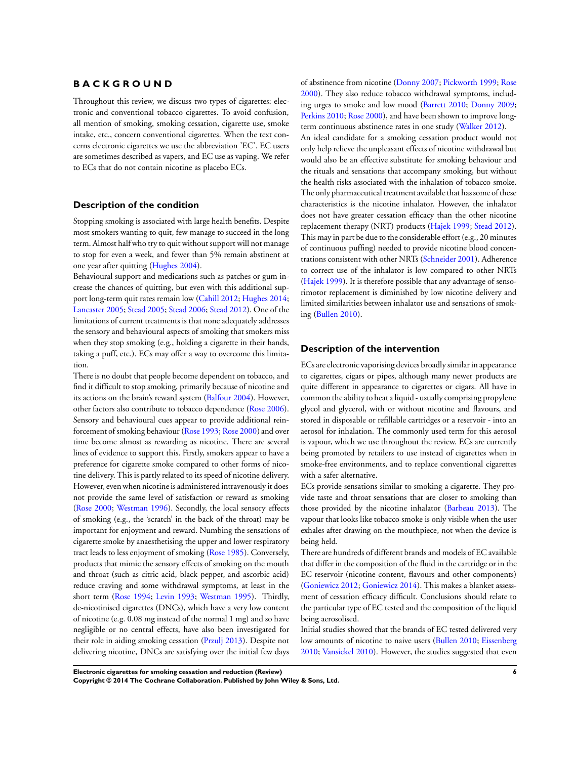# **B A C K G R O U N D**

Throughout this review, we discuss two types of cigarettes: electronic and conventional tobacco cigarettes. To avoid confusion, all mention of smoking, smoking cessation, cigarette use, smoke intake, etc., concern conventional cigarettes. When the text concerns electronic cigarettes we use the abbreviation 'EC'. EC users are sometimes described as vapers, and EC use as vaping. We refer to ECs that do not contain nicotine as placebo ECs.

## **Description of the condition**

Stopping smoking is associated with large health benefits. Despite most smokers wanting to quit, few manage to succeed in the long term. Almost half who try to quit without support will not manage to stop for even a week, and fewer than 5% remain abstinent at one year after quitting [\(Hughes 2004](#page-22-0)).

Behavioural support and medications such as patches or gum increase the chances of quitting, but even with this additional support long-term quit rates remain low ([Cahill 2012](#page-22-0); [Hughes 2014;](#page-22-0) [Lancaster 2005;](#page-22-0) [Stead 2005;](#page-22-0) [Stead 2006](#page-22-0); [Stead 2012](#page-22-0)). One of the limitations of current treatments is that none adequately addresses the sensory and behavioural aspects of smoking that smokers miss when they stop smoking (e.g., holding a cigarette in their hands, taking a puff, etc.). ECs may offer a way to overcome this limitation.

There is no doubt that people become dependent on tobacco, and find it difficult to stop smoking, primarily because of nicotine and its actions on the brain's reward system [\(Balfour 2004](#page-22-0)). However, other factors also contribute to tobacco dependence [\(Rose 2006](#page-22-0)). Sensory and behavioural cues appear to provide additional reinforcement of smoking behaviour ([Rose 1993;](#page-22-0) [Rose 2000\)](#page-22-0) and over time become almost as rewarding as nicotine. There are several lines of evidence to support this. Firstly, smokers appear to have a preference for cigarette smoke compared to other forms of nicotine delivery. This is partly related to its speed of nicotine delivery. However, even when nicotine is administered intravenously it does not provide the same level of satisfaction or reward as smoking [\(Rose 2000](#page-22-0); [Westman 1996\)](#page-22-0). Secondly, the local sensory effects of smoking (e.g., the 'scratch' in the back of the throat) may be important for enjoyment and reward. Numbing the sensations of cigarette smoke by anaesthetising the upper and lower respiratory tract leads to less enjoyment of smoking ([Rose 1985](#page-22-0)). Conversely, products that mimic the sensory effects of smoking on the mouth and throat (such as citric acid, black pepper, and ascorbic acid) reduce craving and some withdrawal symptoms, at least in the short term [\(Rose 1994;](#page-22-0) [Levin 1993;](#page-22-0) [Westman 1995\)](#page-22-0). Thirdly, de-nicotinised cigarettes (DNCs), which have a very low content of nicotine (e.g. 0.08 mg instead of the normal 1 mg) and so have negligible or no central effects, have also been investigated for their role in aiding smoking cessation [\(Przulj 2013\)](#page-22-0). Despite not delivering nicotine, DNCs are satisfying over the initial few days

of abstinence from nicotine ([Donny 2007](#page-22-0); [Pickworth 1999](#page-22-0); [Rose](#page-22-0) [2000](#page-22-0)). They also reduce tobacco withdrawal symptoms, including urges to smoke and low mood ([Barrett 2010](#page-22-0); [Donny 2009;](#page-22-0) [Perkins 2010](#page-22-0); [Rose 2000\)](#page-22-0), and have been shown to improve longterm continuous abstinence rates in one study ([Walker 2012\)](#page-22-0).

An ideal candidate for a smoking cessation product would not only help relieve the unpleasant effects of nicotine withdrawal but would also be an effective substitute for smoking behaviour and the rituals and sensations that accompany smoking, but without the health risks associated with the inhalation of tobacco smoke. The only pharmaceutical treatment available that has some of these characteristics is the nicotine inhalator. However, the inhalator does not have greater cessation efficacy than the other nicotine replacement therapy (NRT) products [\(Hajek 1999](#page-22-0); [Stead 2012](#page-22-0)). This may in part be due to the considerable effort (e.g., 20 minutes of continuous puffing) needed to provide nicotine blood concentrations consistent with other NRTs ([Schneider 2001\)](#page-22-0). Adherence to correct use of the inhalator is low compared to other NRTs [\(Hajek 1999](#page-22-0)). It is therefore possible that any advantage of sensorimotor replacement is diminished by low nicotine delivery and limited similarities between inhalator use and sensations of smoking [\(Bullen 2010](#page-22-0)).

### **Description of the intervention**

ECs are electronic vaporising devices broadly similar in appearance to cigarettes, cigars or pipes, although many newer products are quite different in appearance to cigarettes or cigars. All have in common the ability to heat a liquid - usually comprising propylene glycol and glycerol, with or without nicotine and flavours, and stored in disposable or refillable cartridges or a reservoir - into an aerosol for inhalation. The commonly used term for this aerosol is vapour, which we use throughout the review. ECs are currently being promoted by retailers to use instead of cigarettes when in smoke-free environments, and to replace conventional cigarettes with a safer alternative.

ECs provide sensations similar to smoking a cigarette. They provide taste and throat sensations that are closer to smoking than those provided by the nicotine inhalator [\(Barbeau 2013](#page-22-0)). The vapour that looks like tobacco smoke is only visible when the user exhales after drawing on the mouthpiece, not when the device is being held.

There are hundreds of different brands and models of EC available that differ in the composition of the fluid in the cartridge or in the EC reservoir (nicotine content, flavours and other components) [\(Goniewicz 2012](#page-22-0); [Goniewicz 2014](#page-22-0)). This makes a blanket assessment of cessation efficacy difficult. Conclusions should relate to the particular type of EC tested and the composition of the liquid being aerosolised.

Initial studies showed that the brands of EC tested delivered very low amounts of nicotine to naive users ([Bullen 2010;](#page-22-0) [Eissenberg](#page-22-0) [2010](#page-22-0); [Vansickel 2010\)](#page-22-0). However, the studies suggested that even

**Electronic cigarettes for smoking cessation and reduction (Review) 6 Copyright © 2014 The Cochrane Collaboration. Published by John Wiley & Sons, Ltd.**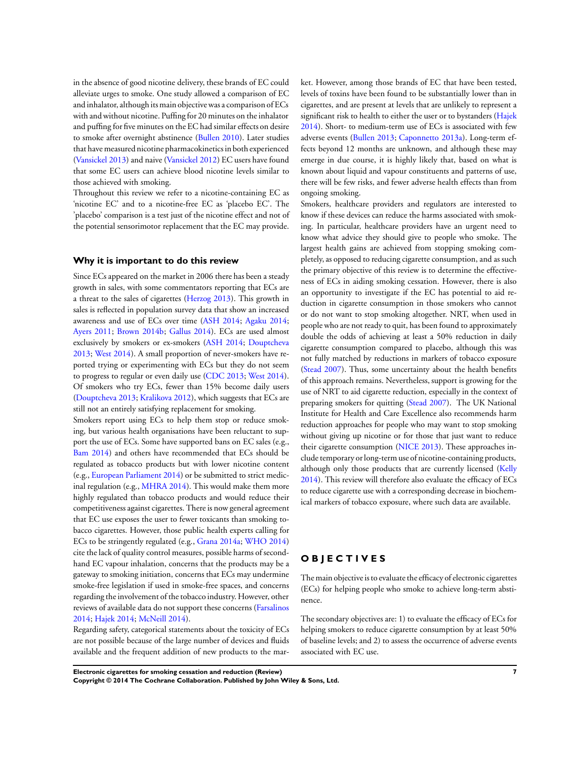in the absence of good nicotine delivery, these brands of EC could alleviate urges to smoke. One study allowed a comparison of EC and inhalator, although its main objective was a comparison of ECs with and without nicotine. Puffing for 20 minutes on the inhalator and puffing for five minutes on the EC had similar effects on desire to smoke after overnight abstinence [\(Bullen 2010](#page-22-0)). Later studies that have measured nicotine pharmacokinetics in both experienced [\(Vansickel 2013\)](#page-22-0) and naive ([Vansickel 2012](#page-22-0)) EC users have found that some EC users can achieve blood nicotine levels similar to those achieved with smoking.

Throughout this review we refer to a nicotine-containing EC as 'nicotine EC' and to a nicotine-free EC as 'placebo EC'. The 'placebo' comparison is a test just of the nicotine effect and not of the potential sensorimotor replacement that the EC may provide.

## **Why it is important to do this review**

Since ECs appeared on the market in 2006 there has been a steady growth in sales, with some commentators reporting that ECs are a threat to the sales of cigarettes [\(Herzog 2013](#page-22-0)). This growth in sales is reflected in population survey data that show an increased awareness and use of ECs over time [\(ASH 2014;](#page-22-0) [Agaku 2014;](#page-22-0) [Ayers 2011](#page-22-0); [Brown 2014b;](#page-22-0) [Gallus 2014\)](#page-22-0). ECs are used almost exclusively by smokers or ex-smokers ([ASH 2014](#page-22-0); [Douptcheva](#page-22-0) [2013](#page-22-0); [West 2014](#page-22-0)). A small proportion of never-smokers have reported trying or experimenting with ECs but they do not seem to progress to regular or even daily use [\(CDC 2013](#page-22-0); [West 2014](#page-22-0)). Of smokers who try ECs, fewer than 15% become daily users [\(Douptcheva 2013;](#page-22-0) [Kralikova 2012](#page-22-0)), which suggests that ECs are still not an entirely satisfying replacement for smoking.

Smokers report using ECs to help them stop or reduce smoking, but various health organisations have been reluctant to support the use of ECs. Some have supported bans on EC sales (e.g., [Bam 2014\)](#page-22-0) and others have recommended that ECs should be regulated as tobacco products but with lower nicotine content (e.g., [European Parliament 2014](#page-22-0)) or be submitted to strict medicinal regulation (e.g., [MHRA 2014](#page-22-0)). This would make them more highly regulated than tobacco products and would reduce their competitiveness against cigarettes. There is now general agreement that EC use exposes the user to fewer toxicants than smoking tobacco cigarettes. However, those public health experts calling for ECs to be stringently regulated (e.g., [Grana 2014a;](#page-22-0) [WHO 2014](#page-22-0)) cite the lack of quality control measures, possible harms of secondhand EC vapour inhalation, concerns that the products may be a gateway to smoking initiation, concerns that ECs may undermine smoke-free legislation if used in smoke-free spaces, and concerns regarding the involvement of the tobacco industry. However, other reviews of available data do not support these concerns [\(Farsalinos](#page-22-0) [2014](#page-22-0); [Hajek 2014;](#page-22-0) [McNeill 2014](#page-22-0)).

Regarding safety, categorical statements about the toxicity of ECs are not possible because of the large number of devices and fluids available and the frequent addition of new products to the market. However, among those brands of EC that have been tested, levels of toxins have been found to be substantially lower than in cigarettes, and are present at levels that are unlikely to represent a significant risk to health to either the user or to bystanders [\(Hajek](#page-22-0) [2014](#page-22-0)). Short- to medium-term use of ECs is associated with few adverse events ([Bullen 2013;](#page-22-0) [Caponnetto 2013a\)](#page-22-0). Long-term effects beyond 12 months are unknown, and although these may emerge in due course, it is highly likely that, based on what is known about liquid and vapour constituents and patterns of use, there will be few risks, and fewer adverse health effects than from ongoing smoking.

Smokers, healthcare providers and regulators are interested to know if these devices can reduce the harms associated with smoking. In particular, healthcare providers have an urgent need to know what advice they should give to people who smoke. The largest health gains are achieved from stopping smoking completely, as opposed to reducing cigarette consumption, and as such the primary objective of this review is to determine the effectiveness of ECs in aiding smoking cessation. However, there is also an opportunity to investigate if the EC has potential to aid reduction in cigarette consumption in those smokers who cannot or do not want to stop smoking altogether. NRT, when used in people who are not ready to quit, has been found to approximately double the odds of achieving at least a 50% reduction in daily cigarette consumption compared to placebo, although this was not fully matched by reductions in markers of tobacco exposure [\(Stead 2007\)](#page-22-0). Thus, some uncertainty about the health benefits of this approach remains. Nevertheless, support is growing for the use of NRT to aid cigarette reduction, especially in the context of preparing smokers for quitting ([Stead 2007](#page-22-0)). The UK National Institute for Health and Care Excellence also recommends harm reduction approaches for people who may want to stop smoking without giving up nicotine or for those that just want to reduce their cigarette consumption ([NICE 2013\)](#page-22-0). These approaches include temporary or long-term use of nicotine-containing products, although only those products that are currently licensed [\(Kelly](#page-22-0) [2014](#page-22-0)). This review will therefore also evaluate the efficacy of ECs to reduce cigarette use with a corresponding decrease in biochemical markers of tobacco exposure, where such data are available.

# **O B J E C T I V E S**

The main objective is to evaluate the efficacy of electronic cigarettes (ECs) for helping people who smoke to achieve long-term abstinence.

The secondary objectives are: 1) to evaluate the efficacy of ECs for helping smokers to reduce cigarette consumption by at least 50% of baseline levels; and 2) to assess the occurrence of adverse events associated with EC use.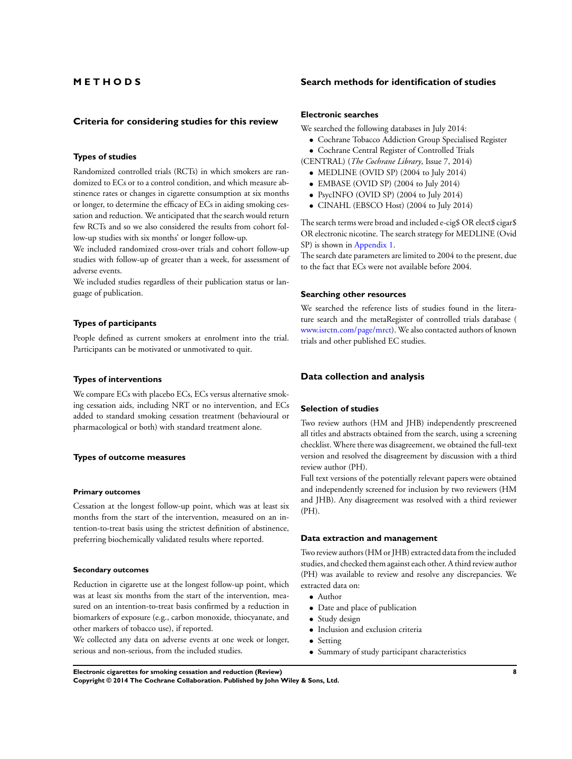# **M E T H O D S**

## **Criteria for considering studies for this review**

# **Types of studies**

Randomized controlled trials (RCTs) in which smokers are randomized to ECs or to a control condition, and which measure abstinence rates or changes in cigarette consumption at six months or longer, to determine the efficacy of ECs in aiding smoking cessation and reduction. We anticipated that the search would return few RCTs and so we also considered the results from cohort follow-up studies with six months' or longer follow-up.

We included randomized cross-over trials and cohort follow-up studies with follow-up of greater than a week, for assessment of adverse events.

We included studies regardless of their publication status or language of publication.

## **Types of participants**

People defined as current smokers at enrolment into the trial. Participants can be motivated or unmotivated to quit.

#### **Types of interventions**

We compare ECs with placebo ECs, ECs versus alternative smoking cessation aids, including NRT or no intervention, and ECs added to standard smoking cessation treatment (behavioural or pharmacological or both) with standard treatment alone.

#### **Types of outcome measures**

## **Primary outcomes**

Cessation at the longest follow-up point, which was at least six months from the start of the intervention, measured on an intention-to-treat basis using the strictest definition of abstinence, preferring biochemically validated results where reported.

#### **Secondary outcomes**

Reduction in cigarette use at the longest follow-up point, which was at least six months from the start of the intervention, measured on an intention-to-treat basis confirmed by a reduction in biomarkers of exposure (e.g., carbon monoxide, thiocyanate, and other markers of tobacco use), if reported.

We collected any data on adverse events at one week or longer, serious and non-serious, from the included studies.

## **Search methods for identification of studies**

## **Electronic searches**

We searched the following databases in July 2014:

- Cochrane Tobacco Addiction Group Specialised Register
- Cochrane Central Register of Controlled Trials
- (CENTRAL) (*The Cochrane Library*, Issue 7, 2014)
	- MEDLINE (OVID SP) (2004 to July 2014)
	- EMBASE (OVID SP) (2004 to July 2014)
	- PsycINFO (OVID SP) (2004 to July 2014)
	- CINAHL (EBSCO Host) (2004 to July 2014)

The search terms were broad and included e-cig\$ OR elect\$ cigar\$ OR electronic nicotine. The search strategy for MEDLINE (Ovid SP) is shown in [Appendix 1.](#page-57-0)

The search date parameters are limited to 2004 to the present, due to the fact that ECs were not available before 2004.

### **Searching other resources**

We searched the reference lists of studies found in the literature search and the metaRegister of controlled trials database ( [www.isrctn.com/page/mrct\)](http://www.isrctn.com/page/mrct). We also contacted authors of known trials and other published EC studies.

## **Data collection and analysis**

#### **Selection of studies**

Two review authors (HM and JHB) independently prescreened all titles and abstracts obtained from the search, using a screening checklist. Where there was disagreement, we obtained the full-text version and resolved the disagreement by discussion with a third review author (PH).

Full text versions of the potentially relevant papers were obtained and independently screened for inclusion by two reviewers (HM and JHB). Any disagreement was resolved with a third reviewer (PH).

#### **Data extraction and management**

Two review authors (HM or JHB) extracted data from the included studies, and checked them against each other. A third review author (PH) was available to review and resolve any discrepancies. We extracted data on:

- Author
- Date and place of publication
- Study design
- Inclusion and exclusion criteria
- Setting
- Summary of study participant characteristics

**Electronic cigarettes for smoking cessation and reduction (Review) 8**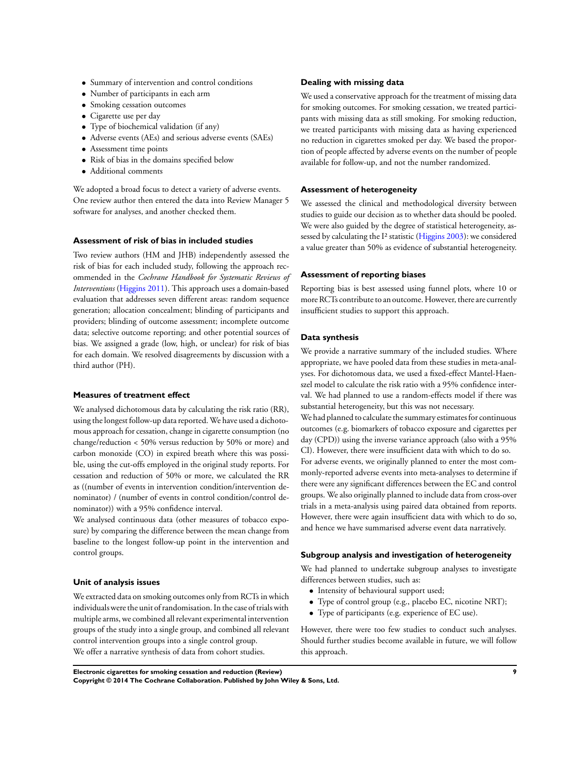- Summary of intervention and control conditions
- Number of participants in each arm
- Smoking cessation outcomes
- Cigarette use per day
- Type of biochemical validation (if any)
- Adverse events (AEs) and serious adverse events (SAEs)
- Assessment time points
- Risk of bias in the domains specified below
- Additional comments

We adopted a broad focus to detect a variety of adverse events. One review author then entered the data into Review Manager 5 software for analyses, and another checked them.

## **Assessment of risk of bias in included studies**

Two review authors (HM and JHB) independently assessed the risk of bias for each included study, following the approach recommended in the *Cochrane Handbook for Systematic Reviews of Interventions* [\(Higgins 2011\)](#page-22-0). This approach uses a domain-based evaluation that addresses seven different areas: random sequence generation; allocation concealment; blinding of participants and providers; blinding of outcome assessment; incomplete outcome data; selective outcome reporting; and other potential sources of bias. We assigned a grade (low, high, or unclear) for risk of bias for each domain. We resolved disagreements by discussion with a third author (PH).

#### **Measures of treatment effect**

We analysed dichotomous data by calculating the risk ratio (RR), using the longest follow-up data reported. We have used a dichotomous approach for cessation, change in cigarette consumption (no change/reduction < 50% versus reduction by 50% or more) and carbon monoxide (CO) in expired breath where this was possible, using the cut-offs employed in the original study reports. For cessation and reduction of 50% or more, we calculated the RR as ((number of events in intervention condition/intervention denominator) / (number of events in control condition/control denominator)) with a 95% confidence interval.

We analysed continuous data (other measures of tobacco exposure) by comparing the difference between the mean change from baseline to the longest follow-up point in the intervention and control groups.

## **Unit of analysis issues**

We extracted data on smoking outcomes only from RCTs in which individuals were the unit of randomisation. In the case of trials with multiple arms, we combined all relevant experimental intervention groups of the study into a single group, and combined all relevant control intervention groups into a single control group. We offer a narrative synthesis of data from cohort studies.

#### **Dealing with missing data**

We used a conservative approach for the treatment of missing data for smoking outcomes. For smoking cessation, we treated participants with missing data as still smoking. For smoking reduction, we treated participants with missing data as having experienced no reduction in cigarettes smoked per day. We based the proportion of people affected by adverse events on the number of people available for follow-up, and not the number randomized.

## **Assessment of heterogeneity**

We assessed the clinical and methodological diversity between studies to guide our decision as to whether data should be pooled. We were also guided by the degree of statistical heterogeneity, assessed by calculating the I² statistic ([Higgins 2003](#page-22-0)): we considered a value greater than 50% as evidence of substantial heterogeneity.

#### **Assessment of reporting biases**

Reporting bias is best assessed using funnel plots, where 10 or more RCTs contribute to an outcome. However, there are currently insufficient studies to support this approach.

## **Data synthesis**

We provide a narrative summary of the included studies. Where appropriate, we have pooled data from these studies in meta-analyses. For dichotomous data, we used a fixed-effect Mantel-Haenszel model to calculate the risk ratio with a 95% confidence interval. We had planned to use a random-effects model if there was substantial heterogeneity, but this was not necessary.

We had planned to calculate the summary estimates for continuous outcomes (e.g. biomarkers of tobacco exposure and cigarettes per day (CPD)) using the inverse variance approach (also with a 95% CI). However, there were insufficient data with which to do so. For adverse events, we originally planned to enter the most commonly-reported adverse events into meta-analyses to determine if there were any significant differences between the EC and control groups. We also originally planned to include data from cross-over trials in a meta-analysis using paired data obtained from reports. However, there were again insufficient data with which to do so, and hence we have summarised adverse event data narratively.

## **Subgroup analysis and investigation of heterogeneity**

We had planned to undertake subgroup analyses to investigate differences between studies, such as:

- Intensity of behavioural support used;
- Type of control group (e.g., placebo EC, nicotine NRT);
- Type of participants (e.g. experience of EC use).

However, there were too few studies to conduct such analyses. Should further studies become available in future, we will follow this approach.

**Electronic cigarettes for smoking cessation and reduction (Review) 9 Copyright © 2014 The Cochrane Collaboration. Published by John Wiley & Sons, Ltd.**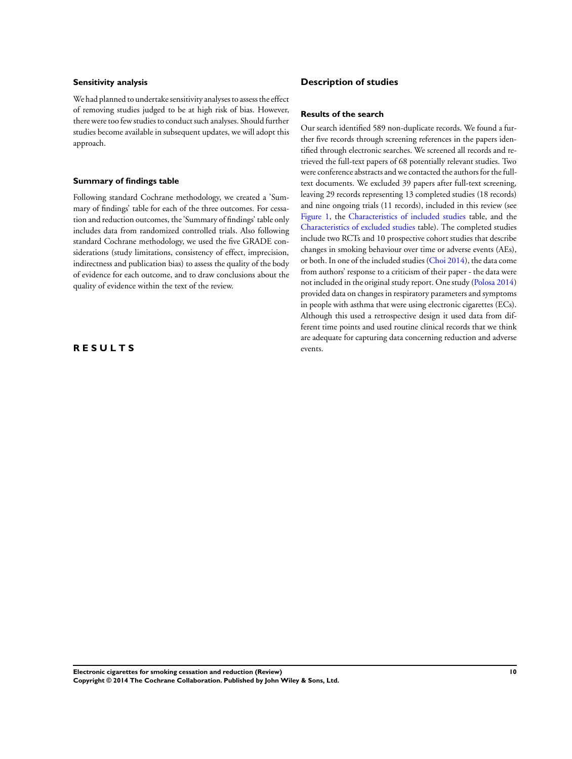## **Sensitivity analysis**

We had planned to undertake sensitivity analyses to assess the effect of removing studies judged to be at high risk of bias. However, there were too few studies to conduct such analyses. Should further studies become available in subsequent updates, we will adopt this approach.

## **Summary of findings table**

Following standard Cochrane methodology, we created a 'Summary of findings' table for each of the three outcomes. For cessation and reduction outcomes, the 'Summary of findings' table only includes data from randomized controlled trials. Also following standard Cochrane methodology, we used the five GRADE considerations (study limitations, consistency of effect, imprecision, indirectness and publication bias) to assess the quality of the body of evidence for each outcome, and to draw conclusions about the quality of evidence within the text of the review.

# **R E S U L T S**

# **Description of studies**

## **Results of the search**

Our search identified 589 non-duplicate records. We found a further five records through screening references in the papers identified through electronic searches. We screened all records and retrieved the full-text papers of 68 potentially relevant studies. Two were conference abstracts and we contacted the authors for the fulltext documents. We excluded 39 papers after full-text screening, leaving 29 records representing 13 completed studies (18 records) and nine ongoing trials (11 records), included in this review (see [Figure 1](#page-12-0), the [Characteristics of included studies](#page-28-0) table, and the [Characteristics of excluded studies](#page-43-0) table). The completed studies include two RCTs and 10 prospective cohort studies that describe changes in smoking behaviour over time or adverse events (AEs), or both. In one of the included studies ([Choi 2014](#page-22-0)), the data come from authors' response to a criticism of their paper - the data were not included in the original study report. One study ([Polosa 2014](#page-22-0)) provided data on changes in respiratory parameters and symptoms in people with asthma that were using electronic cigarettes (ECs). Although this used a retrospective design it used data from different time points and used routine clinical records that we think are adequate for capturing data concerning reduction and adverse events.

**Electronic cigarettes for smoking cessation and reduction (Review) 10 Copyright © 2014 The Cochrane Collaboration. Published by John Wiley & Sons, Ltd.**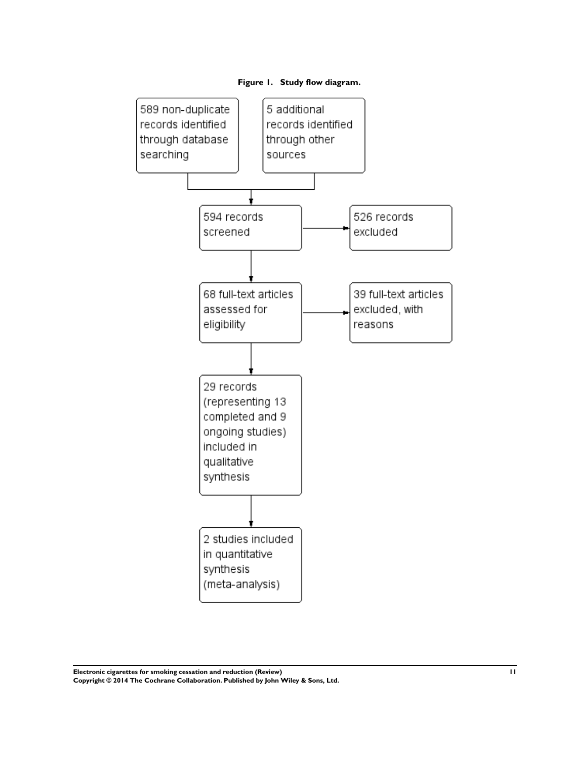<span id="page-12-0"></span>

**Figure 1. Study flow diagram.**

**Electronic cigarettes for smoking cessation and reduction (Review) 11 Copyright © 2014 The Cochrane Collaboration. Published by John Wiley & Sons, Ltd.**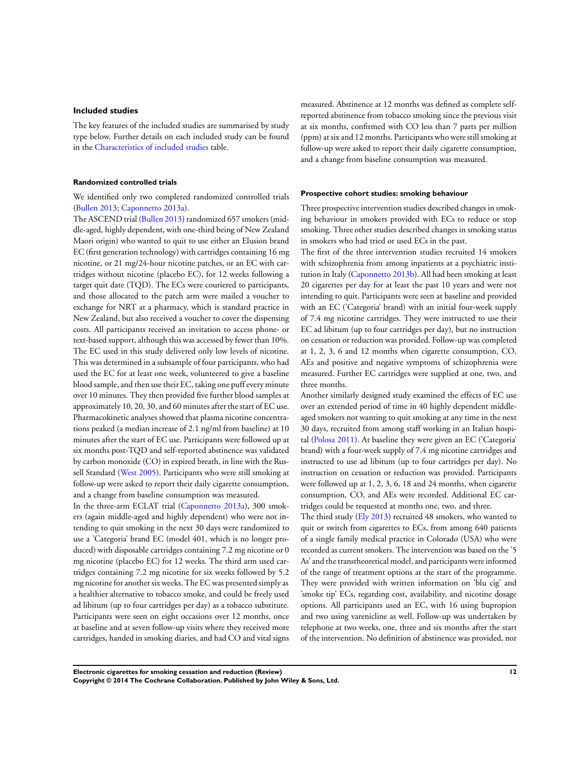#### **Included studies**

The key features of the included studies are summarised by study type below. Further details on each included study can be found in the [Characteristics of included studies](#page-28-0) table.

## **Randomized controlled trials**

We identified only two completed randomized controlled trials [\(Bullen 2013](#page-22-0); [Caponnetto 2013a](#page-22-0)).

The ASCEND trial [\(Bullen 2013\)](#page-22-0) randomized 657 smokers (middle-aged, highly dependent, with one-third being of New Zealand Maori origin) who wanted to quit to use either an Elusion brand EC (first generation technology) with cartridges containing 16 mg nicotine, or 21 mg/24-hour nicotine patches, or an EC with cartridges without nicotine (placebo EC), for 12 weeks following a target quit date (TQD). The ECs were couriered to participants, and those allocated to the patch arm were mailed a voucher to exchange for NRT at a pharmacy, which is standard practice in New Zealand, but also received a voucher to cover the dispensing costs. All participants received an invitation to access phone- or text-based support, although this was accessed by fewer than 10%. The EC used in this study delivered only low levels of nicotine. This was determined in a subsample of four participants, who had used the EC for at least one week, volunteered to give a baseline blood sample, and then use their EC, taking one puff every minute over 10 minutes. They then provided five further blood samples at approximately 10, 20, 30, and 60 minutes after the start of EC use. Pharmacokinetic analyses showed that plasma nicotine concentrations peaked (a median increase of 2.1 ng/ml from baseline) at 10 minutes after the start of EC use. Participants were followed up at six months post-TQD and self-reported abstinence was validated by carbon monoxide (CO) in expired breath, in line with the Russell Standard [\(West 2005\)](#page-22-0). Participants who were still smoking at follow-up were asked to report their daily cigarette consumption, and a change from baseline consumption was measured.

In the three-arm ECLAT trial [\(Caponnetto 2013a\)](#page-22-0), 300 smokers (again middle-aged and highly dependent) who were not intending to quit smoking in the next 30 days were randomized to use a 'Categoria' brand EC (model 401, which is no longer produced) with disposable cartridges containing 7.2 mg nicotine or 0 mg nicotine (placebo EC) for 12 weeks. The third arm used cartridges containing 7.2 mg nicotine for six weeks followed by 5.2 mg nicotine for another six weeks. The EC was presented simply as a healthier alternative to tobacco smoke, and could be freely used ad libitum (up to four cartridges per day) as a tobacco substitute. Participants were seen on eight occasions over 12 months, once at baseline and at seven follow-up visits where they received more cartridges, handed in smoking diaries, and had CO and vital signs measured. Abstinence at 12 months was defined as complete selfreported abstinence from tobacco smoking since the previous visit at six months, confirmed with CO less than 7 parts per million (ppm) at six and 12 months. Participants who were still smoking at follow-up were asked to report their daily cigarette consumption, and a change from baseline consumption was measured.

#### **Prospective cohort studies: smoking behaviour**

Three prospective intervention studies described changes in smoking behaviour in smokers provided with ECs to reduce or stop smoking. Three other studies described changes in smoking status in smokers who had tried or used ECs in the past.

The first of the three intervention studies recruited 14 smokers with schizophrenia from among inpatients at a psychiatric institution in Italy ([Caponnetto 2013b\)](#page-22-0). All had been smoking at least 20 cigarettes per day for at least the past 10 years and were not intending to quit. Participants were seen at baseline and provided with an EC ('Categoria' brand) with an initial four-week supply of 7.4 mg nicotine cartridges. They were instructed to use their EC ad libitum (up to four cartridges per day), but no instruction on cessation or reduction was provided. Follow-up was completed at 1, 2, 3, 6 and 12 months when cigarette consumption, CO, AEs and positive and negative symptoms of schizophrenia were measured. Further EC cartridges were supplied at one, two, and three months.

Another similarly designed study examined the effects of EC use over an extended period of time in 40 highly dependent middleaged smokers not wanting to quit smoking at any time in the next 30 days, recruited from among staff working in an Italian hospital ([Polosa 2011](#page-22-0)). At baseline they were given an EC ('Categoria' brand) with a four-week supply of 7.4 mg nicotine cartridges and instructed to use ad libitum (up to four cartridges per day). No instruction on cessation or reduction was provided. Participants were followed up at 1, 2, 3, 6, 18 and 24 months, when cigarette consumption, CO, and AEs were recorded. Additional EC cartridges could be requested at months one, two, and three.

The third study ([Ely 2013](#page-22-0)) recruited 48 smokers, who wanted to quit or switch from cigarettes to ECs, from among 640 patients of a single family medical practice in Colorado (USA) who were recorded as current smokers. The intervention was based on the'5 As' and the transtheoretical model, and participants were informed of the range of treatment options at the start of the programme. They were provided with written information on 'blu cig' and 'smoke tip' ECs, regarding cost, availability, and nicotine dosage options. All participants used an EC, with 16 using bupropion and two using varenicline as well. Follow-up was undertaken by telephone at two weeks, one, three and six months after the start of the intervention. No definition of abstinence was provided, nor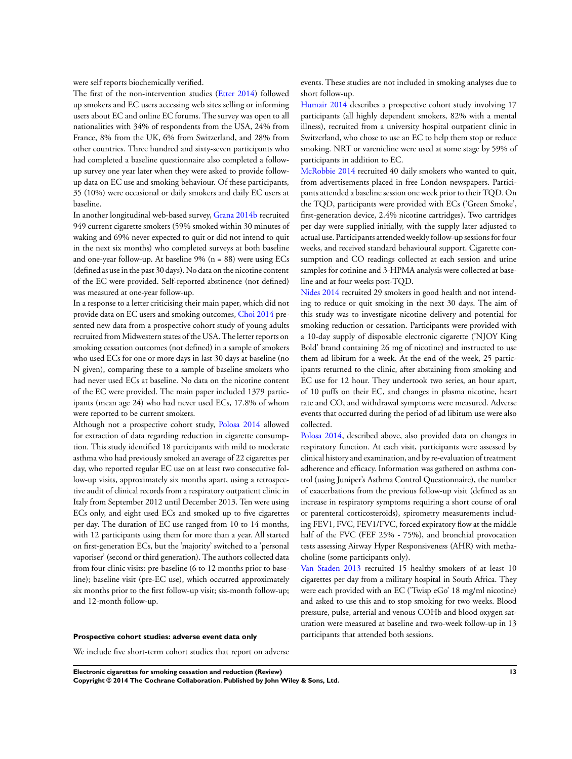were self reports biochemically verified.

The first of the non-intervention studies [\(Etter 2014](#page-22-0)) followed up smokers and EC users accessing web sites selling or informing users about EC and online EC forums. The survey was open to all nationalities with 34% of respondents from the USA, 24% from France, 8% from the UK, 6% from Switzerland, and 28% from other countries. Three hundred and sixty-seven participants who had completed a baseline questionnaire also completed a followup survey one year later when they were asked to provide followup data on EC use and smoking behaviour. Of these participants, 35 (10%) were occasional or daily smokers and daily EC users at baseline.

In another longitudinal web-based survey, [Grana 2014b](#page-22-0) recruited 949 current cigarette smokers (59% smoked within 30 minutes of waking and 69% never expected to quit or did not intend to quit in the next six months) who completed surveys at both baseline and one-year follow-up. At baseline 9% (n = 88) were using ECs (defined as use in the past 30 days). No data on the nicotine content of the EC were provided. Self-reported abstinence (not defined) was measured at one-year follow-up.

In a response to a letter criticising their main paper, which did not provide data on EC users and smoking outcomes, [Choi 2014](#page-22-0) presented new data from a prospective cohort study of young adults recruited from Midwestern states of the USA. The letter reports on smoking cessation outcomes (not defined) in a sample of smokers who used ECs for one or more days in last 30 days at baseline (no N given), comparing these to a sample of baseline smokers who had never used ECs at baseline. No data on the nicotine content of the EC were provided. The main paper included 1379 participants (mean age 24) who had never used ECs, 17.8% of whom were reported to be current smokers.

Although not a prospective cohort study, [Polosa 2014](#page-22-0) allowed for extraction of data regarding reduction in cigarette consumption. This study identified 18 participants with mild to moderate asthma who had previously smoked an average of 22 cigarettes per day, who reported regular EC use on at least two consecutive follow-up visits, approximately six months apart, using a retrospective audit of clinical records from a respiratory outpatient clinic in Italy from September 2012 until December 2013. Ten were using ECs only, and eight used ECs and smoked up to five cigarettes per day. The duration of EC use ranged from 10 to 14 months, with 12 participants using them for more than a year. All started on first-generation ECs, but the 'majority' switched to a 'personal vaporiser' (second or third generation). The authors collected data from four clinic visits: pre-baseline (6 to 12 months prior to baseline); baseline visit (pre-EC use), which occurred approximately six months prior to the first follow-up visit; six-month follow-up; and 12-month follow-up.

events. These studies are not included in smoking analyses due to short follow-up.

[Humair 2014](#page-22-0) describes a prospective cohort study involving 17 participants (all highly dependent smokers, 82% with a mental illness), recruited from a university hospital outpatient clinic in Switzerland, who chose to use an EC to help them stop or reduce smoking. NRT or varenicline were used at some stage by 59% of participants in addition to EC.

[McRobbie 2014](#page-22-0) recruited 40 daily smokers who wanted to quit, from advertisements placed in free London newspapers. Participants attended a baseline session one week prior to their TQD. On the TQD, participants were provided with ECs ('Green Smoke', first-generation device, 2.4% nicotine cartridges). Two cartridges per day were supplied initially, with the supply later adjusted to actual use. Participants attended weekly follow-up sessions for four weeks, and received standard behavioural support. Cigarette consumption and CO readings collected at each session and urine samples for cotinine and 3-HPMA analysis were collected at baseline and at four weeks post-TQD.

[Nides 2014](#page-22-0) recruited 29 smokers in good health and not intending to reduce or quit smoking in the next 30 days. The aim of this study was to investigate nicotine delivery and potential for smoking reduction or cessation. Participants were provided with a 10-day supply of disposable electronic cigarette ('NJOY King Bold' brand containing 26 mg of nicotine) and instructed to use them ad libitum for a week. At the end of the week, 25 participants returned to the clinic, after abstaining from smoking and EC use for 12 hour. They undertook two series, an hour apart, of 10 puffs on their EC, and changes in plasma nicotine, heart rate and CO, and withdrawal symptoms were measured. Adverse events that occurred during the period of ad libitum use were also collected.

[Polosa 2014](#page-22-0), described above, also provided data on changes in respiratory function. At each visit, participants were assessed by clinical history and examination, and by re-evaluation of treatment adherence and efficacy. Information was gathered on asthma control (using Juniper's Asthma Control Questionnaire), the number of exacerbations from the previous follow-up visit (defined as an increase in respiratory symptoms requiring a short course of oral or parenteral corticosteroids), spirometry measurements including FEV1, FVC, FEV1/FVC, forced expiratory flow at the middle half of the FVC (FEF 25% - 75%), and bronchial provocation tests assessing Airway Hyper Responsiveness (AHR) with methacholine (some participants only).

[Van Staden 2013](#page-22-0) recruited 15 healthy smokers of at least 10 cigarettes per day from a military hospital in South Africa. They were each provided with an EC ('Twisp eGo' 18 mg/ml nicotine) and asked to use this and to stop smoking for two weeks. Blood pressure, pulse, arterial and venous COHb and blood oxygen saturation were measured at baseline and two-week follow-up in 13 participants that attended both sessions.

**Prospective cohort studies: adverse event data only**

We include five short-term cohort studies that report on adverse

**Electronic cigarettes for smoking cessation and reduction (Review) 13 Copyright © 2014 The Cochrane Collaboration. Published by John Wiley & Sons, Ltd.**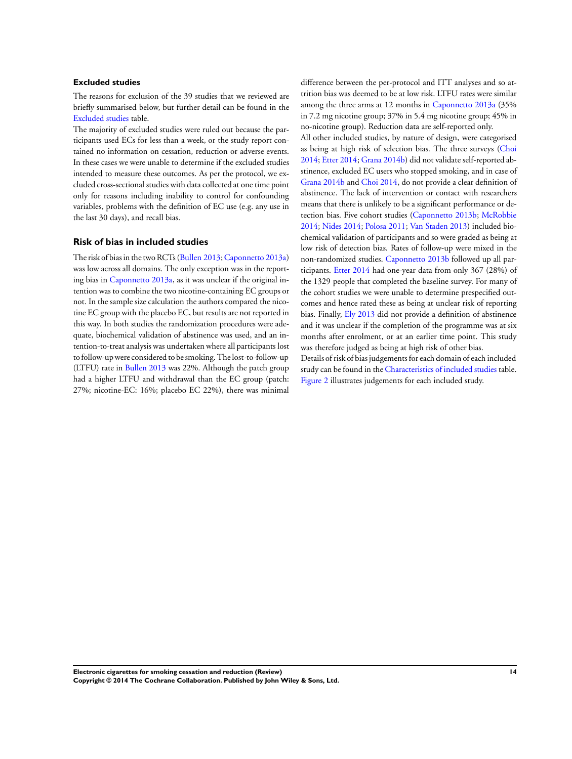#### **Excluded studies**

The reasons for exclusion of the 39 studies that we reviewed are briefly summarised below, but further detail can be found in the [Excluded studies](#page-22-0) table.

The majority of excluded studies were ruled out because the participants used ECs for less than a week, or the study report contained no information on cessation, reduction or adverse events. In these cases we were unable to determine if the excluded studies intended to measure these outcomes. As per the protocol, we excluded cross-sectional studies with data collected at one time point only for reasons including inability to control for confounding variables, problems with the definition of EC use (e.g. any use in the last 30 days), and recall bias.

## **Risk of bias in included studies**

The risk of bias in the two RCTs (Bullen 2013; Caponnetto 2013a) was low across all domains. The only exception was in the reporting bias in [Caponnetto 2013a,](#page-22-0) as it was unclear if the original intention was to combine the two nicotine-containing EC groups or not. In the sample size calculation the authors compared the nicotine EC group with the placebo EC, but results are not reported in this way. In both studies the randomization procedures were adequate, biochemical validation of abstinence was used, and an intention-to-treat analysis was undertaken where all participants lost to follow-up were considered to be smoking. The lost-to-follow-up (LTFU) rate in [Bullen 2013](#page-22-0) was 22%. Although the patch group had a higher LTFU and withdrawal than the EC group (patch: 27%; nicotine-EC: 16%; placebo EC 22%), there was minimal

difference between the per-protocol and ITT analyses and so attrition bias was deemed to be at low risk. LTFU rates were similar among the three arms at 12 months in [Caponnetto 2013a](#page-22-0) (35% in 7.2 mg nicotine group; 37% in 5.4 mg nicotine group; 45% in no-nicotine group). Reduction data are self-reported only.

All other included studies, by nature of design, were categorised as being at high risk of selection bias. The three surveys ([Choi](#page-22-0) [2014](#page-22-0); [Etter 2014](#page-22-0); [Grana 2014b\)](#page-22-0) did not validate self-reported abstinence, excluded EC users who stopped smoking, and in case of [Grana 2014b](#page-22-0) and [Choi 2014](#page-22-0), do not provide a clear definition of abstinence. The lack of intervention or contact with researchers means that there is unlikely to be a significant performance or detection bias. Five cohort studies ([Caponnetto 2013b;](#page-22-0) [McRobbie](#page-22-0) [2014](#page-22-0); [Nides 2014](#page-22-0); [Polosa 2011;](#page-22-0) [Van Staden 2013\)](#page-22-0) included biochemical validation of participants and so were graded as being at low risk of detection bias. Rates of follow-up were mixed in the non-randomized studies. [Caponnetto 2013b](#page-22-0) followed up all participants. [Etter 2014](#page-22-0) had one-year data from only 367 (28%) of the 1329 people that completed the baseline survey. For many of the cohort studies we were unable to determine prespecified outcomes and hence rated these as being at unclear risk of reporting bias. Finally, [Ely 2013](#page-22-0) did not provide a definition of abstinence and it was unclear if the completion of the programme was at six months after enrolment, or at an earlier time point. This study was therefore judged as being at high risk of other bias.

Details of risk of bias judgements for each domain of each included study can be found in the [Characteristics of included studies](#page-28-0) table. [Figure 2](#page-16-0) illustrates judgements for each included study.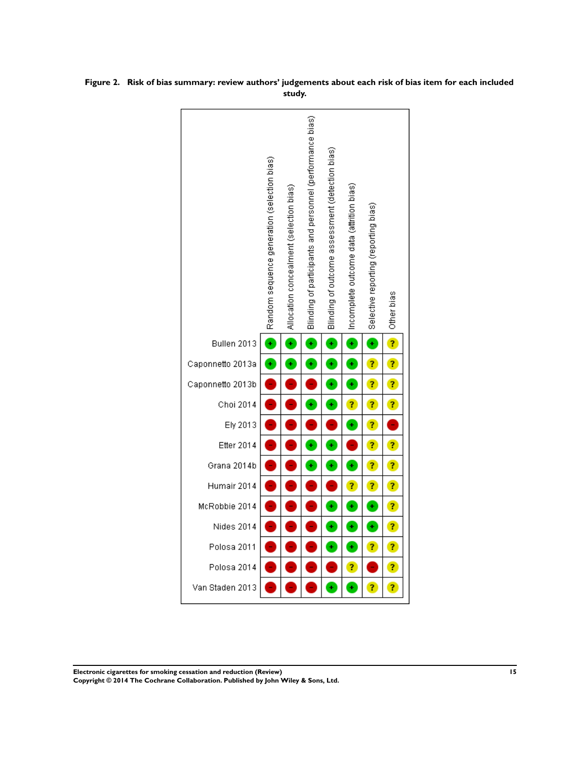

<span id="page-16-0"></span>**Figure 2. Risk of bias summary: review authors' judgements about each risk of bias item for each included study.**

**Electronic cigarettes for smoking cessation and reduction (Review) 15 Copyright © 2014 The Cochrane Collaboration. Published by John Wiley & Sons, Ltd.**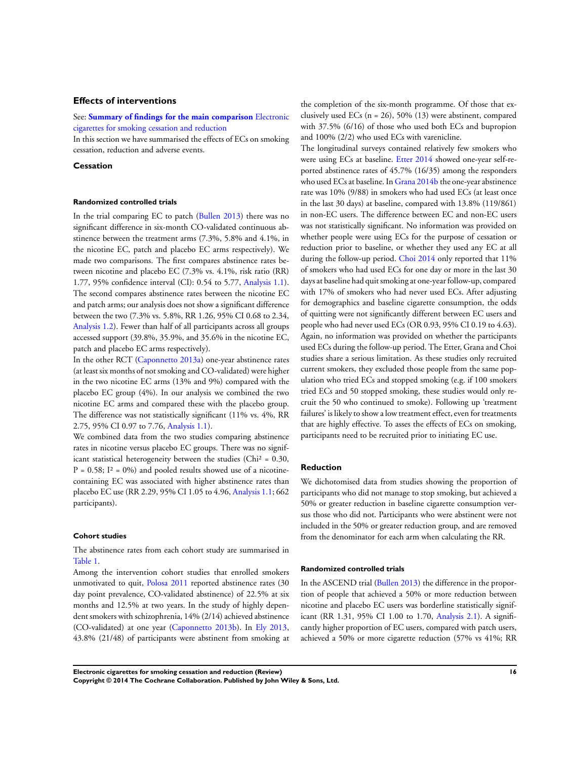## **Effects of interventions**

See: **[Summary of findings for the main comparison](#page-5-0)** [Electronic](#page-5-0) [cigarettes for smoking cessation and reduction](#page-5-0)

In this section we have summarised the effects of ECs on smoking cessation, reduction and adverse events.

#### **Cessation**

#### **Randomized controlled trials**

In the trial comparing EC to patch [\(Bullen 2013\)](#page-22-0) there was no significant difference in six-month CO-validated continuous abstinence between the treatment arms (7.3%, 5.8% and 4.1%, in the nicotine EC, patch and placebo EC arms respectively). We made two comparisons. The first compares abstinence rates between nicotine and placebo EC (7.3% vs. 4.1%, risk ratio (RR) 1.77, 95% confidence interval (CI): 0.54 to 5.77, [Analysis 1.1](#page-53-0)). The second compares abstinence rates between the nicotine EC and patch arms; our analysis does not show a significant difference between the two (7.3% vs. 5.8%, RR 1.26, 95% CI 0.68 to 2.34, [Analysis 1.2](#page-53-0)). Fewer than half of all participants across all groups accessed support (39.8%, 35.9%, and 35.6% in the nicotine EC, patch and placebo EC arms respectively).

In the other RCT [\(Caponnetto 2013a](#page-22-0)) one-year abstinence rates (at least six months of not smoking and CO-validated) were higher in the two nicotine EC arms (13% and 9%) compared with the placebo EC group (4%). In our analysis we combined the two nicotine EC arms and compared these with the placebo group. The difference was not statistically significant (11% vs. 4%, RR 2.75, 95% CI 0.97 to 7.76, [Analysis 1.1](#page-53-0)).

We combined data from the two studies comparing abstinence rates in nicotine versus placebo EC groups. There was no significant statistical heterogeneity between the studies (Chi<sup>2</sup> =  $0.30$ ,  $P = 0.58$ ;  $I^2 = 0\%$ ) and pooled results showed use of a nicotinecontaining EC was associated with higher abstinence rates than placebo EC use (RR 2.29, 95% CI 1.05 to 4.96, [Analysis 1.1;](#page-53-0) 662 participants).

#### **Cohort studies**

The abstinence rates from each cohort study are summarised in [Table 1.](#page-56-0)

Among the intervention cohort studies that enrolled smokers unmotivated to quit, [Polosa 2011](#page-22-0) reported abstinence rates (30 day point prevalence, CO-validated abstinence) of 22.5% at six months and 12.5% at two years. In the study of highly dependent smokers with schizophrenia, 14% (2/14) achieved abstinence (CO-validated) at one year [\(Caponnetto 2013b\)](#page-22-0). In [Ely 2013,](#page-22-0) 43.8% (21/48) of participants were abstinent from smoking at the completion of the six-month programme. Of those that exclusively used ECs ( $n = 26$ ), 50% (13) were abstinent, compared with 37.5% (6/16) of those who used both ECs and bupropion and 100% (2/2) who used ECs with varenicline.

The longitudinal surveys contained relatively few smokers who were using ECs at baseline. [Etter 2014](#page-22-0) showed one-year self-reported abstinence rates of 45.7% (16/35) among the responders who used ECs at baseline. In [Grana 2014b](#page-22-0) the one-year abstinence rate was 10% (9/88) in smokers who had used ECs (at least once in the last 30 days) at baseline, compared with 13.8% (119/861) in non-EC users. The difference between EC and non-EC users was not statistically significant. No information was provided on whether people were using ECs for the purpose of cessation or reduction prior to baseline, or whether they used any EC at all during the follow-up period. [Choi 2014](#page-22-0) only reported that 11% of smokers who had used ECs for one day or more in the last 30 days at baseline had quit smoking at one-year follow-up, compared with 17% of smokers who had never used ECs. After adjusting for demographics and baseline cigarette consumption, the odds of quitting were not significantly different between EC users and people who had never used ECs (OR 0.93, 95% CI 0.19 to 4.63). Again, no information was provided on whether the participants used ECs during the follow-up period. The Etter, Grana and Choi studies share a serious limitation. As these studies only recruited current smokers, they excluded those people from the same population who tried ECs and stopped smoking (e.g. if 100 smokers tried ECs and 50 stopped smoking, these studies would only recruit the 50 who continued to smoke). Following up 'treatment failures' is likely to show a low treatment effect, even for treatments that are highly effective. To asses the effects of ECs on smoking, participants need to be recruited prior to initiating EC use.

#### **Reduction**

We dichotomised data from studies showing the proportion of participants who did not manage to stop smoking, but achieved a 50% or greater reduction in baseline cigarette consumption versus those who did not. Participants who were abstinent were not included in the 50% or greater reduction group, and are removed from the denominator for each arm when calculating the RR.

## **Randomized controlled trials**

In the ASCEND trial ([Bullen 2013](#page-22-0)) the difference in the proportion of people that achieved a 50% or more reduction between nicotine and placebo EC users was borderline statistically significant (RR 1.31, 95% CI 1.00 to 1.70, [Analysis 2.1](#page-54-0)). A significantly higher proportion of EC users, compared with patch users, achieved a 50% or more cigarette reduction (57% vs 41%; RR

**Electronic cigarettes for smoking cessation and reduction (Review) 16 Copyright © 2014 The Cochrane Collaboration. Published by John Wiley & Sons, Ltd.**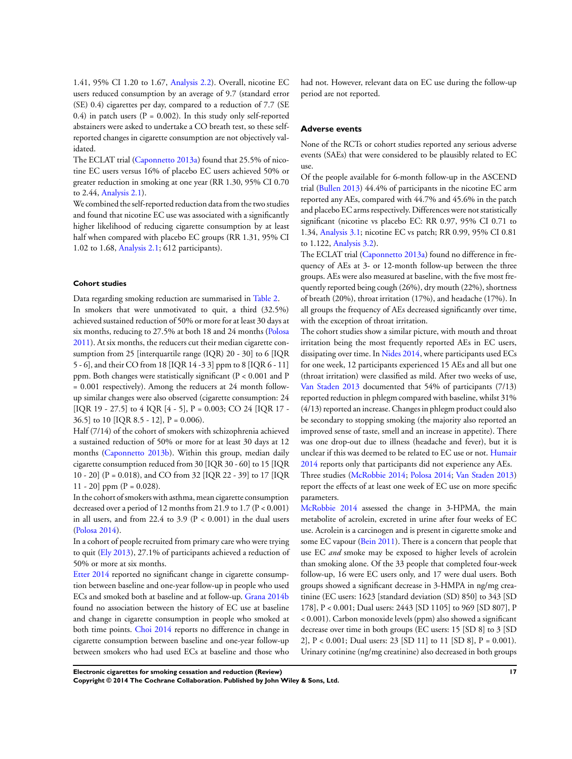1.41, 95% CI 1.20 to 1.67, [Analysis 2.2\)](#page-54-0). Overall, nicotine EC users reduced consumption by an average of 9.7 (standard error (SE) 0.4) cigarettes per day, compared to a reduction of 7.7 (SE 0.4) in patch users ( $P = 0.002$ ). In this study only self-reported abstainers were asked to undertake a CO breath test, so these selfreported changes in cigarette consumption are not objectively validated.

The ECLAT trial [\(Caponnetto 2013a\)](#page-22-0) found that 25.5% of nicotine EC users versus 16% of placebo EC users achieved 50% or greater reduction in smoking at one year (RR 1.30, 95% CI 0.70 to 2.44, [Analysis 2.1\)](#page-54-0).

We combined the self-reported reduction data from the two studies and found that nicotine EC use was associated with a significantly higher likelihood of reducing cigarette consumption by at least half when compared with placebo EC groups (RR 1.31, 95% CI 1.02 to 1.68, [Analysis 2.1;](#page-54-0) 612 participants).

## **Cohort studies**

Data regarding smoking reduction are summarised in [Table 2](#page-56-0). In smokers that were unmotivated to quit, a third (32.5%) achieved sustained reduction of 50% or more for at least 30 days at six months, reducing to 27.5% at both 18 and 24 months [\(Polosa](#page-22-0) [2011](#page-22-0)). At six months, the reducers cut their median cigarette consumption from 25 [interquartile range (IQR) 20 - 30] to 6 [IQR 5 - 6], and their CO from 18 [IQR 14 -3 3] ppm to 8 [IQR 6 - 11] ppm. Both changes were statistically significant (P < 0.001 and P = 0.001 respectively). Among the reducers at 24 month followup similar changes were also observed (cigarette consumption: 24 [IQR 19 - 27.5] to 4 IQR  $[4 - 5]$ , P = 0.003; CO 24 [IQR 17 -36.5] to 10 [IQR 8.5 - 12],  $P = 0.006$ .

Half (7/14) of the cohort of smokers with schizophrenia achieved a sustained reduction of 50% or more for at least 30 days at 12 months ([Caponnetto 2013b](#page-22-0)). Within this group, median daily cigarette consumption reduced from 30 [IQR 30 - 60] to 15 [IQR 10 - 20] (P = 0.018), and CO from 32 [IQR 22 - 39] to 17 [IQR 11 - 20] ppm ( $P = 0.028$ ).

In the cohort of smokers with asthma, mean cigarette consumption decreased over a period of 12 months from 21.9 to 1.7 (P < 0.001) in all users, and from 22.4 to 3.9 ( $P < 0.001$ ) in the dual users [\(Polosa 2014](#page-22-0)).

In a cohort of people recruited from primary care who were trying to quit ([Ely 2013](#page-22-0)), 27.1% of participants achieved a reduction of 50% or more at six months.

[Etter 2014](#page-22-0) reported no significant change in cigarette consumption between baseline and one-year follow-up in people who used ECs and smoked both at baseline and at follow-up. [Grana 2014b](#page-22-0) found no association between the history of EC use at baseline and change in cigarette consumption in people who smoked at both time points. [Choi 2014](#page-22-0) reports no difference in change in cigarette consumption between baseline and one-year follow-up between smokers who had used ECs at baseline and those who had not. However, relevant data on EC use during the follow-up period are not reported.

#### **Adverse events**

None of the RCTs or cohort studies reported any serious adverse events (SAEs) that were considered to be plausibly related to EC use.

Of the people available for 6-month follow-up in the ASCEND trial [\(Bullen 2013](#page-22-0)) 44.4% of participants in the nicotine EC arm reported any AEs, compared with 44.7% and 45.6% in the patch and placebo EC arms respectively. Differences were not statistically significant (nicotine vs placebo EC: RR 0.97, 95% CI 0.71 to 1.34, [Analysis 3.1](#page-55-0); nicotine EC vs patch; RR 0.99, 95% CI 0.81 to 1.122, [Analysis 3.2](#page-55-0)).

The ECLAT trial [\(Caponnetto 2013a\)](#page-22-0) found no difference in frequency of AEs at 3- or 12-month follow-up between the three groups. AEs were also measured at baseline, with the five most frequently reported being cough (26%), dry mouth (22%), shortness of breath (20%), throat irritation (17%), and headache (17%). In all groups the frequency of AEs decreased significantly over time, with the exception of throat irritation.

The cohort studies show a similar picture, with mouth and throat irritation being the most frequently reported AEs in EC users, dissipating over time. In [Nides 2014](#page-22-0), where participants used ECs for one week, 12 participants experienced 15 AEs and all but one (throat irritation) were classified as mild. After two weeks of use, [Van Staden 2013](#page-22-0) documented that 54% of participants (7/13) reported reduction in phlegm compared with baseline, whilst 31% (4/13) reported an increase. Changes in phlegm product could also be secondary to stopping smoking (the majority also reported an improved sense of taste, smell and an increase in appetite). There was one drop-out due to illness (headache and fever), but it is unclear if this was deemed to be related to EC use or not. [Humair](#page-22-0) [2014](#page-22-0) reports only that participants did not experience any AEs. Three studies ([McRobbie 2014;](#page-22-0) [Polosa 2014](#page-22-0); [Van Staden 2013](#page-22-0)) report the effects of at least one week of EC use on more specific parameters.

[McRobbie 2014](#page-22-0) assessed the change in 3-HPMA, the main metabolite of acrolein, excreted in urine after four weeks of EC use. Acrolein is a carcinogen and is present in cigarette smoke and some EC vapour ([Bein 2011\)](#page-22-0). There is a concern that people that use EC *and* smoke may be exposed to higher levels of acrolein than smoking alone. Of the 33 people that completed four-week follow-up, 16 were EC users only, and 17 were dual users. Both groups showed a significant decrease in 3-HMPA in ng/mg creatinine (EC users: 1623 [standard deviation (SD) 850] to 343 [SD 178], P < 0.001; Dual users: 2443 [SD 1105] to 969 [SD 807], P < 0.001). Carbon monoxide levels (ppm) also showed a significant decrease over time in both groups (EC users: 15 [SD 8] to 3 [SD 2], P < 0.001; Dual users: 23 [SD 11] to 11 [SD 8], P = 0.001). Urinary cotinine (ng/mg creatinine) also decreased in both groups

**Electronic cigarettes for smoking cessation and reduction (Review) 17 Copyright © 2014 The Cochrane Collaboration. Published by John Wiley & Sons, Ltd.**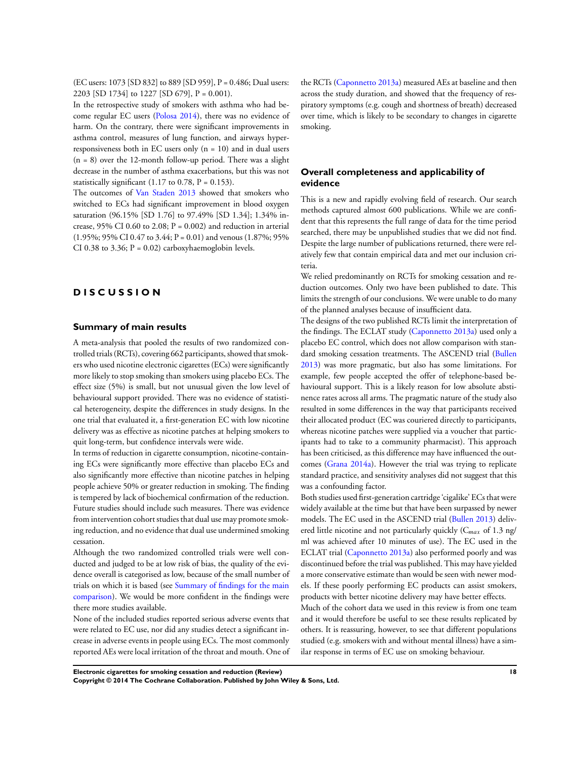(EC users: 1073 [SD 832] to 889 [SD 959], P = 0.486; Dual users: 2203 [SD 1734] to 1227 [SD 679], P = 0.001).

In the retrospective study of smokers with asthma who had become regular EC users [\(Polosa 2014](#page-22-0)), there was no evidence of harm. On the contrary, there were significant improvements in asthma control, measures of lung function, and airways hyperresponsiveness both in EC users only  $(n = 10)$  and in dual users  $(n = 8)$  over the 12-month follow-up period. There was a slight decrease in the number of asthma exacerbations, but this was not statistically significant (1.17 to 0.78,  $P = 0.153$ ).

The outcomes of [Van Staden 2013](#page-22-0) showed that smokers who switched to ECs had significant improvement in blood oxygen saturation (96.15% [SD 1.76] to 97.49% [SD 1.34]; 1.34% increase, 95% CI 0.60 to 2.08;  $P = 0.002$ ) and reduction in arterial  $(1.95\%; 95\% \text{ CI } 0.47 \text{ to } 3.44; P = 0.01)$  and venous  $(1.87\%; 95\%$ CI 0.38 to 3.36;  $P = 0.02$ ) carboxyhaemoglobin levels.

# **D I S C U S S I O N**

#### **Summary of main results**

A meta-analysis that pooled the results of two randomized controlled trials (RCTs), covering 662 participants, showed that smokers who used nicotine electronic cigarettes (ECs) were significantly more likely to stop smoking than smokers using placebo ECs. The effect size (5%) is small, but not unusual given the low level of behavioural support provided. There was no evidence of statistical heterogeneity, despite the differences in study designs. In the one trial that evaluated it, a first-generation EC with low nicotine delivery was as effective as nicotine patches at helping smokers to quit long-term, but confidence intervals were wide.

In terms of reduction in cigarette consumption, nicotine-containing ECs were significantly more effective than placebo ECs and also significantly more effective than nicotine patches in helping people achieve 50% or greater reduction in smoking. The finding is tempered by lack of biochemical confirmation of the reduction. Future studies should include such measures. There was evidence from intervention cohort studies that dual use may promote smoking reduction, and no evidence that dual use undermined smoking cessation.

Although the two randomized controlled trials were well conducted and judged to be at low risk of bias, the quality of the evidence overall is categorised as low, because of the small number of trials on which it is based (see [Summary of findings for the main](#page-5-0) [comparison\)](#page-5-0). We would be more confident in the findings were there more studies available.

None of the included studies reported serious adverse events that were related to EC use, nor did any studies detect a significant increase in adverse events in people using ECs. The most commonly reported AEs were local irritation of the throat and mouth. One of the RCTs [\(Caponnetto 2013a](#page-22-0)) measured AEs at baseline and then across the study duration, and showed that the frequency of respiratory symptoms (e.g. cough and shortness of breath) decreased over time, which is likely to be secondary to changes in cigarette smoking.

# **Overall completeness and applicability of evidence**

This is a new and rapidly evolving field of research. Our search methods captured almost 600 publications. While we are confident that this represents the full range of data for the time period searched, there may be unpublished studies that we did not find. Despite the large number of publications returned, there were relatively few that contain empirical data and met our inclusion criteria.

We relied predominantly on RCTs for smoking cessation and reduction outcomes. Only two have been published to date. This limits the strength of our conclusions. We were unable to do many of the planned analyses because of insufficient data.

The designs of the two published RCTs limit the interpretation of the findings. The ECLAT study ([Caponnetto 2013a](#page-22-0)) used only a placebo EC control, which does not allow comparison with standard smoking cessation treatments. The ASCEND trial ([Bullen](#page-22-0) [2013](#page-22-0)) was more pragmatic, but also has some limitations. For example, few people accepted the offer of telephone-based behavioural support. This is a likely reason for low absolute abstinence rates across all arms. The pragmatic nature of the study also resulted in some differences in the way that participants received their allocated product (EC was couriered directly to participants, whereas nicotine patches were supplied via a voucher that participants had to take to a community pharmacist). This approach has been criticised, as this difference may have influenced the outcomes ([Grana 2014a\)](#page-22-0). However the trial was trying to replicate standard practice, and sensitivity analyses did not suggest that this was a confounding factor.

Both studies used first-generation cartridge 'cigalike' ECs that were widely available at the time but that have been surpassed by newer models. The EC used in the ASCEND trial ([Bullen 2013](#page-22-0)) delivered little nicotine and not particularly quickly  $(C_{max}$  of 1.3 ng/ ml was achieved after 10 minutes of use). The EC used in the ECLAT trial ([Caponnetto 2013a](#page-22-0)) also performed poorly and was discontinued before the trial was published. This may have yielded a more conservative estimate than would be seen with newer models. If these poorly performing EC products can assist smokers, products with better nicotine delivery may have better effects.

Much of the cohort data we used in this review is from one team and it would therefore be useful to see these results replicated by others. It is reassuring, however, to see that different populations studied (e.g. smokers with and without mental illness) have a similar response in terms of EC use on smoking behaviour.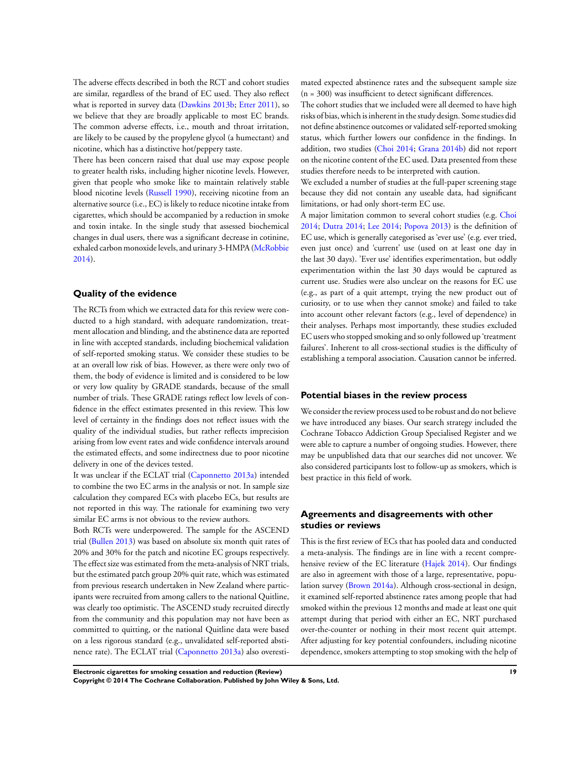The adverse effects described in both the RCT and cohort studies are similar, regardless of the brand of EC used. They also reflect what is reported in survey data ([Dawkins 2013b](#page-22-0); [Etter 2011](#page-22-0)), so we believe that they are broadly applicable to most EC brands. The common adverse effects, i.e., mouth and throat irritation, are likely to be caused by the propylene glycol (a humectant) and nicotine, which has a distinctive hot/peppery taste.

There has been concern raised that dual use may expose people to greater health risks, including higher nicotine levels. However, given that people who smoke like to maintain relatively stable blood nicotine levels ([Russell 1990\)](#page-22-0), receiving nicotine from an alternative source (i.e., EC) is likely to reduce nicotine intake from cigarettes, which should be accompanied by a reduction in smoke and toxin intake. In the single study that assessed biochemical changes in dual users, there was a significant decrease in cotinine, exhaled carbon monoxide levels, and urinary 3-HMPA [\(McRobbie](#page-22-0) [2014](#page-22-0)).

## **Quality of the evidence**

The RCTs from which we extracted data for this review were conducted to a high standard, with adequate randomization, treatment allocation and blinding, and the abstinence data are reported in line with accepted standards, including biochemical validation of self-reported smoking status. We consider these studies to be at an overall low risk of bias. However, as there were only two of them, the body of evidence is limited and is considered to be low or very low quality by GRADE standards, because of the small number of trials. These GRADE ratings reflect low levels of confidence in the effect estimates presented in this review. This low level of certainty in the findings does not reflect issues with the quality of the individual studies, but rather reflects imprecision arising from low event rates and wide confidence intervals around the estimated effects, and some indirectness due to poor nicotine delivery in one of the devices tested.

It was unclear if the ECLAT trial ([Caponnetto 2013a\)](#page-22-0) intended to combine the two EC arms in the analysis or not. In sample size calculation they compared ECs with placebo ECs, but results are not reported in this way. The rationale for examining two very similar EC arms is not obvious to the review authors.

Both RCTs were underpowered. The sample for the ASCEND trial [\(Bullen 2013](#page-22-0)) was based on absolute six month quit rates of 20% and 30% for the patch and nicotine EC groups respectively. The effect size was estimated from the meta-analysis of NRT trials, but the estimated patch group 20% quit rate, which was estimated from previous research undertaken in New Zealand where participants were recruited from among callers to the national Quitline, was clearly too optimistic. The ASCEND study recruited directly from the community and this population may not have been as committed to quitting, or the national Quitline data were based on a less rigorous standard (e.g., unvalidated self-reported abstinence rate). The ECLAT trial [\(Caponnetto 2013a](#page-22-0)) also overesti-

mated expected abstinence rates and the subsequent sample size  $(n = 300)$  was insufficient to detect significant differences.

The cohort studies that we included were all deemed to have high risks of bias, which is inherent in the study design. Some studies did not define abstinence outcomes or validated self-reported smoking status, which further lowers our confidence in the findings. In addition, two studies ([Choi 2014;](#page-22-0) [Grana 2014b\)](#page-22-0) did not report on the nicotine content of the EC used. Data presented from these studies therefore needs to be interpreted with caution.

We excluded a number of studies at the full-paper screening stage because they did not contain any useable data, had significant limitations, or had only short-term EC use.

A major limitation common to several cohort studies (e.g. [Choi](#page-22-0) [2014](#page-22-0); [Dutra 2014](#page-22-0); [Lee 2014;](#page-22-0) [Popova 2013\)](#page-22-0) is the definition of EC use, which is generally categorised as 'ever use' (e.g. ever tried, even just once) and 'current' use (used on at least one day in the last 30 days). 'Ever use' identifies experimentation, but oddly experimentation within the last 30 days would be captured as current use. Studies were also unclear on the reasons for EC use (e.g., as part of a quit attempt, trying the new product out of curiosity, or to use when they cannot smoke) and failed to take into account other relevant factors (e.g., level of dependence) in their analyses. Perhaps most importantly, these studies excluded EC users who stopped smoking and so only followed up 'treatment failures'. Inherent to all cross-sectional studies is the difficulty of establishing a temporal association. Causation cannot be inferred.

## **Potential biases in the review process**

We consider the review process used to be robust and do not believe we have introduced any biases. Our search strategy included the Cochrane Tobacco Addiction Group Specialised Register and we were able to capture a number of ongoing studies. However, there may be unpublished data that our searches did not uncover. We also considered participants lost to follow-up as smokers, which is best practice in this field of work.

# **Agreements and disagreements with other studies or reviews**

This is the first review of ECs that has pooled data and conducted a meta-analysis. The findings are in line with a recent compre-hensive review of the EC literature [\(Hajek 2014](#page-22-0)). Our findings are also in agreement with those of a large, representative, population survey ([Brown 2014a\)](#page-22-0). Although cross-sectional in design, it examined self-reported abstinence rates among people that had smoked within the previous 12 months and made at least one quit attempt during that period with either an EC, NRT purchased over-the-counter or nothing in their most recent quit attempt. After adjusting for key potential confounders, including nicotine dependence, smokers attempting to stop smoking with the help of

**Electronic cigarettes for smoking cessation and reduction (Review) 19 Copyright © 2014 The Cochrane Collaboration. Published by John Wiley & Sons, Ltd.**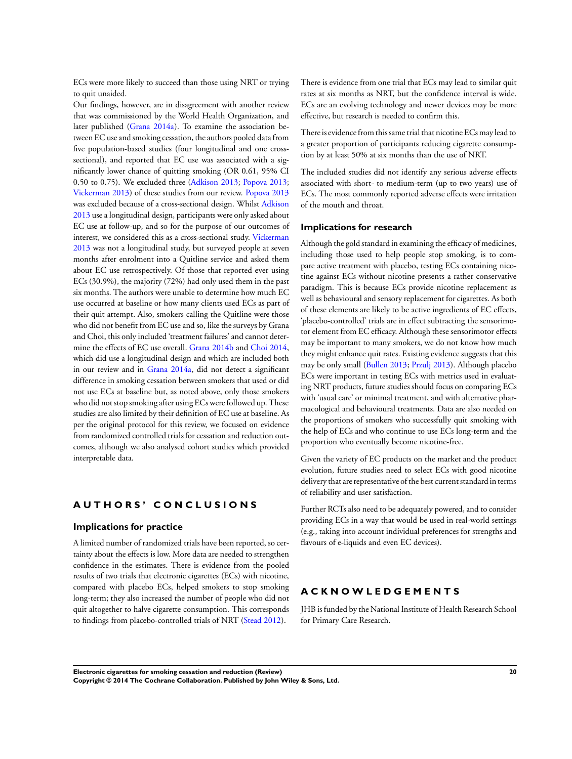ECs were more likely to succeed than those using NRT or trying to quit unaided.

Our findings, however, are in disagreement with another review that was commissioned by the World Health Organization, and later published ([Grana 2014a](#page-22-0)). To examine the association between EC use and smoking cessation, the authors pooled data from five population-based studies (four longitudinal and one crosssectional), and reported that EC use was associated with a significantly lower chance of quitting smoking (OR 0.61, 95% CI 0.50 to 0.75). We excluded three ([Adkison 2013](#page-22-0); [Popova 2013;](#page-22-0) [Vickerman 2013\)](#page-22-0) of these studies from our review. [Popova 2013](#page-22-0) was excluded because of a cross-sectional design. Whilst [Adkison](#page-22-0) [2013](#page-22-0) use a longitudinal design, participants were only asked about EC use at follow-up, and so for the purpose of our outcomes of interest, we considered this as a cross-sectional study. [Vickerman](#page-22-0) [2013](#page-22-0) was not a longitudinal study, but surveyed people at seven months after enrolment into a Quitline service and asked them about EC use retrospectively. Of those that reported ever using ECs (30.9%), the majority (72%) had only used them in the past six months. The authors were unable to determine how much EC use occurred at baseline or how many clients used ECs as part of their quit attempt. Also, smokers calling the Quitline were those who did not benefit from EC use and so, like the surveys by Grana and Choi, this only included 'treatment failures' and cannot deter-mine the effects of EC use overall. [Grana 2014b](#page-22-0) and [Choi 2014,](#page-22-0) which did use a longitudinal design and which are included both in our review and in [Grana 2014a,](#page-22-0) did not detect a significant difference in smoking cessation between smokers that used or did not use ECs at baseline but, as noted above, only those smokers who did not stop smoking after using ECs were followed up. These studies are also limited by their definition of EC use at baseline. As per the original protocol for this review, we focused on evidence from randomized controlled trials for cessation and reduction outcomes, although we also analysed cohort studies which provided interpretable data.

# **A U T H O R S ' C O N C L U S I O N S**

## **Implications for practice**

A limited number of randomized trials have been reported, so certainty about the effects is low. More data are needed to strengthen confidence in the estimates. There is evidence from the pooled results of two trials that electronic cigarettes (ECs) with nicotine, compared with placebo ECs, helped smokers to stop smoking long-term; they also increased the number of people who did not quit altogether to halve cigarette consumption. This corresponds to findings from placebo-controlled trials of NRT ([Stead 2012\)](#page-22-0).

There is evidence from one trial that ECs may lead to similar quit rates at six months as NRT, but the confidence interval is wide. ECs are an evolving technology and newer devices may be more effective, but research is needed to confirm this.

There is evidence from this same trial that nicotine ECs may lead to a greater proportion of participants reducing cigarette consumption by at least 50% at six months than the use of NRT.

The included studies did not identify any serious adverse effects associated with short- to medium-term (up to two years) use of ECs. The most commonly reported adverse effects were irritation of the mouth and throat.

### **Implications for research**

Although the gold standard in examining the efficacy of medicines, including those used to help people stop smoking, is to compare active treatment with placebo, testing ECs containing nicotine against ECs without nicotine presents a rather conservative paradigm. This is because ECs provide nicotine replacement as well as behavioural and sensory replacement for cigarettes. As both of these elements are likely to be active ingredients of EC effects, 'placebo-controlled' trials are in effect subtracting the sensorimotor element from EC efficacy. Although these sensorimotor effects may be important to many smokers, we do not know how much they might enhance quit rates. Existing evidence suggests that this may be only small [\(Bullen 2013](#page-22-0); [Przulj 2013](#page-22-0)). Although placebo ECs were important in testing ECs with metrics used in evaluating NRT products, future studies should focus on comparing ECs with 'usual care' or minimal treatment, and with alternative pharmacological and behavioural treatments. Data are also needed on the proportions of smokers who successfully quit smoking with the help of ECs and who continue to use ECs long-term and the proportion who eventually become nicotine-free.

Given the variety of EC products on the market and the product evolution, future studies need to select ECs with good nicotine delivery that are representative of the best current standard in terms of reliability and user satisfaction.

Further RCTs also need to be adequately powered, and to consider providing ECs in a way that would be used in real-world settings (e.g., taking into account individual preferences for strengths and flavours of e-liquids and even EC devices).

# **A C K N O W L E D G E M E N T S**

JHB is funded by the National Institute of Health Research School for Primary Care Research.

**Electronic cigarettes for smoking cessation and reduction (Review) 20 Copyright © 2014 The Cochrane Collaboration. Published by John Wiley & Sons, Ltd.**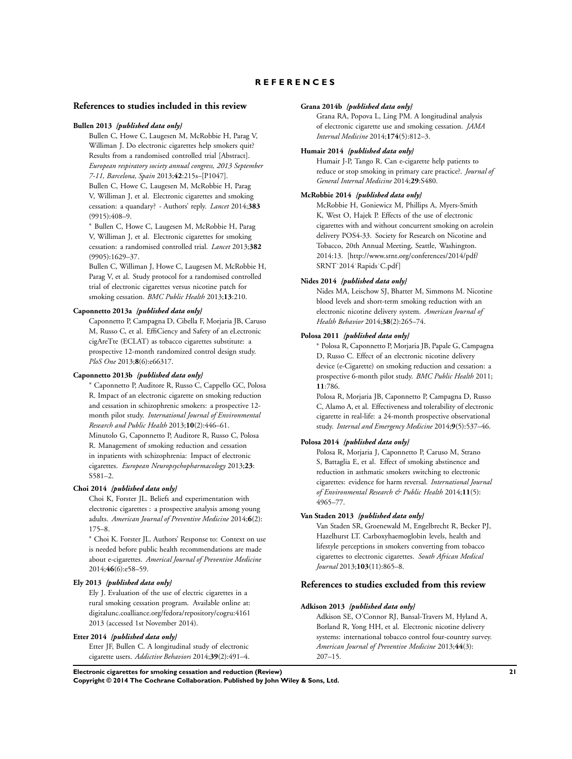# **R E F E R E N C E S**

## <span id="page-22-0"></span>**References to studies included in this review**

#### **Bullen 2013** *{published data only}*

Bullen C, Howe C, Laugesen M, McRobbie H, Parag V, Williman J. Do electronic cigarettes help smokers quit? Results from a randomised controlled trial [Abstract]. *European respiratory society annual congress, 2013 September 7-11, Barcelona, Spain* 2013;**42**:215s–[P1047].

Bullen C, Howe C, Laugesen M, McRobbie H, Parag V, Williman J, et al. Electronic cigarettes and smoking cessation: a quandary? - Authors' reply. *Lancet* 2014;**383** (9915):408–9.

<sup>∗</sup> Bullen C, Howe C, Laugesen M, McRobbie H, Parag V, Williman J, et al. Electronic cigarettes for smoking cessation: a randomised controlled trial. *Lancet* 2013;**382** (9905):1629–37.

Bullen C, Williman J, Howe C, Laugesen M, McRobbie H, Parag V, et al. Study protocol for a randomised controlled trial of electronic cigarettes versus nicotine patch for smoking cessation. *BMC Public Health* 2013;**13**:210.

#### **Caponnetto 2013a** *{published data only}*

Caponnetto P, Campagna D, Cibella F, Morjaria JB, Caruso M, Russo C, et al. EffiCiency and Safety of an eLectronic cigAreTte (ECLAT) as tobacco cigarettes substitute: a prospective 12-month randomized control design study. *PloS One* 2013;**8**(6):e66317.

## **Caponnetto 2013b** *{published data only}*

<sup>∗</sup> Caponnetto P, Auditore R, Russo C, Cappello GC, Polosa R. Impact of an electronic cigarette on smoking reduction and cessation in schizophrenic smokers: a prospective 12 month pilot study. *International Journal of Environmental Research and Public Health* 2013;**10**(2):446–61. Minutolo G, Caponnetto P, Auditore R, Russo C, Polosa R. Management of smoking reduction and cessation in inpatients with schizophrenia: Impact of electronic cigarettes. *European Neuropsychopharmacology* 2013;**23**: S581–2.

## **Choi 2014** *{published data only}*

Choi K, Forster JL. Beliefs and experimentation with electronic cigarettes : a prospective analysis among young adults. *American Journal of Preventive Medicine* 2014;**6**(2): 175–8.

<sup>∗</sup> Choi K. Forster JL. Authors' Response to: Context on use is needed before public health recommendations are made about e-cigarettes. *Americal Journal of Preventive Medicine* 2014;**46**(6):e58–59.

# **Ely 2013** *{published data only}*

Ely J. Evaluation of the use of electric cigarettes in a rural smoking cessation program. Available online at: digitalunc.coalliance.org/fedora/repository/cogru:4161 2013 (accessed 1st November 2014).

#### **Etter 2014** *{published data only}*

Etter JF, Bullen C. A longitudinal study of electronic cigarette users. *Addictive Behaviors* 2014;**39**(2):491–4.

#### **Grana 2014b** *{published data only}*

Grana RA, Popova L, Ling PM. A longitudinal analysis of electronic cigarette use and smoking cessation. *JAMA Internal Medicine* 2014;**174**(5):812–3.

#### **Humair 2014** *{published data only}*

Humair J-P, Tango R. Can e-cigarette help patients to reduce or stop smoking in primary care practice?. *Journal of General Internal Medicine* 2014;**29**:S480.

#### **McRobbie 2014** *{published data only}*

McRobbie H, Goniewicz M, Phillips A, Myers-Smith K, West O, Hajek P. Effects of the use of electronic cigarettes with and without concurrent smoking on acrolein delivery POS4-33. Society for Research on Nicotine and Tobacco, 20th Annual Meeting, Seattle, Washington. 2014:13. [http://www.srnt.org/conferences/2014/pdf/ SRNT<sup>·2014</sup> Rapids C.pdf]

#### **Nides 2014** *{published data only}*

Nides MA, Leischow SJ, Bhatter M, Simmons M. Nicotine blood levels and short-term smoking reduction with an electronic nicotine delivery system. *American Journal of Health Behavior* 2014;**38**(2):265–74.

#### **Polosa 2011** *{published data only}*

<sup>∗</sup> Polosa R, Caponnetto P, Morjaria JB, Papale G, Campagna D, Russo C. Effect of an electronic nicotine delivery device (e-Cigarette) on smoking reduction and cessation: a prospective 6-month pilot study. *BMC Public Health* 2011; **11**:786.

Polosa R, Morjaria JB, Caponnetto P, Campagna D, Russo C, Alamo A, et al. Effectiveness and tolerability of electronic cigarette in real-life: a 24-month prospective observational study. *Internal and Emergency Medicine* 2014;**9**(5):537–46.

#### **Polosa 2014** *{published data only}*

Polosa R, Morjaria J, Caponnetto P, Caruso M, Strano S, Battaglia E, et al. Effect of smoking abstinence and reduction in asthmatic smokers switching to electronic cigarettes: evidence for harm reversal. *International Journal of Environmental Research & Public Health* 2014;**11**(5): 4965–77.

#### **Van Staden 2013** *{published data only}*

Van Staden SR, Groenewald M, Engelbrecht R, Becker PJ, Hazelhurst LT. Carboxyhaemoglobin levels, health and lifestyle perceptions in smokers converting from tobacco cigarettes to electronic cigarettes. *South African Medical Journal* 2013;**103**(11):865–8.

## **References to studies excluded from this review**

#### **Adkison 2013** *{published data only}*

Adkison SE, O'Connor RJ, Bansal-Travers M, Hyland A, Borland R, Yong HH, et al. Electronic nicotine delivery systems: international tobacco control four-country survey. *American Journal of Preventive Medicine* 2013;**44**(3): 207–15.

**Electronic cigarettes for smoking cessation and reduction (Review) 21**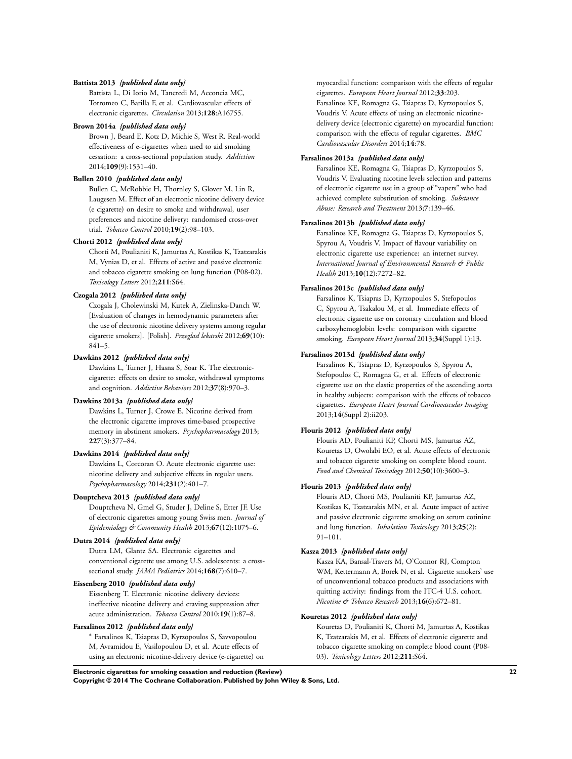### **Battista 2013** *{published data only}*

Battista L, Di Iorio M, Tancredi M, Acconcia MC, Torromeo C, Barilla F, et al. Cardiovascular effects of electronic cigarettes. *Circulation* 2013;**128**:A16755.

### **Brown 2014a** *{published data only}*

Brown J, Beard E, Kotz D, Michie S, West R. Real-world effectiveness of e-cigarettes when used to aid smoking cessation: a cross-sectional population study. *Addiction* 2014;**109**(9):1531–40.

## **Bullen 2010** *{published data only}*

Bullen C, McRobbie H, Thornley S, Glover M, Lin R, Laugesen M. Effect of an electronic nicotine delivery device (e cigarette) on desire to smoke and withdrawal, user preferences and nicotine delivery: randomised cross-over trial. *Tobacco Control* 2010;**19**(2):98–103.

#### **Chorti 2012** *{published data only}*

Chorti M, Poulianiti K, Jamurtas A, Kostikas K, Tzatzarakis M, Vynias D, et al. Effects of active and passive electronic and tobacco cigarette smoking on lung function (P08-02). *Toxicology Letters* 2012;**211**:S64.

### **Czogala 2012** *{published data only}*

Czogala J, Cholewinski M, Kutek A, Zielinska-Danch W. [Evaluation of changes in hemodynamic parameters after the use of electronic nicotine delivery systems among regular cigarette smokers]. [Polish]. *Przeglad lekarski* 2012;**69**(10): 841–5.

## **Dawkins 2012** *{published data only}*

Dawkins L, Turner J, Hasna S, Soar K. The electroniccigarette: effects on desire to smoke, withdrawal symptoms and cognition. *Addictive Behaviors* 2012;**37**(8):970–3.

## **Dawkins 2013a** *{published data only}*

Dawkins L, Turner J, Crowe E. Nicotine derived from the electronic cigarette improves time-based prospective memory in abstinent smokers. *Psychopharmacology* 2013; **227**(3):377–84.

## **Dawkins 2014** *{published data only}*

Dawkins L, Corcoran O. Acute electronic cigarette use: nicotine delivery and subjective effects in regular users. *Psychopharmacology* 2014;**231**(2):401–7.

#### **Douptcheva 2013** *{published data only}*

Douptcheva N, Gmel G, Studer J, Deline S, Etter JF. Use of electronic cigarettes among young Swiss men. *Journal of Epidemiology & Community Health* 2013;**67**(12):1075–6.

#### **Dutra 2014** *{published data only}*

Dutra LM, Glantz SA. Electronic cigarettes and conventional cigarette use among U.S. adolescents: a crosssectional study. *JAMA Pediatrics* 2014;**168**(7):610–7.

#### **Eissenberg 2010** *{published data only}*

Eissenberg T. Electronic nicotine delivery devices: ineffective nicotine delivery and craving suppression after acute administration. *Tobacco Control* 2010;**19**(1):87–8.

#### **Farsalinos 2012** *{published data only}*

<sup>∗</sup> Farsalinos K, Tsiapras D, Kyrzopoulos S, Savvopoulou M, Avramidou E, Vasilopoulou D, et al. Acute effects of using an electronic nicotine-delivery device (e-cigarette) on myocardial function: comparison with the effects of regular cigarettes. *European Heart Journal* 2012;**33**:203. Farsalinos KE, Romagna G, Tsiapras D, Kyrzopoulos S, Voudris V. Acute effects of using an electronic nicotinedelivery device (electronic cigarette) on myocardial function: comparison with the effects of regular cigarettes. *BMC Cardiovascular Disorders* 2014;**14**:78.

## **Farsalinos 2013a** *{published data only}*

Farsalinos KE, Romagna G, Tsiapras D, Kyrzopoulos S, Voudris V. Evaluating nicotine levels selection and patterns of electronic cigarette use in a group of "vapers" who had achieved complete substitution of smoking. *Substance Abuse: Research and Treatment* 2013;**7**:139–46.

## **Farsalinos 2013b** *{published data only}*

Farsalinos KE, Romagna G, Tsiapras D, Kyrzopoulos S, Spyrou A, Voudris V. Impact of flavour variability on electronic cigarette use experience: an internet survey. *International Journal of Environmental Research & Public Health* 2013;**10**(12):7272–82.

## **Farsalinos 2013c** *{published data only}*

Farsalinos K, Tsiapras D, Kyrzopoulos S, Stefopoulos C, Spyrou A, Tsakalou M, et al. Immediate effects of electronic cigarette use on coronary circulation and blood carboxyhemoglobin levels: comparison with cigarette smoking. *European Heart Journal* 2013;**34**(Suppl 1):13.

## **Farsalinos 2013d** *{published data only}*

Farsalinos K, Tsiapras D, Kyrzopoulos S, Spyrou A, Stefopoulos C, Romagna G, et al. Effects of electronic cigarette use on the elastic properties of the ascending aorta in healthy subjects: comparison with the effects of tobacco cigarettes. *European Heart Journal Cardiovascular Imaging* 2013;**14**(Suppl 2):ii203.

#### **Flouris 2012** *{published data only}*

Flouris AD, Poulianiti KP, Chorti MS, Jamurtas AZ, Kouretas D, Owolabi EO, et al. Acute effects of electronic and tobacco cigarette smoking on complete blood count. *Food and Chemical Toxicology* 2012;**50**(10):3600–3.

## **Flouris 2013** *{published data only}*

Flouris AD, Chorti MS, Poulianiti KP, Jamurtas AZ, Kostikas K, Tzatzarakis MN, et al. Acute impact of active and passive electronic cigarette smoking on serum cotinine and lung function. *Inhalation Toxicology* 2013;**25**(2): 91–101.

## **Kasza 2013** *{published data only}*

Kasza KA, Bansal-Travers M, O'Connor RJ, Compton WM, Kettermann A, Borek N, et al. Cigarette smokers' use of unconventional tobacco products and associations with quitting activity: findings from the ITC-4 U.S. cohort. *Nicotine & Tobacco Research* 2013;**16**(6):672–81.

#### **Kouretas 2012** *{published data only}*

Kouretas D, Poulianiti K, Chorti M, Jamurtas A, Kostikas K, Tzatzarakis M, et al. Effects of electronic cigarette and tobacco cigarette smoking on complete blood count (P08- 03). *Toxicology Letters* 2012;**211**:S64.

**Electronic cigarettes for smoking cessation and reduction (Review) 22**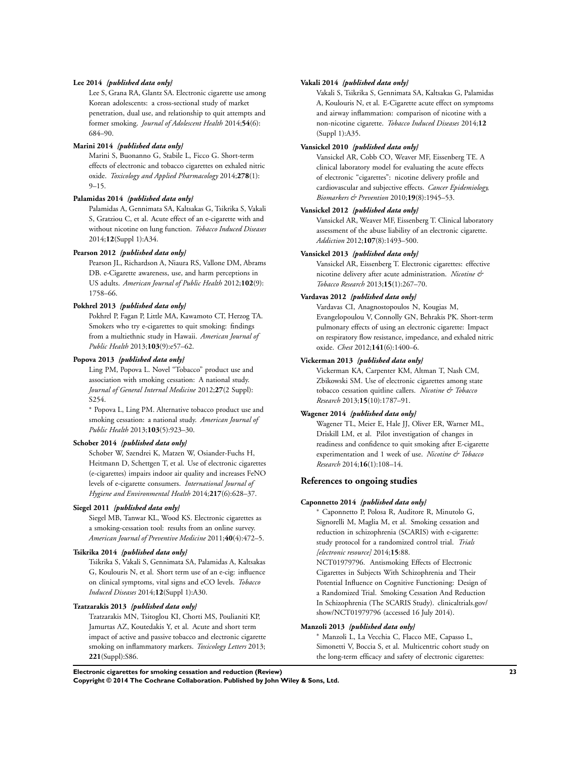## **Lee 2014** *{published data only}*

Lee S, Grana RA, Glantz SA. Electronic cigarette use among Korean adolescents: a cross-sectional study of market penetration, dual use, and relationship to quit attempts and former smoking. *Journal of Adolescent Health* 2014;**54**(6): 684–90.

## **Marini 2014** *{published data only}*

Marini S, Buonanno G, Stabile L, Ficco G. Short-term effects of electronic and tobacco cigarettes on exhaled nitric oxide. *Toxicology and Applied Pharmacology* 2014;**278**(1):  $9 - 15$ 

#### **Palamidas 2014** *{published data only}*

Palamidas A, Gennimata SA, Kaltsakas G, Tsikrika S, Vakali S, Gratziou C, et al. Acute effect of an e-cigarette with and without nicotine on lung function. *Tobacco Induced Diseases* 2014;**12**(Suppl 1):A34.

## **Pearson 2012** *{published data only}*

Pearson JL, Richardson A, Niaura RS, Vallone DM, Abrams DB. e-Cigarette awareness, use, and harm perceptions in US adults. *American Journal of Public Health* 2012;**102**(9): 1758–66.

### **Pokhrel 2013** *{published data only}*

Pokhrel P, Fagan P, Little MA, Kawamoto CT, Herzog TA. Smokers who try e-cigarettes to quit smoking: findings from a multiethnic study in Hawaii. *American Journal of Public Health* 2013;**103**(9):e57–62.

## **Popova 2013** *{published data only}*

Ling PM, Popova L. Novel "Tobacco" product use and association with smoking cessation: A national study. *Journal of General Internal Medicine* 2012;**27**(2 Suppl): S254.

<sup>∗</sup> Popova L, Ling PM. Alternative tobacco product use and smoking cessation: a national study. *American Journal of Public Health* 2013;**103**(5):923–30.

## **Schober 2014** *{published data only}*

Schober W, Szendrei K, Matzen W, Osiander-Fuchs H, Heitmann D, Schettgen T, et al. Use of electronic cigarettes (e-cigarettes) impairs indoor air quality and increases FeNO levels of e-cigarette consumers. *International Journal of Hygiene and Environmental Health* 2014;**217**(6):628–37.

## **Siegel 2011** *{published data only}*

Siegel MB, Tanwar KL, Wood KS. Electronic cigarettes as a smoking-cessation tool: results from an online survey. *American Journal of Preventive Medicine* 2011;**40**(4):472–5.

#### **Tsikrika 2014** *{published data only}*

Tsikrika S, Vakali S, Gennimata SA, Palamidas A, Kaltsakas G, Koulouris N, et al. Short term use of an e-cig: influence on clinical symptoms, vital signs and eCO levels. *Tobacco Induced Diseases* 2014;**12**(Suppl 1):A30.

### **Tzatzarakis 2013** *{published data only}*

Tzatzarakis MN, Tsitoglou KI, Chorti MS, Poulianiti KP, Jamurtas AZ, Koutedakis Y, et al. Acute and short term impact of active and passive tobacco and electronic cigarette smoking on inflammatory markers. *Toxicology Letters* 2013; **221**(Suppl):S86.

#### **Vakali 2014** *{published data only}*

Vakali S, Tsikrika S, Gennimata SA, Kaltsakas G, Palamidas A, Koulouris N, et al. E-Cigarette acute effect on symptoms and airway inflammation: comparison of nicotine with a non-nicotine cigarette. *Tobacco Induced Diseases* 2014;**12** (Suppl 1):A35.

### **Vansickel 2010** *{published data only}*

Vansickel AR, Cobb CO, Weaver MF, Eissenberg TE. A clinical laboratory model for evaluating the acute effects of electronic "cigarettes": nicotine delivery profile and cardiovascular and subjective effects. *Cancer Epidemiology, Biomarkers & Prevention* 2010;**19**(8):1945–53.

## **Vansickel 2012** *{published data only}*

Vansickel AR, Weaver MF, Eissenberg T. Clinical laboratory assessment of the abuse liability of an electronic cigarette. *Addiction* 2012;**107**(8):1493–500.

## **Vansickel 2013** *{published data only}*

Vansickel AR, Eissenberg T. Electronic cigarettes: effective nicotine delivery after acute administration. *Nicotine & Tobacco Research* 2013;**15**(1):267–70.

## **Vardavas 2012** *{published data only}*

Vardavas CI, Anagnostopoulos N, Kougias M, Evangelopoulou V, Connolly GN, Behrakis PK. Short-term pulmonary effects of using an electronic cigarette: Impact on respiratory flow resistance, impedance, and exhaled nitric oxide. *Chest* 2012;**141**(6):1400–6.

#### **Vickerman 2013** *{published data only}*

Vickerman KA, Carpenter KM, Altman T, Nash CM, Zbikowski SM. Use of electronic cigarettes among state tobacco cessation quitline callers. *Nicotine & Tobacco Research* 2013;**15**(10):1787–91.

## **Wagener 2014** *{published data only}*

Wagener TL, Meier E, Hale JJ, Oliver ER, Warner ML, Driskill LM, et al. Pilot investigation of changes in readiness and confidence to quit smoking after E-cigarette experimentation and 1 week of use. *Nicotine & Tobacco Research* 2014;**16**(1):108–14.

## **References to ongoing studies**

#### **Caponnetto 2014** *{published data only}*

<sup>∗</sup> Caponnetto P, Polosa R, Auditore R, Minutolo G, Signorelli M, Maglia M, et al. Smoking cessation and reduction in schizophrenia (SCARIS) with e-cigarette: study protocol for a randomized control trial. *Trials [electronic resource]* 2014;**15**:88.

NCT01979796. Antismoking Effects of Electronic Cigarettes in Subjects With Schizophrenia and Their Potential Influence on Cognitive Functioning: Design of a Randomized Trial. Smoking Cessation And Reduction In Schizophrenia (The SCARIS Study). clinicaltrials.gov/ show/NCT01979796 (accessed 16 July 2014).

#### **Manzoli 2013** *{published data only}*

<sup>∗</sup> Manzoli L, La Vecchia C, Flacco ME, Capasso L, Simonetti V, Boccia S, et al. Multicentric cohort study on the long-term efficacy and safety of electronic cigarettes:

**Electronic cigarettes for smoking cessation and reduction (Review) 23**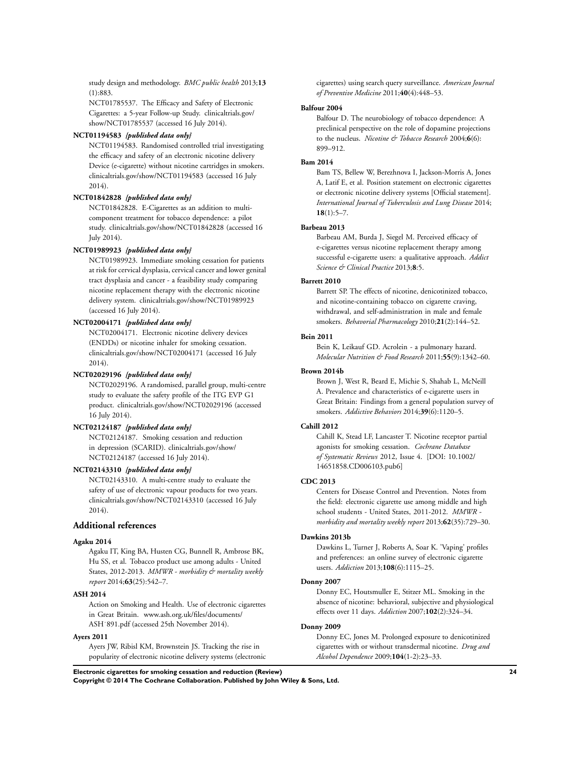study design and methodology. *BMC public health* 2013;**13** (1):883.

NCT01785537. The Efficacy and Safety of Electronic Cigarettes: a 5-year Follow-up Study. clinicaltrials.gov/ show/NCT01785537 (accessed 16 July 2014).

# **NCT01194583** *{published data only}*

NCT01194583. Randomised controlled trial investigating the efficacy and safety of an electronic nicotine delivery Device (e-cigarette) without nicotine cartridges in smokers. clinicaltrials.gov/show/NCT01194583 (accessed 16 July 2014).

#### **NCT01842828** *{published data only}*

NCT01842828. E-Cigarettes as an addition to multicomponent treatment for tobacco dependence: a pilot study. clinicaltrials.gov/show/NCT01842828 (accessed 16 July 2014).

#### **NCT01989923** *{published data only}*

NCT01989923. Immediate smoking cessation for patients at risk for cervical dysplasia, cervical cancer and lower genital tract dysplasia and cancer - a feasibility study comparing nicotine replacement therapy with the electronic nicotine delivery system. clinicaltrials.gov/show/NCT01989923 (accessed 16 July 2014).

#### **NCT02004171** *{published data only}*

NCT02004171. Electronic nicotine delivery devices (ENDDs) or nicotine inhaler for smoking cessation. clinicaltrials.gov/show/NCT02004171 (accessed 16 July 2014).

#### **NCT02029196** *{published data only}*

NCT02029196. A randomised, parallel group, multi-centre study to evaluate the safety profile of the ITG EVP G1 product. clinicaltrials.gov/show/NCT02029196 (accessed 16 July 2014).

## **NCT02124187** *{published data only}*

NCT02124187. Smoking cessation and reduction in depression (SCARID). clinicaltrials.gov/show/ NCT02124187 (accessed 16 July 2014).

## **NCT02143310** *{published data only}*

NCT02143310. A multi-centre study to evaluate the safety of use of electronic vapour products for two years. clinicaltrials.gov/show/NCT02143310 (accessed 16 July 2014).

## **Additional references**

## **Agaku 2014**

Agaku IT, King BA, Husten CG, Bunnell R, Ambrose BK, Hu SS, et al. Tobacco product use among adults - United States, 2012-2013. *MMWR - morbidity & mortality weekly report* 2014;**63**(25):542–7.

#### **ASH 2014**

Action on Smoking and Health. Use of electronic cigarettes in Great Britain. www.ash.org.uk/files/documents/ ASH˙891.pdf (accessed 25th November 2014).

## **Ayers 2011**

Ayers JW, Ribisl KM, Brownstein JS. Tracking the rise in popularity of electronic nicotine delivery systems (electronic cigarettes) using search query surveillance. *American Journal of Preventive Medicine* 2011;**40**(4):448–53.

#### **Balfour 2004**

Balfour D. The neurobiology of tobacco dependence: A preclinical perspective on the role of dopamine projections to the nucleus. *Nicotine & Tobacco Research* 2004;**6**(6): 899–912.

## **Bam 2014**

Bam TS, Bellew W, Berezhnova I, Jackson-Morris A, Jones A, Latif E, et al. Position statement on electronic cigarettes or electronic nicotine delivery systems [Official statement]. *International Journal of Tuberculosis and Lung Disease* 2014; **18**(1):5–7.

#### **Barbeau 2013**

Barbeau AM, Burda J, Siegel M. Perceived efficacy of e-cigarettes versus nicotine replacement therapy among successful e-cigarette users: a qualitative approach. *Addict Science & Clinical Practice* 2013;**8**:5.

#### **Barrett 2010**

Barrett SP. The effects of nicotine, denicotinized tobacco, and nicotine-containing tobacco on cigarette craving, withdrawal, and self-administration in male and female smokers. *Behavorial Pharmacology* 2010;**21**(2):144–52.

## **Bein 2011**

Bein K, Leikauf GD. Acrolein - a pulmonary hazard. *Molecular Nutrition & Food Research* 2011;**55**(9):1342–60.

## **Brown 2014b**

Brown J, West R, Beard E, Michie S, Shahab L, McNeill A. Prevalence and characteristics of e-cigarette users in Great Britain: Findings from a general population survey of smokers. *Addictive Behaviors* 2014;**39**(6):1120–5.

#### **Cahill 2012**

Cahill K, Stead LF, Lancaster T. Nicotine receptor partial agonists for smoking cessation. *Cochrane Database of Systematic Reviews* 2012, Issue 4. [DOI: 10.1002/ 14651858.CD006103.pub6]

#### **CDC 2013**

Centers for Disease Control and Prevention. Notes from the field: electronic cigarette use among middle and high school students - United States, 2011-2012. *MMWR morbidity and mortality weekly report* 2013;**62**(35):729–30.

#### **Dawkins 2013b**

Dawkins L, Turner J, Roberts A, Soar K. 'Vaping' profiles and preferences: an online survey of electronic cigarette users. *Addiction* 2013;**108**(6):1115–25.

#### **Donny 2007**

Donny EC, Houtsmuller E, Stitzer ML. Smoking in the absence of nicotine: behavioral, subjective and physiological effects over 11 days. *Addiction* 2007;**102**(2):324–34.

## **Donny 2009**

Donny EC, Jones M. Prolonged exposure to denicotinized cigarettes with or without transdermal nicotine. *Drug and Alcohol Dependence* 2009;**104**(1-2):23–33.

**Electronic cigarettes for smoking cessation and reduction (Review) 24**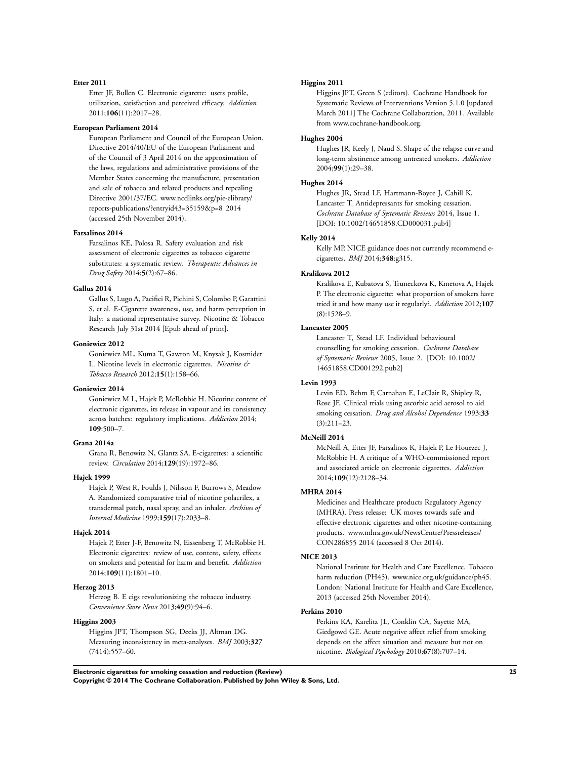#### **Etter 2011**

Etter JF, Bullen C. Electronic cigarette: users profile, utilization, satisfaction and perceived efficacy. *Addiction* 2011;**106**(11):2017–28.

#### **European Parliament 2014**

European Parliament and Council of the European Union. Directive 2014/40/EU of the European Parliament and of the Council of 3 April 2014 on the approximation of the laws, regulations and administrative provisions of the Member States concerning the manufacture, presentation and sale of tobacco and related products and repealing Directive 2001/37/EC. www.ncdlinks.org/pie-elibrary/ reports-publications/?entryid43=35159&p=8 2014 (accessed 25th November 2014).

### **Farsalinos 2014**

Farsalinos KE, Polosa R. Safety evaluation and risk assessment of electronic cigarettes as tobacco cigarette substitutes: a systematic review. *Therapeutic Advances in Drug Safety* 2014;**5**(2):67–86.

#### **Gallus 2014**

Gallus S, Lugo A, Pacifici R, Pichini S, Colombo P, Garattini S, et al. E-Cigarette awareness, use, and harm perception in Italy: a national representative survey. Nicotine & Tobacco Research July 31st 2014 [Epub ahead of print].

### **Goniewicz 2012**

Goniewicz ML, Kuma T, Gawron M, Knysak J, Kosmider L. Nicotine levels in electronic cigarettes. *Nicotine & Tobacco Research* 2012;**15**(1):158–66.

#### **Goniewicz 2014**

Goniewicz M L, Hajek P, McRobbie H. Nicotine content of electronic cigarettes, its release in vapour and its consistency across batches: regulatory implications. *Addiction* 2014; **109**:500–7.

#### **Grana 2014a**

Grana R, Benowitz N, Glantz SA. E-cigarettes: a scientific review. *Circulation* 2014;**129**(19):1972–86.

## **Hajek 1999**

Hajek P, West R, Foulds J, Nilsson F, Burrows S, Meadow A. Randomized comparative trial of nicotine polacrilex, a transdermal patch, nasal spray, and an inhaler. *Archives of Internal Medicine* 1999;**159**(17):2033–8.

### **Hajek 2014**

Hajek P, Etter J-F, Benowitz N, Eissenberg T, McRobbie H. Electronic cigarettes: review of use, content, safety, effects on smokers and potential for harm and benefit. *Addiction* 2014;**109**(11):1801–10.

## **Herzog 2013**

Herzog B. E cigs revolutionizing the tobacco industry. *Convenience Store News* 2013;**49**(9):94–6.

## **Higgins 2003**

Higgins JPT, Thompson SG, Deeks JJ, Altman DG. Measuring inconsistency in meta-analyses. *BMJ* 2003;**327** (7414):557–60.

#### **Higgins 2011**

Higgins JPT, Green S (editors). Cochrane Handbook for Systematic Reviews of Interventions Version 5.1.0 [updated March 2011] The Cochrane Collaboration, 2011. Available from www.cochrane-handbook.org.

#### **Hughes 2004**

Hughes JR, Keely J, Naud S. Shape of the relapse curve and long-term abstinence among untreated smokers. *Addiction* 2004;**99**(1):29–38.

### **Hughes 2014**

Hughes JR, Stead LF, Hartmann-Boyce J, Cahill K, Lancaster T. Antidepressants for smoking cessation. *Cochrane Database of Systematic Reviews* 2014, Issue 1. [DOI: 10.1002/14651858.CD000031.pub4]

## **Kelly 2014**

Kelly MP. NICE guidance does not currently recommend ecigarettes. *BMJ* 2014;**348**:g315.

#### **Kralikova 2012**

Kralikova E, Kubatova S, Truneckova K, Kmetova A, Hajek P. The electronic cigarette: what proportion of smokers have tried it and how many use it regularly?. *Addiction* 2012;**107** (8):1528–9.

#### **Lancaster 2005**

Lancaster T, Stead LF. Individual behavioural counselling for smoking cessation. *Cochrane Database of Systematic Reviews* 2005, Issue 2. [DOI: 10.1002/ 14651858.CD001292.pub2]

#### **Levin 1993**

Levin ED, Behm F, Carnahan E, LeClair R, Shipley R, Rose JE. Clinical trials using ascorbic acid aerosol to aid smoking cessation. *Drug and Alcohol Dependence* 1993;**33** (3):211–23.

#### **McNeill 2014**

McNeill A, Etter JF, Farsalinos K, Hajek P, Le Houezec J, McRobbie H. A critique of a WHO-commissioned report and associated article on electronic cigarettes. *Addiction* 2014;**109**(12):2128–34.

## **MHRA 2014**

Medicines and Healthcare products Regulatory Agency (MHRA). Press release: UK moves towards safe and effective electronic cigarettes and other nicotine-containing products. www.mhra.gov.uk/NewsCentre/Pressreleases/ CON286855 2014 (accessed 8 Oct 2014).

#### **NICE 2013**

National Institute for Health and Care Excellence. Tobacco harm reduction (PH45). www.nice.org.uk/guidance/ph45. London: National Institute for Health and Care Excellence, 2013 (accessed 25th November 2014).

## **Perkins 2010**

Perkins KA, Karelitz JL, Conklin CA, Sayette MA, Giedgowd GE. Acute negative affect relief from smoking depends on the affect situation and measure but not on nicotine. *Biological Psychology* 2010;**67**(8):707–14.

**Electronic cigarettes for smoking cessation and reduction (Review) 25 Copyright © 2014 The Cochrane Collaboration. Published by John Wiley & Sons, Ltd.**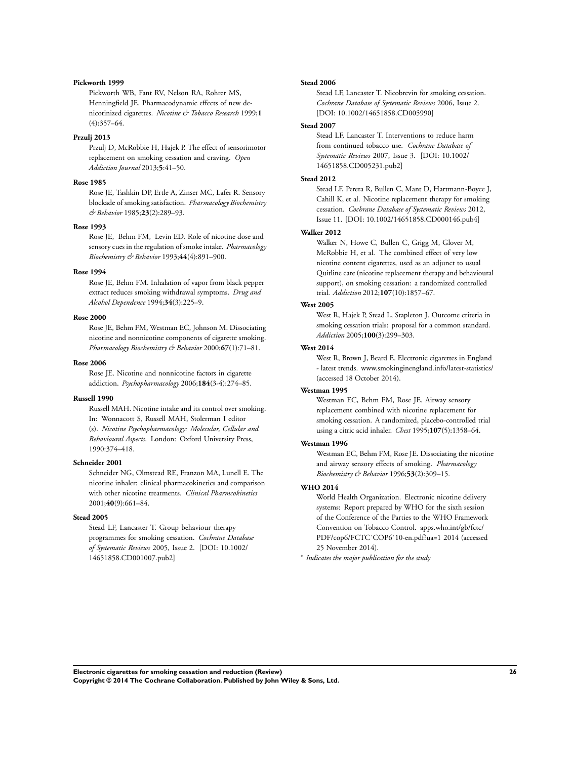#### **Pickworth 1999**

Pickworth WB, Fant RV, Nelson RA, Rohrer MS, Henningfield JE. Pharmacodynamic effects of new denicotinized cigarettes. *Nicotine & Tobacco Research* 1999;**1** (4):357–64.

#### **Przulj 2013**

Przulj D, McRobbie H, Hajek P. The effect of sensorimotor replacement on smoking cessation and craving. *Open Addiction Journal* 2013;**5**:41–50.

## **Rose 1985**

Rose JE, Tashkin DP, Ertle A, Zinser MC, Lafer R. Sensory blockade of smoking satisfaction. *Pharmacology Biochemistry & Behavior* 1985;**23**(2):289–93.

#### **Rose 1993**

Rose JE, Behm FM, Levin ED. Role of nicotine dose and sensory cues in the regulation of smoke intake. *Pharmacology Biochemistry & Behavior* 1993;**44**(4):891–900.

#### **Rose 1994**

Rose JE, Behm FM. Inhalation of vapor from black pepper extract reduces smoking withdrawal symptoms. *Drug and Alcohol Dependence* 1994;**34**(3):225–9.

#### **Rose 2000**

Rose JE, Behm FM, Westman EC, Johnson M. Dissociating nicotine and nonnicotine components of cigarette smoking. *Pharmacology Biochemistry & Behavior* 2000;**67**(1):71–81.

#### **Rose 2006**

Rose JE. Nicotine and nonnicotine factors in cigarette addiction. *Psychopharmacology* 2006;**184**(3-4):274–85.

#### **Russell 1990**

Russell MAH. Nicotine intake and its control over smoking. In: Wonnacott S, Russell MAH, Stolerman I editor (s). *Nicotine Psychopharmacology: Molecular, Cellular and Behavioural Aspects*. London: Oxford University Press, 1990:374–418.

#### **Schneider 2001**

Schneider NG, Olmstead RE, Franzon MA, Lunell E. The nicotine inhaler: clinical pharmacokinetics and comparison with other nicotine treatments. *Clinical Pharmcokinetics* 2001;**40**(9):661–84.

#### **Stead 2005**

Stead LF, Lancaster T. Group behaviour therapy programmes for smoking cessation. *Cochrane Database of Systematic Reviews* 2005, Issue 2. [DOI: 10.1002/ 14651858.CD001007.pub2]

#### **Stead 2006**

Stead LF, Lancaster T. Nicobrevin for smoking cessation. *Cochrane Database of Systematic Reviews* 2006, Issue 2. [DOI: 10.1002/14651858.CD005990]

### **Stead 2007**

Stead LF, Lancaster T. Interventions to reduce harm from continued tobacco use. *Cochrane Database of Systematic Reviews* 2007, Issue 3. [DOI: 10.1002/ 14651858.CD005231.pub2]

#### **Stead 2012**

Stead LF, Perera R, Bullen C, Mant D, Hartmann-Boyce J, Cahill K, et al. Nicotine replacement therapy for smoking cessation. *Cochrane Database of Systematic Reviews* 2012, Issue 11. [DOI: 10.1002/14651858.CD000146.pub4]

#### **Walker 2012**

Walker N, Howe C, Bullen C, Grigg M, Glover M, McRobbie H, et al. The combined effect of very low nicotine content cigarettes, used as an adjunct to usual Quitline care (nicotine replacement therapy and behavioural support), on smoking cessation: a randomized controlled trial. *Addiction* 2012;**107**(10):1857–67.

#### **West 2005**

West R, Hajek P, Stead L, Stapleton J. Outcome criteria in smoking cessation trials: proposal for a common standard. *Addiction* 2005;**100**(3):299–303.

#### **West 2014**

West R, Brown J, Beard E. Electronic cigarettes in England - latest trends. www.smokinginengland.info/latest-statistics/ (accessed 18 October 2014).

#### **Westman 1995**

Westman EC, Behm FM, Rose JE. Airway sensory replacement combined with nicotine replacement for smoking cessation. A randomized, placebo-controlled trial using a citric acid inhaler. *Chest* 1995;**107**(5):1358–64.

#### **Westman 1996**

Westman EC, Behm FM, Rose JE. Dissociating the nicotine and airway sensory effects of smoking. *Pharmacology Biochemistry & Behavior* 1996;**53**(2):309–15.

#### **WHO 2014**

World Health Organization. Electronic nicotine delivery systems: Report prepared by WHO for the sixth session of the Conference of the Parties to the WHO Framework Convention on Tobacco Control. apps.who.int/gb/fctc/ PDF/cop6/FCTC˙COP6˙10-en.pdf?ua=1 2014 (accessed 25 November 2014).

∗ *Indicates the major publication for the study*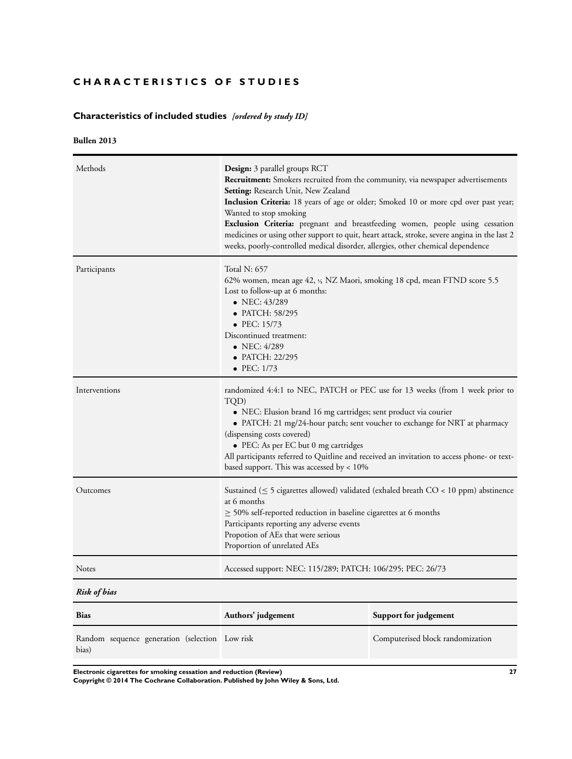# <span id="page-28-0"></span>**CHARACTERISTICS OF STUDIES**

# **Characteristics of included studies** *[ordered by study ID]*

# **Bullen 2013**

| Methods                                        | Design: 3 parallel groups RCT<br>Recruitment: Smokers recruited from the community, via newspaper advertisements<br>Setting: Research Unit, New Zealand<br>Inclusion Criteria: 18 years of age or older; Smoked 10 or more cpd over past year;<br>Wanted to stop smoking<br>Exclusion Criteria: pregnant and breastfeeding women, people using cessation<br>medicines or using other support to quit, heart attack, stroke, severe angina in the last 2<br>weeks, poorly-controlled medical disorder, allergies, other chemical dependence |                                  |  |
|------------------------------------------------|--------------------------------------------------------------------------------------------------------------------------------------------------------------------------------------------------------------------------------------------------------------------------------------------------------------------------------------------------------------------------------------------------------------------------------------------------------------------------------------------------------------------------------------------|----------------------------------|--|
| Participants                                   | Total N: 657<br>62% women, mean age 42, $\times$ NZ Maori, smoking 18 cpd, mean FTND score 5.5<br>Lost to follow-up at 6 months:<br>$\bullet$ NEC: 43/289<br>• PATCH: 58/295<br>$\bullet$ PEC: 15/73<br>Discontinued treatment:<br>$\bullet$ NEC: $4/289$<br>• PATCH: 22/295<br>$\bullet$ PEC: 1/73                                                                                                                                                                                                                                        |                                  |  |
| Interventions                                  | randomized 4:4:1 to NEC, PATCH or PEC use for 13 weeks (from 1 week prior to<br>TQD)<br>• NEC: Elusion brand 16 mg cartridges; sent product via courier<br>• PATCH: 21 mg/24-hour patch; sent voucher to exchange for NRT at pharmacy<br>(dispensing costs covered)<br>• PEC: As per EC but 0 mg cartridges<br>All participants referred to Quitline and received an invitation to access phone- or text-<br>based support. This was accessed by < 10%                                                                                     |                                  |  |
| Outcomes                                       | Sustained ( $\leq$ 5 cigarettes allowed) validated (exhaled breath CO < 10 ppm) abstinence<br>at 6 months<br>$\geq$ 50% self-reported reduction in baseline cigarettes at 6 months<br>Participants reporting any adverse events<br>Propotion of AEs that were serious<br>Proportion of unrelated AEs                                                                                                                                                                                                                                       |                                  |  |
| <b>Notes</b>                                   | Accessed support: NEC: 115/289; PATCH: 106/295; PEC: 26/73                                                                                                                                                                                                                                                                                                                                                                                                                                                                                 |                                  |  |
| <b>Risk of bias</b>                            |                                                                                                                                                                                                                                                                                                                                                                                                                                                                                                                                            |                                  |  |
| <b>Bias</b>                                    | Authors' judgement                                                                                                                                                                                                                                                                                                                                                                                                                                                                                                                         | Support for judgement            |  |
| Random sequence generation (selection Low risk |                                                                                                                                                                                                                                                                                                                                                                                                                                                                                                                                            | Computerised block randomization |  |

**Electronic cigarettes for smoking cessation and reduction (Review) 27**

bias)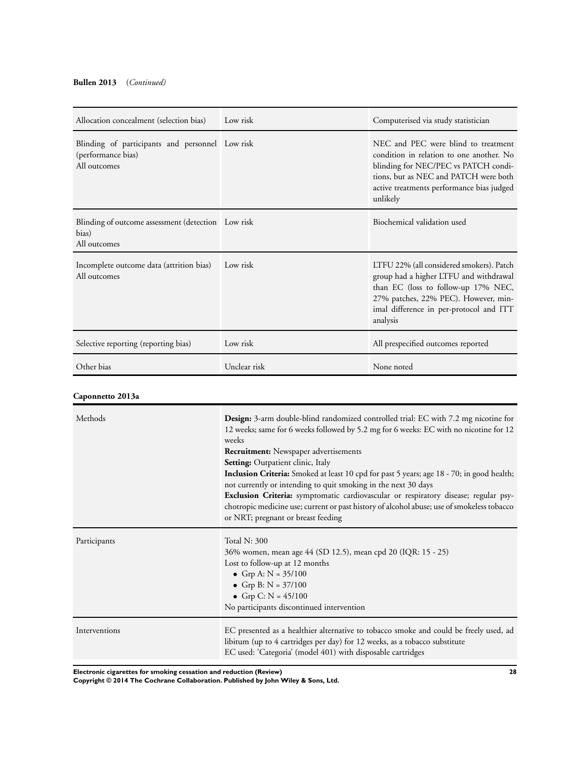# **Bullen 2013** (*Continued)*

| Allocation concealment (selection bias)                                               | Low risk     | Computerised via study statistician                                                                                                                                                                                       |
|---------------------------------------------------------------------------------------|--------------|---------------------------------------------------------------------------------------------------------------------------------------------------------------------------------------------------------------------------|
| Blinding of participants and personnel Low risk<br>(performance bias)<br>All outcomes |              | NEC and PEC were blind to treatment<br>condition in relation to one another. No<br>blinding for NEC/PEC vs PATCH condi-<br>tions, but as NEC and PATCH were both<br>active treatments performance bias judged<br>unlikely |
| Blinding of outcome assessment (detection Low risk<br>bias)<br>All outcomes           |              | Biochemical validation used                                                                                                                                                                                               |
| Incomplete outcome data (attrition bias)<br>All outcomes                              | Low risk     | LTFU 22% (all considered smokers). Patch<br>group had a higher LTFU and withdrawal<br>than EC (loss to follow-up 17% NEC,<br>27% patches, 22% PEC). However, min-<br>imal difference in per-protocol and ITT<br>analysis  |
| Selective reporting (reporting bias)                                                  | Low risk     | All prespecified outcomes reported                                                                                                                                                                                        |
| Other bias                                                                            | Unclear risk | None noted                                                                                                                                                                                                                |

# **Caponnetto 2013a**

| Methods       | <b>Design:</b> 3-arm double-blind randomized controlled trial: EC with 7.2 mg nicotine for<br>12 weeks; same for 6 weeks followed by 5.2 mg for 6 weeks: EC with no nicotine for 12<br>weeks<br><b>Recruitment:</b> Newspaper advertisements<br><b>Setting:</b> Outpatient clinic, Italy<br>Inclusion Criteria: Smoked at least 10 cpd for past 5 years; age 18 - 70; in good health;<br>not currently or intending to quit smoking in the next 30 days<br>Exclusion Criteria: symptomatic cardiovascular or respiratory disease; regular psy-<br>chotropic medicine use; current or past history of alcohol abuse; use of smokeless tobacco<br>or NRT; pregnant or breast feeding |
|---------------|------------------------------------------------------------------------------------------------------------------------------------------------------------------------------------------------------------------------------------------------------------------------------------------------------------------------------------------------------------------------------------------------------------------------------------------------------------------------------------------------------------------------------------------------------------------------------------------------------------------------------------------------------------------------------------|
| Participants  | Total N: 300<br>36% women, mean age 44 (SD 12.5), mean cpd 20 (IQR: 15 - 25)<br>Lost to follow-up at 12 months<br>• Grp A: $N = 35/100$<br>• Grp B: $N = 37/100$<br>• Grp C: $N = 45/100$<br>No participants discontinued intervention                                                                                                                                                                                                                                                                                                                                                                                                                                             |
| Interventions | EC presented as a healthier alternative to tobacco smoke and could be freely used, ad<br>libitum (up to 4 cartridges per day) for 12 weeks, as a tobacco substitute<br>EC used: 'Categoria' (model 401) with disposable cartridges                                                                                                                                                                                                                                                                                                                                                                                                                                                 |

**Electronic cigarettes for smoking cessation and reduction (Review) 28**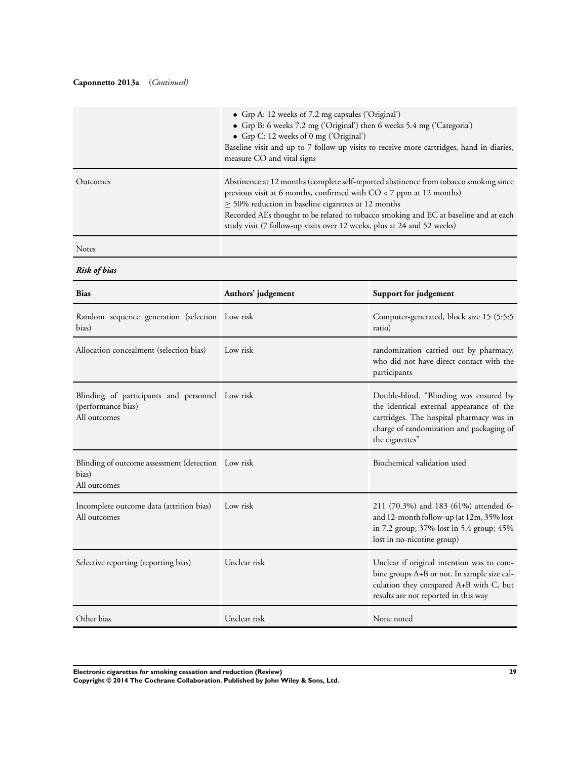# **Caponnetto 2013a** (*Continued)*

|                 | • Grp A: 12 weeks of 7.2 mg capsules ('Original')<br>• Grp B: 6 weeks 7.2 mg ('Original') then 6 weeks 5.4 mg ('Categoria')<br>• Grp C: 12 weeks of 0 mg ('Original')<br>Baseline visit and up to 7 follow-up visits to receive more cartridges, hand in diaries,<br>measure CO and vital signs                                                                                             |
|-----------------|---------------------------------------------------------------------------------------------------------------------------------------------------------------------------------------------------------------------------------------------------------------------------------------------------------------------------------------------------------------------------------------------|
| <b>Outcomes</b> | Abstinence at 12 months (complete self-reported abstinence from tobacco smoking since<br>previous visit at 6 months, confirmed with CO < 7 ppm at 12 months)<br>$\geq$ 50% reduction in baseline cigarettes at 12 months<br>Recorded AEs thought to be related to tobacco smoking and EC at baseline and at each<br>study visit (7 follow-up visits over 12 weeks, plus at 24 and 52 weeks) |
|                 |                                                                                                                                                                                                                                                                                                                                                                                             |

Notes

*Risk of bias*

| <b>Bias</b>                                                                           | Authors' judgement | Support for judgement                                                                                                                                                                         |
|---------------------------------------------------------------------------------------|--------------------|-----------------------------------------------------------------------------------------------------------------------------------------------------------------------------------------------|
| Random sequence generation (selection Low risk<br>bias)                               |                    | Computer-generated, block size 15 (5:5:5<br>ratio)                                                                                                                                            |
| Allocation concealment (selection bias)                                               | Low risk           | randomization carried out by pharmacy,<br>who did not have direct contact with the<br>participants                                                                                            |
| Blinding of participants and personnel Low risk<br>(performance bias)<br>All outcomes |                    | Double-blind. "Blinding was ensured by<br>the identical external appearance of the<br>cartridges. The hospital pharmacy was in<br>charge of randomization and packaging of<br>the cigarettes" |
| Blinding of outcome assessment (detection Low risk<br>bias)<br>All outcomes           |                    | Biochemical validation used                                                                                                                                                                   |
| Incomplete outcome data (attrition bias)<br>All outcomes                              | Low risk           | 211 (70.3%) and 183 (61%) attended 6-<br>and 12-month follow-up (at 12m, 35% lost<br>in 7.2 group; 37% lost in 5.4 group; 45%<br>lost in no-nicotine group)                                   |
| Selective reporting (reporting bias)                                                  | Unclear risk       | Unclear if original intention was to com-<br>bine groups A+B or not. In sample size cal-<br>culation they compared A+B with C, but<br>results are not reported in this way                    |
| Other bias                                                                            | Unclear risk       | None noted                                                                                                                                                                                    |

**Electronic cigarettes for smoking cessation and reduction (Review) 29**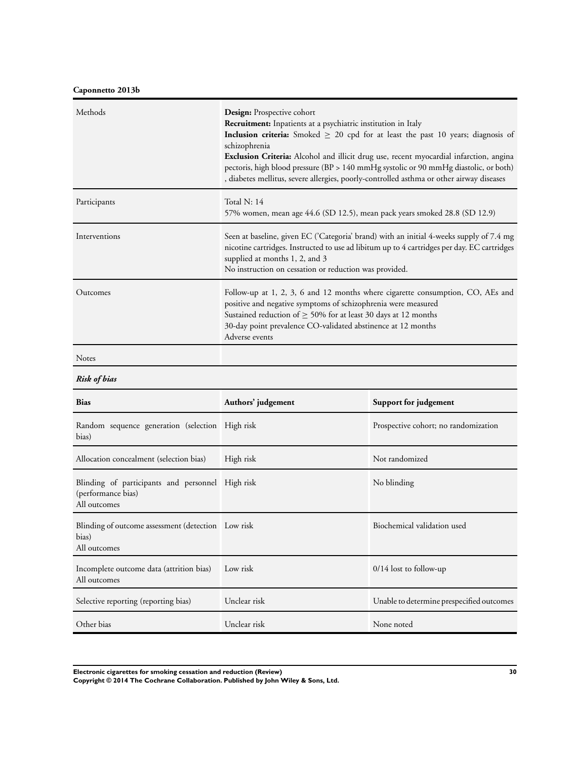# **Caponnetto 2013b**

| Methods       | Design: Prospective cohort<br><b>Recruitment:</b> Inpatients at a psychiatric institution in Italy<br>Inclusion criteria: Smoked $\geq 20$ cpd for at least the past 10 years; diagnosis of<br>schizophrenia<br>Exclusion Criteria: Alcohol and illicit drug use, recent myocardial infarction, angina<br>pectoris, high blood pressure (BP > 140 mmHg systolic or 90 mmHg diastolic, or both)<br>, diabetes mellitus, severe allergies, poorly-controlled asthma or other airway diseases |
|---------------|--------------------------------------------------------------------------------------------------------------------------------------------------------------------------------------------------------------------------------------------------------------------------------------------------------------------------------------------------------------------------------------------------------------------------------------------------------------------------------------------|
| Participants  | Total N: 14<br>57% women, mean age 44.6 (SD 12.5), mean pack years smoked 28.8 (SD 12.9)                                                                                                                                                                                                                                                                                                                                                                                                   |
| Interventions | Seen at baseline, given EC ('Categoria' brand) with an initial 4-weeks supply of 7.4 mg<br>nicotine cartridges. Instructed to use ad libitum up to 4 cartridges per day. EC cartridges<br>supplied at months 1, 2, and 3<br>No instruction on cessation or reduction was provided.                                                                                                                                                                                                         |
| Outcomes      | Follow-up at 1, 2, 3, 6 and 12 months where cigarette consumption, CO, AEs and<br>positive and negative symptoms of schizophrenia were measured<br>Sustained reduction of $\geq$ 50% for at least 30 days at 12 months<br>30-day point prevalence CO-validated abstinence at 12 months<br>Adverse events                                                                                                                                                                                   |
| <b>Notes</b>  |                                                                                                                                                                                                                                                                                                                                                                                                                                                                                            |

# *Risk of bias*

| <b>Bias</b>                                                                            | Authors' judgement | Support for judgement                     |
|----------------------------------------------------------------------------------------|--------------------|-------------------------------------------|
| Random sequence generation (selection High risk<br>bias)                               |                    | Prospective cohort; no randomization      |
| Allocation concealment (selection bias)                                                | High risk          | Not randomized                            |
| Blinding of participants and personnel High risk<br>(performance bias)<br>All outcomes |                    | No blinding                               |
| Blinding of outcome assessment (detection Low risk<br>bias)<br>All outcomes            |                    | Biochemical validation used               |
| Incomplete outcome data (attrition bias)<br>All outcomes                               | Low risk           | $0/14$ lost to follow-up                  |
| Selective reporting (reporting bias)                                                   | Unclear risk       | Unable to determine prespecified outcomes |
| Other bias                                                                             | Unclear risk       | None noted                                |

**Electronic cigarettes for smoking cessation and reduction (Review) 30**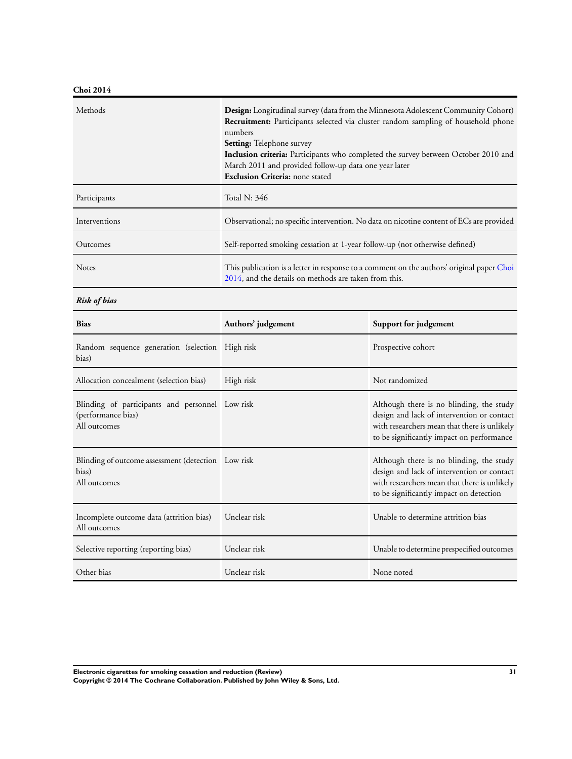**Choi 2014**

| Methods       | <b>Design:</b> Longitudinal survey (data from the Minnesota Adolescent Community Cohort)<br><b>Recruitment:</b> Participants selected via cluster random sampling of household phone<br>numbers<br><b>Setting:</b> Telephone survey<br>Inclusion criteria: Participants who completed the survey between October 2010 and<br>March 2011 and provided follow-up data one year later<br><b>Exclusion Criteria:</b> none stated |
|---------------|------------------------------------------------------------------------------------------------------------------------------------------------------------------------------------------------------------------------------------------------------------------------------------------------------------------------------------------------------------------------------------------------------------------------------|
| Participants  | Total N: 346                                                                                                                                                                                                                                                                                                                                                                                                                 |
| Interventions | Observational; no specific intervention. No data on nicotine content of ECs are provided                                                                                                                                                                                                                                                                                                                                     |
| Outcomes      | Self-reported smoking cessation at 1-year follow-up (not otherwise defined)                                                                                                                                                                                                                                                                                                                                                  |
| <b>Notes</b>  | This publication is a letter in response to a comment on the authors' original paper Choi<br>2014, and the details on methods are taken from this.                                                                                                                                                                                                                                                                           |

*Risk of bias*

| <b>Bias</b>                                                                           | Authors' judgement | Support for judgement                                                                                                                                                               |
|---------------------------------------------------------------------------------------|--------------------|-------------------------------------------------------------------------------------------------------------------------------------------------------------------------------------|
| Random sequence generation (selection High risk<br>bias)                              |                    | Prospective cohort                                                                                                                                                                  |
| Allocation concealment (selection bias)                                               | High risk          | Not randomized                                                                                                                                                                      |
| Blinding of participants and personnel Low risk<br>(performance bias)<br>All outcomes |                    | Although there is no blinding, the study<br>design and lack of intervention or contact<br>with researchers mean that there is unlikely<br>to be significantly impact on performance |
| Blinding of outcome assessment (detection Low risk<br>bias)<br>All outcomes           |                    | Although there is no blinding, the study<br>design and lack of intervention or contact<br>with researchers mean that there is unlikely<br>to be significantly impact on detection   |
| Incomplete outcome data (attrition bias)<br>All outcomes                              | Unclear risk       | Unable to determine attrition bias                                                                                                                                                  |
| Selective reporting (reporting bias)                                                  | Unclear risk       | Unable to determine prespecified outcomes                                                                                                                                           |
| Other bias                                                                            | Unclear risk       | None noted                                                                                                                                                                          |

**Electronic cigarettes for smoking cessation and reduction (Review) 31**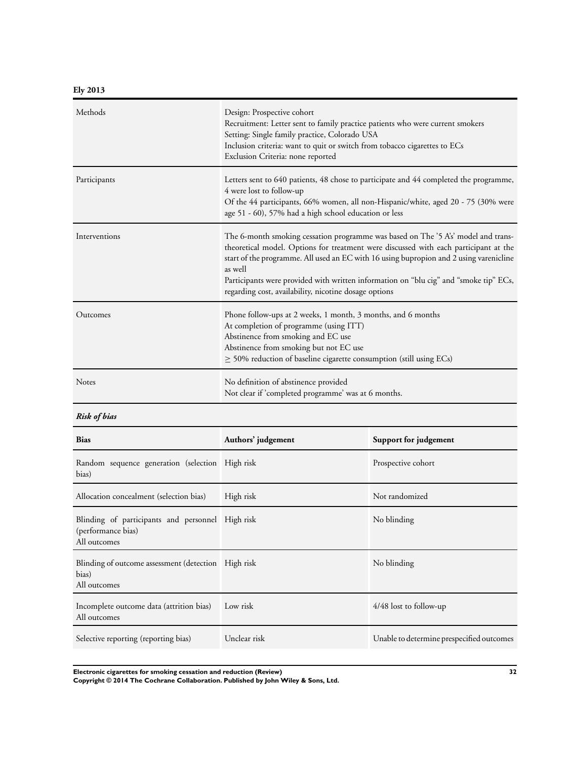| Methods       | Design: Prospective cohort<br>Recruitment: Letter sent to family practice patients who were current smokers<br>Setting: Single family practice, Colorado USA<br>Inclusion criteria: want to quit or switch from tobacco cigarettes to ECs<br>Exclusion Criteria: none reported                                                                                                                                                   |
|---------------|----------------------------------------------------------------------------------------------------------------------------------------------------------------------------------------------------------------------------------------------------------------------------------------------------------------------------------------------------------------------------------------------------------------------------------|
| Participants  | Letters sent to 640 patients, 48 chose to participate and 44 completed the programme,<br>4 were lost to follow-up<br>Of the 44 participants, 66% women, all non-Hispanic/white, aged 20 - 75 (30% were<br>age 51 - 60), 57% had a high school education or less                                                                                                                                                                  |
| Interventions | The 6-month smoking cessation programme was based on The '5 A's' model and trans-<br>theoretical model. Options for treatment were discussed with each participant at the<br>start of the programme. All used an EC with 16 using bupropion and 2 using varenicline<br>as well<br>Participants were provided with written information on "blu cig" and "smoke tip" ECs,<br>regarding cost, availability, nicotine dosage options |
| Outcomes      | Phone follow-ups at 2 weeks, 1 month, 3 months, and 6 months<br>At completion of programme (using ITT)<br>Abstinence from smoking and EC use<br>Abstinence from smoking but not EC use<br>$\geq$ 50% reduction of baseline cigarette consumption (still using ECs)                                                                                                                                                               |
| <b>Notes</b>  | No definition of abstinence provided<br>Not clear if 'completed programme' was at 6 months.                                                                                                                                                                                                                                                                                                                                      |

# *Risk of bias*

| <b>Bias</b>                                                                            | Authors' judgement | Support for judgement                     |
|----------------------------------------------------------------------------------------|--------------------|-------------------------------------------|
| Random sequence generation (selection High risk<br>bias)                               |                    | Prospective cohort                        |
| Allocation concealment (selection bias)                                                | High risk          | Not randomized                            |
| Blinding of participants and personnel High risk<br>(performance bias)<br>All outcomes |                    | No blinding                               |
| Blinding of outcome assessment (detection High risk<br>bias)<br>All outcomes           |                    | No blinding                               |
| Incomplete outcome data (attrition bias)<br>All outcomes                               | Low risk           | $4/48$ lost to follow-up                  |
| Selective reporting (reporting bias)                                                   | Unclear risk       | Unable to determine prespecified outcomes |

**Electronic cigarettes for smoking cessation and reduction (Review) 32**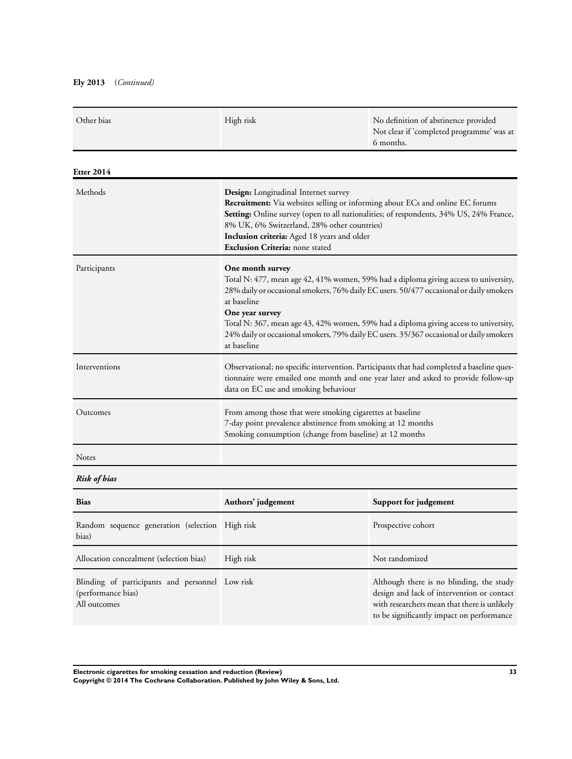| Other bias                                                                            | High risk                                                                                                                                                                                                                                                                                                                                                                                                                               | No definition of abstinence provided<br>Not clear if 'completed programme' was at<br>6 months.                                                                                      |
|---------------------------------------------------------------------------------------|-----------------------------------------------------------------------------------------------------------------------------------------------------------------------------------------------------------------------------------------------------------------------------------------------------------------------------------------------------------------------------------------------------------------------------------------|-------------------------------------------------------------------------------------------------------------------------------------------------------------------------------------|
| Etter 2014                                                                            |                                                                                                                                                                                                                                                                                                                                                                                                                                         |                                                                                                                                                                                     |
| Methods                                                                               | <b>Design:</b> Longitudinal Internet survey<br>Recruitment: Via websites selling or informing about ECs and online EC forums<br>Setting: Online survey (open to all nationalities; of respondents, 34% US, 24% France,<br>8% UK, 6% Switzerland, 28% other countries)<br>Inclusion criteria: Aged 18 years and older<br>Exclusion Criteria: none stated                                                                                 |                                                                                                                                                                                     |
| Participants                                                                          | One month survey<br>Total N: 477, mean age 42, 41% women, 59% had a diploma giving access to university,<br>28% daily or occasional smokers, 76% daily EC users. 50/477 occasional or daily smokers<br>at baseline<br>One year survey<br>Total N: 367, mean age 43, 42% women, 59% had a diploma giving access to university,<br>24% daily or occasional smokers, 79% daily EC users. 35/367 occasional or daily smokers<br>at baseline |                                                                                                                                                                                     |
| Interventions                                                                         | Observational; no specific intervention. Participants that had completed a baseline ques-<br>tionnaire were emailed one month and one year later and asked to provide follow-up<br>data on EC use and smoking behaviour                                                                                                                                                                                                                 |                                                                                                                                                                                     |
| Outcomes                                                                              | From among those that were smoking cigarettes at baseline<br>7-day point prevalence abstinence from smoking at 12 months<br>Smoking consumption (change from baseline) at 12 months                                                                                                                                                                                                                                                     |                                                                                                                                                                                     |
| Notes                                                                                 |                                                                                                                                                                                                                                                                                                                                                                                                                                         |                                                                                                                                                                                     |
| <b>Risk of bias</b>                                                                   |                                                                                                                                                                                                                                                                                                                                                                                                                                         |                                                                                                                                                                                     |
| <b>Bias</b>                                                                           | Authors' judgement                                                                                                                                                                                                                                                                                                                                                                                                                      | Support for judgement                                                                                                                                                               |
| Random sequence generation (selection High risk<br>bias)                              |                                                                                                                                                                                                                                                                                                                                                                                                                                         | Prospective cohort                                                                                                                                                                  |
| Allocation concealment (selection bias)                                               | High risk                                                                                                                                                                                                                                                                                                                                                                                                                               | Not randomized                                                                                                                                                                      |
| Blinding of participants and personnel Low risk<br>(performance bias)<br>All outcomes |                                                                                                                                                                                                                                                                                                                                                                                                                                         | Although there is no blinding, the study<br>design and lack of intervention or contact<br>with researchers mean that there is unlikely<br>to be significantly impact on performance |

**Electronic cigarettes for smoking cessation and reduction (Review) 33 Copyright © 2014 The Cochrane Collaboration. Published by John Wiley & Sons, Ltd.**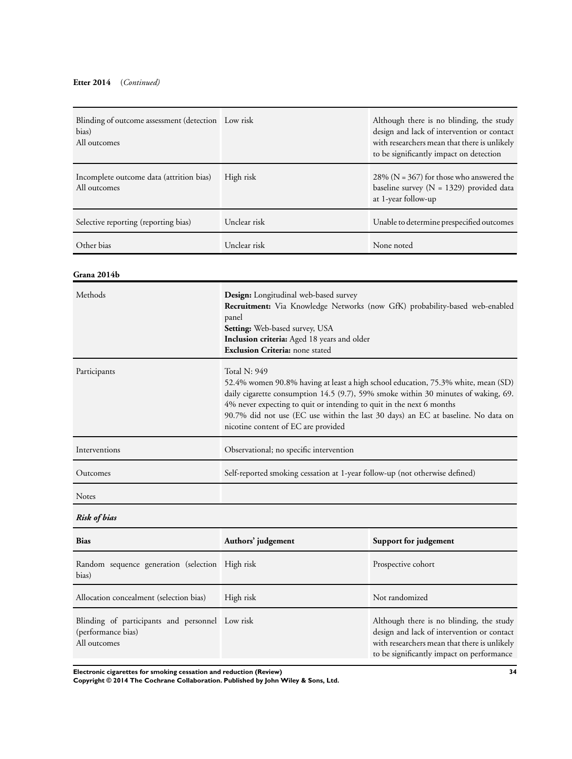| Blinding of outcome assessment (detection Low risk<br>bias)<br>All outcomes |              | Although there is no blinding, the study<br>design and lack of intervention or contact<br>with researchers mean that there is unlikely<br>to be significantly impact on detection |
|-----------------------------------------------------------------------------|--------------|-----------------------------------------------------------------------------------------------------------------------------------------------------------------------------------|
| Incomplete outcome data (attrition bias)<br>All outcomes                    | High risk    | 28% ( $N = 367$ ) for those who answered the<br>baseline survey ( $N = 1329$ ) provided data<br>at 1-year follow-up                                                               |
| Selective reporting (reporting bias)                                        | Unclear risk | Unable to determine prespecified outcomes                                                                                                                                         |
| Other bias                                                                  | Unclear risk | None noted                                                                                                                                                                        |

# **Grana 2014b**

| Methods       | <b>Design:</b> Longitudinal web-based survey<br><b>Recruitment:</b> Via Knowledge Networks (now GfK) probability-based web-enabled<br>panel<br><b>Setting:</b> Web-based survey, USA<br>Inclusion criteria: Aged 18 years and older<br><b>Exclusion Criteria:</b> none stated                                                                                                              |
|---------------|--------------------------------------------------------------------------------------------------------------------------------------------------------------------------------------------------------------------------------------------------------------------------------------------------------------------------------------------------------------------------------------------|
| Participants  | Total N: 949<br>52.4% women 90.8% having at least a high school education, 75.3% white, mean (SD)<br>daily cigarette consumption 14.5 (9.7), 59% smoke within 30 minutes of waking, 69.<br>4% never expecting to quit or intending to quit in the next 6 months<br>90.7% did not use (EC use within the last 30 days) an EC at baseline. No data on<br>nicotine content of EC are provided |
| Interventions | Observational; no specific intervention                                                                                                                                                                                                                                                                                                                                                    |
| Outcomes      | Self-reported smoking cessation at 1-year follow-up (not otherwise defined)                                                                                                                                                                                                                                                                                                                |
| <b>Notes</b>  |                                                                                                                                                                                                                                                                                                                                                                                            |

# *Risk of bias*

| <b>Bias</b>                                                                           | Authors' judgement | Support for judgement                                                                                                                                                               |
|---------------------------------------------------------------------------------------|--------------------|-------------------------------------------------------------------------------------------------------------------------------------------------------------------------------------|
| Random sequence generation (selection High risk<br>bias)                              |                    | Prospective cohort                                                                                                                                                                  |
| Allocation concealment (selection bias)                                               | High risk          | Not randomized                                                                                                                                                                      |
| Blinding of participants and personnel Low risk<br>(performance bias)<br>All outcomes |                    | Although there is no blinding, the study<br>design and lack of intervention or contact<br>with researchers mean that there is unlikely<br>to be significantly impact on performance |

**Electronic cigarettes for smoking cessation and reduction (Review) 34**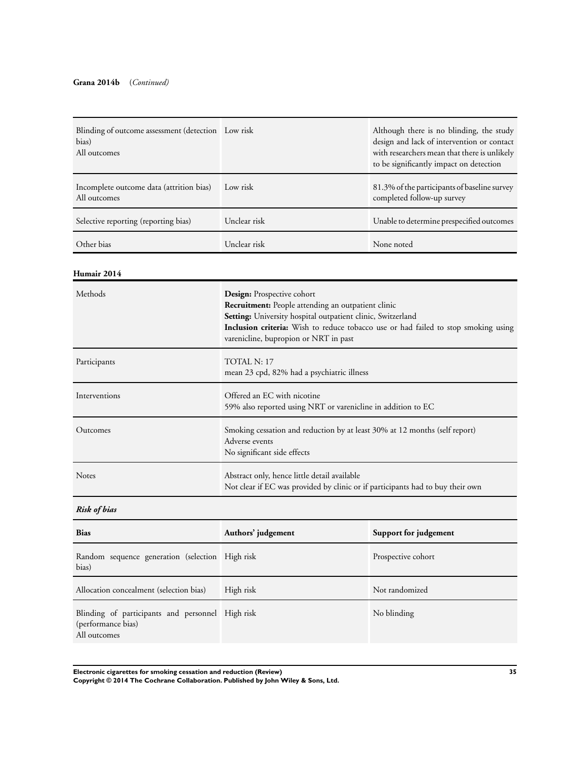| Blinding of outcome assessment (detection Low risk<br>bias)<br>All outcomes |              | Although there is no blinding, the study<br>design and lack of intervention or contact<br>with researchers mean that there is unlikely<br>to be significantly impact on detection |
|-----------------------------------------------------------------------------|--------------|-----------------------------------------------------------------------------------------------------------------------------------------------------------------------------------|
| Incomplete outcome data (attrition bias)<br>All outcomes                    | Low risk     | 81.3% of the participants of baseline survey<br>completed follow-up survey                                                                                                        |
| Selective reporting (reporting bias)                                        | Unclear risk | Unable to determine prespecified outcomes                                                                                                                                         |
| Other bias                                                                  | Unclear risk | None noted                                                                                                                                                                        |

# **Humair 2014**

| Methods       | <b>Design:</b> Prospective cohort<br><b>Recruitment:</b> People attending an outpatient clinic<br><b>Setting:</b> University hospital outpatient clinic, Switzerland<br><b>Inclusion criteria:</b> Wish to reduce tobacco use or had failed to stop smoking using<br>varenicline, bupropion or NRT in past |
|---------------|------------------------------------------------------------------------------------------------------------------------------------------------------------------------------------------------------------------------------------------------------------------------------------------------------------|
| Participants  | TOTAL N: 17<br>mean 23 cpd, 82% had a psychiatric illness                                                                                                                                                                                                                                                  |
| Interventions | Offered an EC with nicotine<br>59% also reported using NRT or varenicline in addition to EC                                                                                                                                                                                                                |
| Outcomes      | Smoking cessation and reduction by at least 30% at 12 months (self report)<br>Adverse events<br>No significant side effects                                                                                                                                                                                |
| <b>Notes</b>  | Abstract only, hence little detail available<br>Not clear if EC was provided by clinic or if participants had to buy their own                                                                                                                                                                             |

# *Risk of bias*

| <b>Bias</b>                                                                            | Authors' judgement | Support for judgement |
|----------------------------------------------------------------------------------------|--------------------|-----------------------|
| Random sequence generation (selection High risk<br>bias)                               |                    | Prospective cohort    |
| Allocation concealment (selection bias)                                                | High risk          | Not randomized        |
| Blinding of participants and personnel High risk<br>(performance bias)<br>All outcomes |                    | No blinding           |

**Electronic cigarettes for smoking cessation and reduction (Review) 35**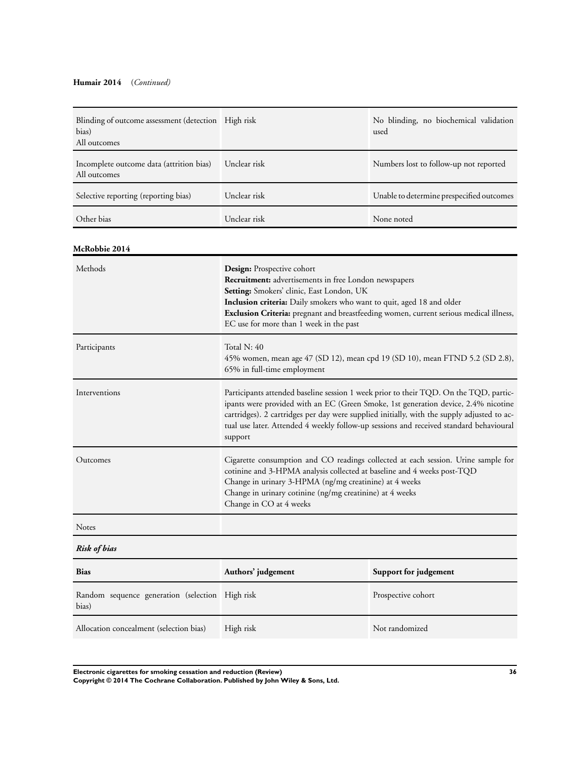# **Humair 2014** (*Continued)*

| Blinding of outcome assessment (detection High risk<br>bias)<br>All outcomes |                                                                                                                                                                                                                                                                                                                                                                                | No blinding, no biochemical validation<br>used |
|------------------------------------------------------------------------------|--------------------------------------------------------------------------------------------------------------------------------------------------------------------------------------------------------------------------------------------------------------------------------------------------------------------------------------------------------------------------------|------------------------------------------------|
| Incomplete outcome data (attrition bias)<br>All outcomes                     | Unclear risk                                                                                                                                                                                                                                                                                                                                                                   | Numbers lost to follow-up not reported         |
| Selective reporting (reporting bias)                                         | Unclear risk                                                                                                                                                                                                                                                                                                                                                                   | Unable to determine prespecified outcomes      |
| Other bias                                                                   | Unclear risk                                                                                                                                                                                                                                                                                                                                                                   | None noted                                     |
| <b>McRobbie 2014</b>                                                         |                                                                                                                                                                                                                                                                                                                                                                                |                                                |
| Methods                                                                      | Design: Prospective cohort<br>Recruitment: advertisements in free London newspapers<br>Setting: Smokers' clinic, East London, UK<br>Inclusion criteria: Daily smokers who want to quit, aged 18 and older<br>Exclusion Criteria: pregnant and breastfeeding women, current serious medical illness,<br>EC use for more than 1 week in the past                                 |                                                |
| Participants                                                                 | Total N: 40<br>45% women, mean age 47 (SD 12), mean cpd 19 (SD 10), mean FTND 5.2 (SD 2.8),<br>65% in full-time employment                                                                                                                                                                                                                                                     |                                                |
| Interventions                                                                | Participants attended baseline session 1 week prior to their TQD. On the TQD, partic-<br>ipants were provided with an EC (Green Smoke, 1st generation device, 2.4% nicotine<br>cartridges). 2 cartridges per day were supplied initially, with the supply adjusted to ac-<br>tual use later. Attended 4 weekly follow-up sessions and received standard behavioural<br>support |                                                |
| Outcomes                                                                     | Cigarette consumption and CO readings collected at each session. Urine sample for<br>cotinine and 3-HPMA analysis collected at baseline and 4 weeks post-TQD<br>Change in urinary 3-HPMA (ng/mg creatinine) at 4 weeks<br>Change in urinary cotinine (ng/mg creatinine) at 4 weeks<br>Change in CO at 4 weeks                                                                  |                                                |
| Notes                                                                        |                                                                                                                                                                                                                                                                                                                                                                                |                                                |
| Risk of bias                                                                 |                                                                                                                                                                                                                                                                                                                                                                                |                                                |
| Bias                                                                         | Authors' judgement                                                                                                                                                                                                                                                                                                                                                             | Support for judgement                          |
| Random sequence generation (selection High risk<br>bias)                     |                                                                                                                                                                                                                                                                                                                                                                                | Prospective cohort                             |
| Allocation concealment (selection bias)                                      | High risk                                                                                                                                                                                                                                                                                                                                                                      | Not randomized                                 |

**Electronic cigarettes for smoking cessation and reduction (Review) 36**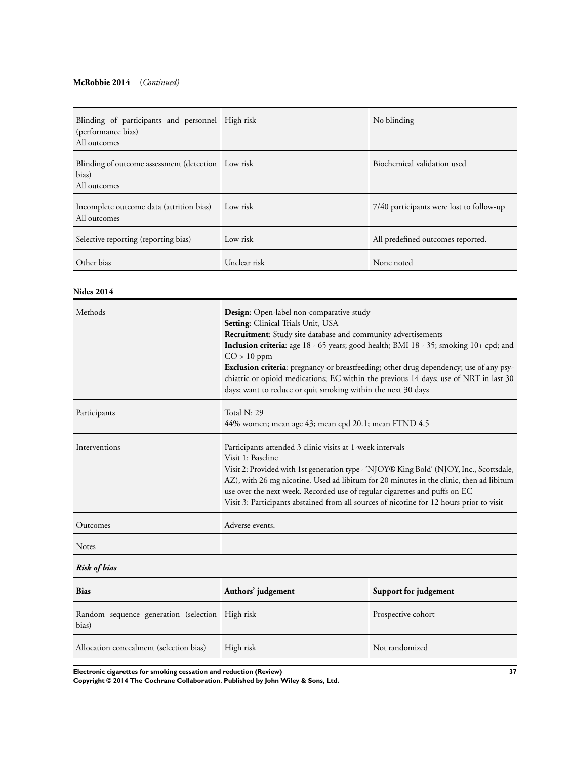# **McRobbie 2014** (*Continued)*

| Blinding of participants and personnel High risk<br>(performance bias)<br>All outcomes |              | No blinding                              |
|----------------------------------------------------------------------------------------|--------------|------------------------------------------|
| Blinding of outcome assessment (detection Low risk<br>bias)<br>All outcomes            |              | Biochemical validation used              |
| Incomplete outcome data (attrition bias)<br>All outcomes                               | Low risk     | 7/40 participants were lost to follow-up |
| Selective reporting (reporting bias)                                                   | Low risk     | All predefined outcomes reported.        |
| Other bias                                                                             | Unclear risk | None noted                               |

# **Nides 2014**

| Methods                                                  | Design: Open-label non-comparative study<br>Setting: Clinical Trials Unit, USA<br>Recruitment: Study site database and community advertisements<br>Inclusion criteria: age 18 - 65 years; good health; BMI 18 - 35; smoking 10+ cpd; and<br>$CO > 10$ ppm<br><b>Exclusion criteria:</b> pregnancy or breastfeeding; other drug dependency; use of any psy-<br>chiatric or opioid medications; EC within the previous 14 days; use of NRT in last 30<br>days; want to reduce or quit smoking within the next 30 days |                       |
|----------------------------------------------------------|---------------------------------------------------------------------------------------------------------------------------------------------------------------------------------------------------------------------------------------------------------------------------------------------------------------------------------------------------------------------------------------------------------------------------------------------------------------------------------------------------------------------|-----------------------|
| Participants                                             | Total $N: 29$<br>44% women; mean age 43; mean cpd 20.1; mean FTND 4.5                                                                                                                                                                                                                                                                                                                                                                                                                                               |                       |
| Interventions                                            | Participants attended 3 clinic visits at 1-week intervals<br>Visit 1: Baseline<br>Visit 2: Provided with 1st generation type - 'NJOY® King Bold' (NJOY, Inc., Scottsdale,<br>AZ), with 26 mg nicotine. Used ad libitum for 20 minutes in the clinic, then ad libitum<br>use over the next week. Recorded use of regular cigarettes and puffs on EC<br>Visit 3: Participants abstained from all sources of nicotine for 12 hours prior to visit                                                                      |                       |
| Outcomes                                                 | Adverse events.                                                                                                                                                                                                                                                                                                                                                                                                                                                                                                     |                       |
| <b>Notes</b>                                             |                                                                                                                                                                                                                                                                                                                                                                                                                                                                                                                     |                       |
| <b>Risk of bias</b>                                      |                                                                                                                                                                                                                                                                                                                                                                                                                                                                                                                     |                       |
| <b>Bias</b>                                              | Authors' judgement                                                                                                                                                                                                                                                                                                                                                                                                                                                                                                  | Support for judgement |
| Random sequence generation (selection High risk<br>bias) |                                                                                                                                                                                                                                                                                                                                                                                                                                                                                                                     | Prospective cohort    |

**Electronic cigarettes for smoking cessation and reduction (Review) 37**

**Copyright © 2014 The Cochrane Collaboration. Published by John Wiley & Sons, Ltd.**

Allocation concealment (selection bias) High risk Not randomized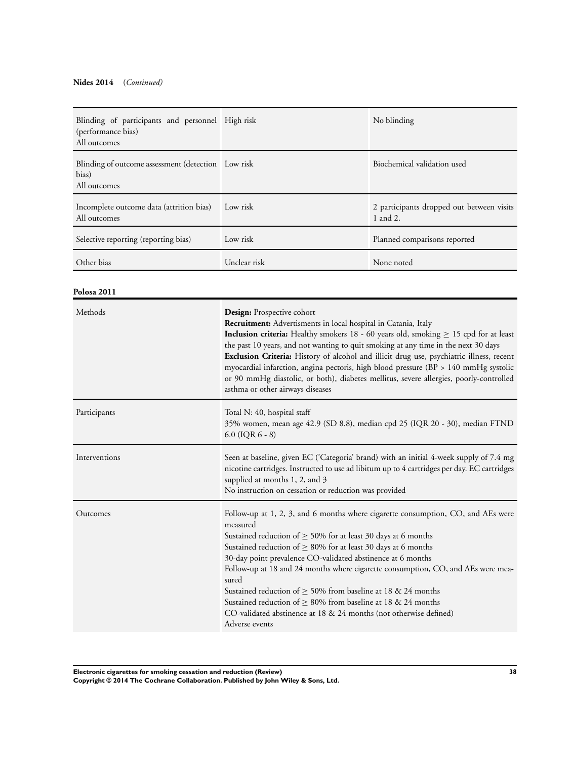| Blinding of participants and personnel High risk<br>(performance bias)<br>All outcomes |              | No blinding                                           |
|----------------------------------------------------------------------------------------|--------------|-------------------------------------------------------|
| Blinding of outcome assessment (detection Low risk<br>bias)<br>All outcomes            |              | Biochemical validation used                           |
| Incomplete outcome data (attrition bias)<br>All outcomes                               | Low risk     | 2 participants dropped out between visits<br>1 and 2. |
| Selective reporting (reporting bias)                                                   | Low risk     | Planned comparisons reported                          |
| Other bias                                                                             | Unclear risk | None noted                                            |

# **Polosa 2011**

| Methods       | Design: Prospective cohort<br><b>Recruitment:</b> Advertisments in local hospital in Catania, Italy<br><b>Inclusion criteria:</b> Healthy smokers 18 - 60 years old, smoking $\geq$ 15 cpd for at least<br>the past 10 years, and not wanting to quit smoking at any time in the next 30 days<br>Exclusion Criteria: History of alcohol and illicit drug use, psychiatric illness, recent<br>myocardial infarction, angina pectoris, high blood pressure (BP > 140 mmHg systolic<br>or 90 mmHg diastolic, or both), diabetes mellitus, severe allergies, poorly-controlled<br>asthma or other airways diseases                            |
|---------------|-------------------------------------------------------------------------------------------------------------------------------------------------------------------------------------------------------------------------------------------------------------------------------------------------------------------------------------------------------------------------------------------------------------------------------------------------------------------------------------------------------------------------------------------------------------------------------------------------------------------------------------------|
| Participants  | Total N: 40, hospital staff<br>35% women, mean age 42.9 (SD 8.8), median cpd 25 (IQR 20 - 30), median FTND<br>$6.0$ (IQR $6 - 8$ )                                                                                                                                                                                                                                                                                                                                                                                                                                                                                                        |
| Interventions | Seen at baseline, given EC ('Categoria' brand) with an initial 4-week supply of 7.4 mg<br>nicotine cartridges. Instructed to use ad libitum up to 4 cartridges per day. EC cartridges<br>supplied at months 1, 2, and 3<br>No instruction on cessation or reduction was provided                                                                                                                                                                                                                                                                                                                                                          |
| Outcomes      | Follow-up at 1, 2, 3, and 6 months where cigarette consumption, CO, and AEs were<br>measured<br>Sustained reduction of $\geq 50\%$ for at least 30 days at 6 months<br>Sustained reduction of $\geq 80\%$ for at least 30 days at 6 months<br>30-day point prevalence CO-validated abstinence at 6 months<br>Follow-up at 18 and 24 months where cigarette consumption, CO, and AEs were mea-<br>sured<br>Sustained reduction of $\geq 50\%$ from baseline at 18 & 24 months<br>Sustained reduction of $\geq 80\%$ from baseline at 18 & 24 months<br>CO-validated abstinence at 18 & 24 months (not otherwise defined)<br>Adverse events |

**Electronic cigarettes for smoking cessation and reduction (Review) 38**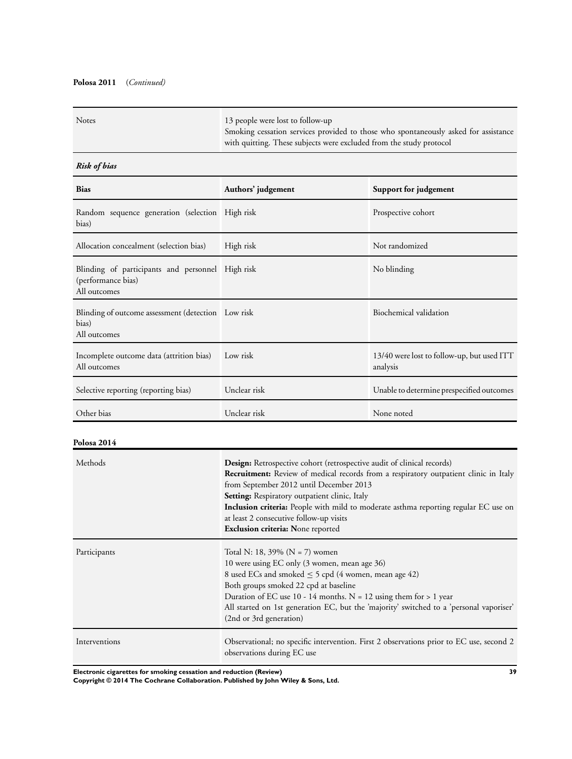# **Polosa 2011** (*Continued)*

| <b>Notes</b> | 13 people were lost to follow-up                                                    |
|--------------|-------------------------------------------------------------------------------------|
|              | Smoking cessation services provided to those who spontaneously asked for assistance |
|              | with quitting. These subjects were excluded from the study protocol                 |

# *Risk of bias*

| <b>Bias</b>                                                                            | Authors' judgement | Support for judgement                                  |
|----------------------------------------------------------------------------------------|--------------------|--------------------------------------------------------|
| Random sequence generation (selection High risk<br>bias)                               |                    | Prospective cohort                                     |
| Allocation concealment (selection bias)                                                | High risk          | Not randomized                                         |
| Blinding of participants and personnel High risk<br>(performance bias)<br>All outcomes |                    | No blinding                                            |
| Blinding of outcome assessment (detection Low risk<br>bias)<br>All outcomes            |                    | Biochemical validation                                 |
| Incomplete outcome data (attrition bias)<br>All outcomes                               | Low risk           | 13/40 were lost to follow-up, but used ITT<br>analysis |
| Selective reporting (reporting bias)                                                   | Unclear risk       | Unable to determine prespecified outcomes              |
| Other bias                                                                             | Unclear risk       | None noted                                             |

# **Polosa 2014**

| Methods       | <b>Design:</b> Retrospective cohort (retrospective audit of clinical records)<br>Recruitment: Review of medical records from a respiratory outpatient clinic in Italy<br>from September 2012 until December 2013<br>Setting: Respiratory outpatient clinic, Italy<br><b>Inclusion criteria:</b> People with mild to moderate asthma reporting regular EC use on<br>at least 2 consecutive follow-up visits<br>Exclusion criteria: None reported |
|---------------|-------------------------------------------------------------------------------------------------------------------------------------------------------------------------------------------------------------------------------------------------------------------------------------------------------------------------------------------------------------------------------------------------------------------------------------------------|
| Participants  | Total N: 18, 39% ( $N = 7$ ) women<br>10 were using EC only (3 women, mean age 36)<br>8 used ECs and smoked $\leq$ 5 cpd (4 women, mean age 42)<br>Both groups smoked 22 cpd at baseline<br>Duration of EC use 10 - 14 months. $N = 12$ using them for $> 1$ year<br>All started on 1st generation EC, but the 'majority' switched to a 'personal vaporiser'<br>(2nd or 3rd generation)                                                         |
| Interventions | Observational; no specific intervention. First 2 observations prior to EC use, second 2<br>observations during EC use                                                                                                                                                                                                                                                                                                                           |

**Electronic cigarettes for smoking cessation and reduction (Review) 39**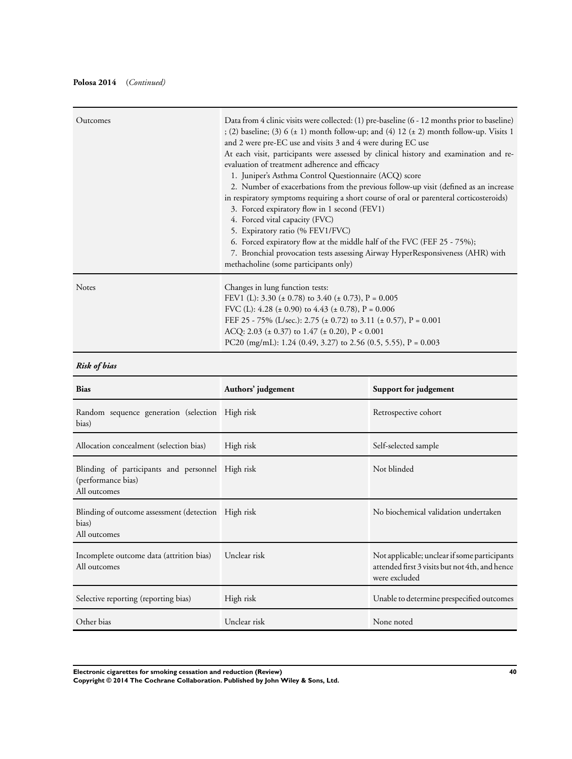# **Polosa 2014** (*Continued)*

| Outcomes     | Data from 4 clinic visits were collected: (1) pre-baseline (6 - 12 months prior to baseline)<br>; (2) baseline; (3) 6 $(\pm 1)$ month follow-up; and (4) 12 $(\pm 2)$ month follow-up. Visits 1<br>and 2 were pre-EC use and visits 3 and 4 were during EC use<br>At each visit, participants were assessed by clinical history and examination and re-<br>evaluation of treatment adherence and efficacy<br>1. Juniper's Asthma Control Questionnaire (ACQ) score<br>2. Number of exacerbations from the previous follow-up visit (defined as an increase<br>in respiratory symptoms requiring a short course of oral or parenteral corticosteroids)<br>3. Forced expiratory flow in 1 second (FEV1)<br>4. Forced vital capacity (FVC)<br>5. Expiratory ratio (% FEV1/FVC)<br>6. Forced expiratory flow at the middle half of the FVC (FEF 25 - 75%);<br>7. Bronchial provocation tests assessing Airway HyperResponsiveness (AHR) with<br>methacholine (some participants only) |
|--------------|-----------------------------------------------------------------------------------------------------------------------------------------------------------------------------------------------------------------------------------------------------------------------------------------------------------------------------------------------------------------------------------------------------------------------------------------------------------------------------------------------------------------------------------------------------------------------------------------------------------------------------------------------------------------------------------------------------------------------------------------------------------------------------------------------------------------------------------------------------------------------------------------------------------------------------------------------------------------------------------|
| <b>Notes</b> | Changes in lung function tests:<br>FEV1 (L): 3.30 ( $\pm$ 0.78) to 3.40 ( $\pm$ 0.73), P = 0.005<br>FVC (L): 4.28 ( $\pm$ 0.90) to 4.43 ( $\pm$ 0.78), P = 0.006<br>FEF 25 - 75% (L/sec.): 2.75 ( $\pm$ 0.72) to 3.11 ( $\pm$ 0.57), P = 0.001<br>ACQ: 2.03 ( $\pm$ 0.37) to 1.47 ( $\pm$ 0.20), P < 0.001<br>PC20 (mg/mL): 1.24 (0.49, 3.27) to 2.56 (0.5, 5.55), $P = 0.003$                                                                                                                                                                                                                                                                                                                                                                                                                                                                                                                                                                                                    |

# *Risk of bias*

| <b>Bias</b>                                                                            | Authors' judgement | Support for judgement                                                                                           |
|----------------------------------------------------------------------------------------|--------------------|-----------------------------------------------------------------------------------------------------------------|
| Random sequence generation (selection High risk<br>bias)                               |                    | Retrospective cohort                                                                                            |
| Allocation concealment (selection bias)                                                | High risk          | Self-selected sample                                                                                            |
| Blinding of participants and personnel High risk<br>(performance bias)<br>All outcomes |                    | Not blinded                                                                                                     |
| Blinding of outcome assessment (detection High risk<br>bias)<br>All outcomes           |                    | No biochemical validation undertaken                                                                            |
| Incomplete outcome data (attrition bias)<br>All outcomes                               | Unclear risk       | Not applicable; unclear if some participants<br>attended first 3 visits but not 4th, and hence<br>were excluded |
| Selective reporting (reporting bias)                                                   | High risk          | Unable to determine prespecified outcomes                                                                       |
| Other bias                                                                             | Unclear risk       | None noted                                                                                                      |

**Electronic cigarettes for smoking cessation and reduction (Review) 40**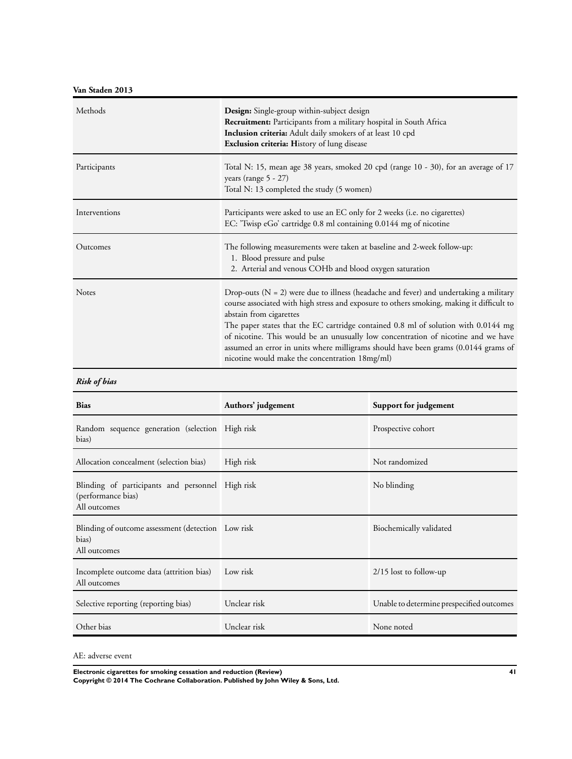**Van Staden 2013**

| Methods       | Design: Single-group within-subject design<br>Recruitment: Participants from a military hospital in South Africa<br>Inclusion criteria: Adult daily smokers of at least 10 cpd<br>Exclusion criteria: History of lung disease                                                                                                                                                                                                                                                                                                        |
|---------------|--------------------------------------------------------------------------------------------------------------------------------------------------------------------------------------------------------------------------------------------------------------------------------------------------------------------------------------------------------------------------------------------------------------------------------------------------------------------------------------------------------------------------------------|
| Participants  | Total N: 15, mean age 38 years, smoked 20 cpd (range 10 - 30), for an average of 17<br>years (range $5 - 27$ )<br>Total N: 13 completed the study (5 women)                                                                                                                                                                                                                                                                                                                                                                          |
| Interventions | Participants were asked to use an EC only for 2 weeks (i.e. no cigarettes)<br>EC: 'Twisp eGo' cartridge 0.8 ml containing 0.0144 mg of nicotine                                                                                                                                                                                                                                                                                                                                                                                      |
| Outcomes      | The following measurements were taken at baseline and 2-week follow-up:<br>1. Blood pressure and pulse<br>2. Arterial and venous COHb and blood oxygen saturation                                                                                                                                                                                                                                                                                                                                                                    |
| <b>Notes</b>  | Drop-outs ( $N = 2$ ) were due to illness (headache and fever) and undertaking a military<br>course associated with high stress and exposure to others smoking, making it difficult to<br>abstain from cigarettes<br>The paper states that the EC cartridge contained 0.8 ml of solution with 0.0144 mg<br>of nicotine. This would be an unusually low concentration of nicotine and we have<br>assumed an error in units where milligrams should have been grams (0.0144 grams of<br>nicotine would make the concentration 18mg/ml) |

*Risk of bias*

| <b>Bias</b>                                                                            | Authors' judgement | Support for judgement                     |
|----------------------------------------------------------------------------------------|--------------------|-------------------------------------------|
| Random sequence generation (selection High risk<br>bias)                               |                    | Prospective cohort                        |
| Allocation concealment (selection bias)                                                | High risk          | Not randomized                            |
| Blinding of participants and personnel High risk<br>(performance bias)<br>All outcomes |                    | No blinding                               |
| Blinding of outcome assessment (detection Low risk<br>bias)<br>All outcomes            |                    | Biochemically validated                   |
| Incomplete outcome data (attrition bias)<br>All outcomes                               | Low risk           | $2/15$ lost to follow-up                  |
| Selective reporting (reporting bias)                                                   | Unclear risk       | Unable to determine prespecified outcomes |
| Other bias                                                                             | Unclear risk       | None noted                                |

AE: adverse event

**Electronic cigarettes for smoking cessation and reduction (Review) 41**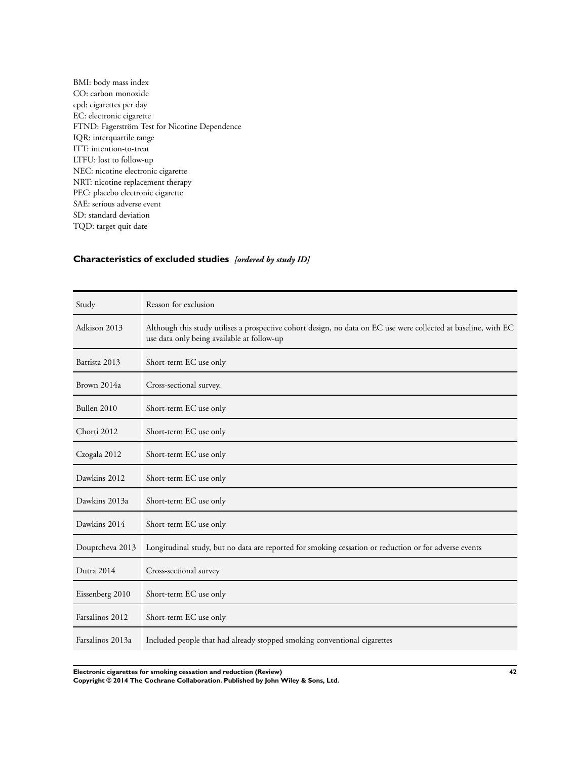<span id="page-43-0"></span>

| BMI: body mass index                          |
|-----------------------------------------------|
| CO: carbon monoxide                           |
| cpd: cigarettes per day                       |
| EC: electronic cigarette                      |
| FTND: Fagerström Test for Nicotine Dependence |
| IQR: interquartile range                      |
| ITT: intention-to-treat                       |
| LTFU: lost to follow-up                       |
| NEC: nicotine electronic cigarette            |
| NRT: nicotine replacement therapy             |
| PEC: placebo electronic cigarette             |
| SAE: serious adverse event                    |
| SD: standard deviation                        |
| TQD: target quit date                         |

| Study            | Reason for exclusion                                                                                                                                          |
|------------------|---------------------------------------------------------------------------------------------------------------------------------------------------------------|
| Adkison 2013     | Although this study utilises a prospective cohort design, no data on EC use were collected at baseline, with EC<br>use data only being available at follow-up |
| Battista 2013    | Short-term EC use only                                                                                                                                        |
| Brown 2014a      | Cross-sectional survey.                                                                                                                                       |
| Bullen 2010      | Short-term EC use only                                                                                                                                        |
| Chorti 2012      | Short-term EC use only                                                                                                                                        |
| Czogala 2012     | Short-term EC use only                                                                                                                                        |
| Dawkins 2012     | Short-term EC use only                                                                                                                                        |
| Dawkins 2013a    | Short-term EC use only                                                                                                                                        |
| Dawkins 2014     | Short-term EC use only                                                                                                                                        |
| Douptcheva 2013  | Longitudinal study, but no data are reported for smoking cessation or reduction or for adverse events                                                         |
| Dutra 2014       | Cross-sectional survey                                                                                                                                        |
| Eissenberg 2010  | Short-term EC use only                                                                                                                                        |
| Farsalinos 2012  | Short-term EC use only                                                                                                                                        |
| Farsalinos 2013a | Included people that had already stopped smoking conventional cigarettes                                                                                      |

# **Characteristics of excluded studies** *[ordered by study ID]*

**Electronic cigarettes for smoking cessation and reduction (Review) 42 Copyright © 2014 The Cochrane Collaboration. Published by John Wiley & Sons, Ltd.**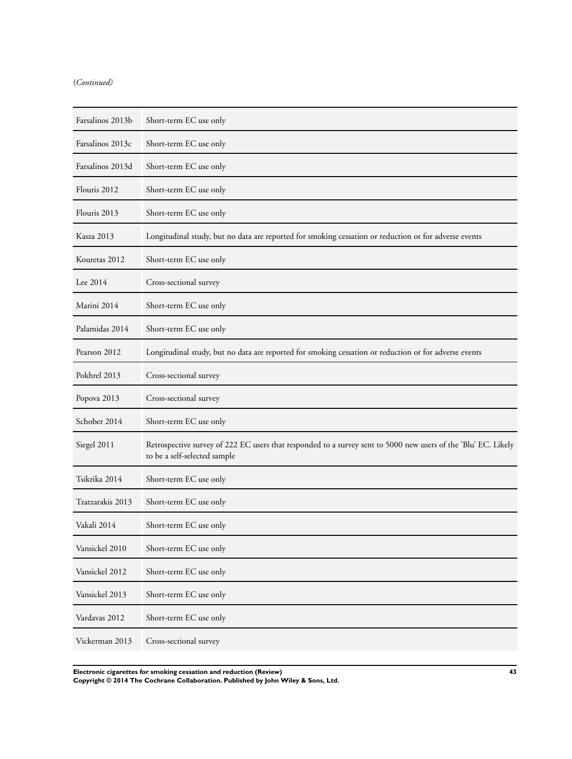| Farsalinos 2013b | Short-term EC use only                                                                                                                         |
|------------------|------------------------------------------------------------------------------------------------------------------------------------------------|
| Farsalinos 2013c | Short-term EC use only                                                                                                                         |
| Farsalinos 2013d | Short-term EC use only                                                                                                                         |
| Flouris 2012     | Short-term EC use only                                                                                                                         |
| Flouris 2013     | Short-term EC use only                                                                                                                         |
| Kasza 2013       | Longitudinal study, but no data are reported for smoking cessation or reduction or for adverse events                                          |
| Kouretas 2012    | Short-term EC use only                                                                                                                         |
| Lee 2014         | Cross-sectional survey                                                                                                                         |
| Marini 2014      | Short-term EC use only                                                                                                                         |
| Palamidas 2014   | Short-term EC use only                                                                                                                         |
| Pearson 2012     | Longitudinal study, but no data are reported for smoking cessation or reduction or for adverse events                                          |
| Pokhrel 2013     | Cross-sectional survey                                                                                                                         |
| Popova 2013      | Cross-sectional survey                                                                                                                         |
| Schober 2014     | Short-term EC use only                                                                                                                         |
| Siegel 2011      | Retrospective survey of 222 EC users that responded to a survey sent to 5000 new users of the 'Blu' EC. Likely<br>to be a self-selected sample |
| Tsikrika 2014    | Short-term EC use only                                                                                                                         |
| Tzatzarakis 2013 | Short-term EC use only                                                                                                                         |
| Vakali 2014      | Short-term EC use only                                                                                                                         |
| Vansickel 2010   | Short-term EC use only                                                                                                                         |
| Vansickel 2012   | Short-term EC use only                                                                                                                         |
| Vansickel 2013   | Short-term EC use only                                                                                                                         |
| Vardavas 2012    | Short-term EC use only                                                                                                                         |
| Vickerman 2013   | Cross-sectional survey                                                                                                                         |

**Electronic cigarettes for smoking cessation and reduction (Review) 43**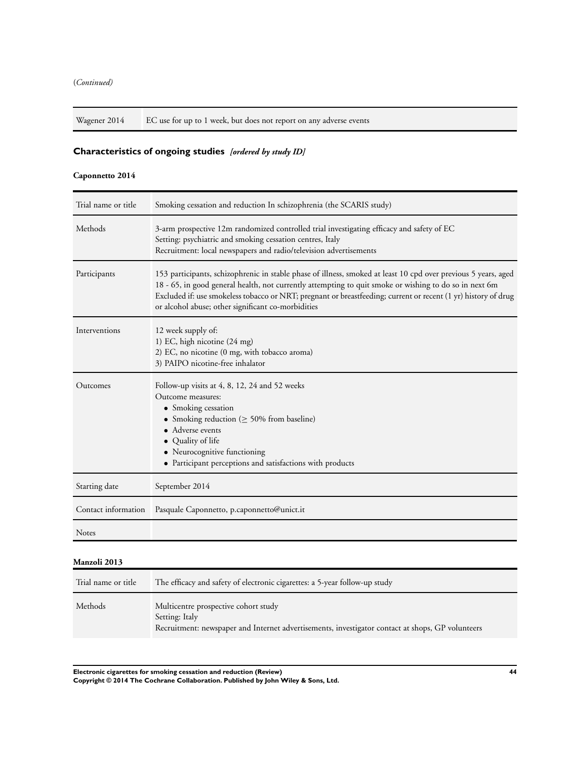Wagener 2014 EC use for up to 1 week, but does not report on any adverse events

# **Characteristics of ongoing studies** *[ordered by study ID]*

# **Caponnetto 2014**

| Trial name or title | Smoking cessation and reduction In schizophrenia (the SCARIS study)                                                                                                                                                                                                                                                                                                                              |
|---------------------|--------------------------------------------------------------------------------------------------------------------------------------------------------------------------------------------------------------------------------------------------------------------------------------------------------------------------------------------------------------------------------------------------|
| Methods             | 3-arm prospective 12m randomized controlled trial investigating efficacy and safety of EC<br>Setting: psychiatric and smoking cessation centres, Italy<br>Recruitment: local newspapers and radio/television advertisements                                                                                                                                                                      |
| Participants        | 153 participants, schizophrenic in stable phase of illness, smoked at least 10 cpd over previous 5 years, aged<br>18 - 65, in good general health, not currently attempting to quit smoke or wishing to do so in next 6m<br>Excluded if: use smokeless tobacco or NRT; pregnant or breastfeeding; current or recent (1 yr) history of drug<br>or alcohol abuse; other significant co-morbidities |
| Interventions       | 12 week supply of:<br>1) EC, high nicotine (24 mg)<br>2) EC, no nicotine (0 mg, with tobacco aroma)<br>3) PAIPO nicotine-free inhalator                                                                                                                                                                                                                                                          |
| Outcomes            | Follow-up visits at 4, 8, 12, 24 and 52 weeks<br>Outcome measures:<br>• Smoking cessation<br>Smoking reduction ( $\geq$ 50% from baseline)<br>Adverse events<br>Quality of life<br>• Neurocognitive functioning<br>• Participant perceptions and satisfactions with products                                                                                                                     |
| Starting date       | September 2014                                                                                                                                                                                                                                                                                                                                                                                   |
| Contact information | Pasquale Caponnetto, p.caponnetto@unict.it                                                                                                                                                                                                                                                                                                                                                       |
| <b>Notes</b>        |                                                                                                                                                                                                                                                                                                                                                                                                  |

# **Manzoli 2013**

| Trial name or title | The efficacy and safety of electronic cigarettes: a 5-year follow-up study                                                                                 |
|---------------------|------------------------------------------------------------------------------------------------------------------------------------------------------------|
| Methods             | Multicentre prospective cohort study<br>Setting: Italy<br>Recruitment: newspaper and Internet advertisements, investigator contact at shops, GP volunteers |

**Electronic cigarettes for smoking cessation and reduction (Review) 44 Copyright © 2014 The Cochrane Collaboration. Published by John Wiley & Sons, Ltd.**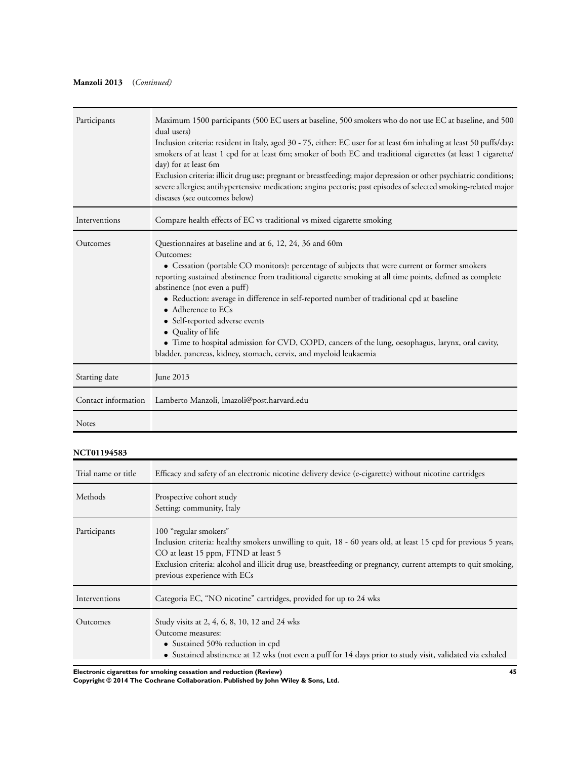# **Manzoli 2013** (*Continued)*

| Participants        | Maximum 1500 participants (500 EC users at baseline, 500 smokers who do not use EC at baseline, and 500<br>dual users)<br>Inclusion criteria: resident in Italy, aged 30 - 75, either: EC user for at least 6m inhaling at least 50 puffs/day;<br>smokers of at least 1 cpd for at least 6m; smoker of both EC and traditional cigarettes (at least 1 cigarette/<br>day) for at least 6m<br>Exclusion criteria: illicit drug use; pregnant or breastfeeding; major depression or other psychiatric conditions;<br>severe allergies; antihypertensive medication; angina pectoris; past episodes of selected smoking-related major<br>diseases (see outcomes below)      |
|---------------------|-------------------------------------------------------------------------------------------------------------------------------------------------------------------------------------------------------------------------------------------------------------------------------------------------------------------------------------------------------------------------------------------------------------------------------------------------------------------------------------------------------------------------------------------------------------------------------------------------------------------------------------------------------------------------|
| Interventions       | Compare health effects of EC vs traditional vs mixed cigarette smoking                                                                                                                                                                                                                                                                                                                                                                                                                                                                                                                                                                                                  |
| Outcomes            | Questionnaires at baseline and at 6, 12, 24, 36 and 60m<br>Outcomes:<br>• Cessation (portable CO monitors): percentage of subjects that were current or former smokers<br>reporting sustained abstinence from traditional cigarette smoking at all time points, defined as complete<br>abstinence (not even a puff)<br>• Reduction: average in difference in self-reported number of traditional cpd at baseline<br>• Adherence to ECs<br>• Self-reported adverse events<br>• Quality of life<br>• Time to hospital admission for CVD, COPD, cancers of the lung, oesophagus, larynx, oral cavity,<br>bladder, pancreas, kidney, stomach, cervix, and myeloid leukaemia |
| Starting date       | June 2013                                                                                                                                                                                                                                                                                                                                                                                                                                                                                                                                                                                                                                                               |
| Contact information | Lamberto Manzoli, Imazoli@post.harvard.edu                                                                                                                                                                                                                                                                                                                                                                                                                                                                                                                                                                                                                              |
| <b>Notes</b>        |                                                                                                                                                                                                                                                                                                                                                                                                                                                                                                                                                                                                                                                                         |

# **NCT01194583**

| Trial name or title | Efficacy and safety of an electronic nicotine delivery device (e-cigarette) without nicotine cartridges                                                                                                                                                                                                                            |
|---------------------|------------------------------------------------------------------------------------------------------------------------------------------------------------------------------------------------------------------------------------------------------------------------------------------------------------------------------------|
| Methods             | Prospective cohort study<br>Setting: community, Italy                                                                                                                                                                                                                                                                              |
| Participants        | 100 "regular smokers"<br>Inclusion criteria: healthy smokers unwilling to quit, 18 - 60 years old, at least 15 cpd for previous 5 years,<br>CO at least 15 ppm, FTND at least 5<br>Exclusion criteria: alcohol and illicit drug use, breastfeeding or pregnancy, current attempts to quit smoking,<br>previous experience with ECs |
| Interventions       | Categoria EC, "NO nicotine" cartridges, provided for up to 24 wks                                                                                                                                                                                                                                                                  |
| Outcomes            | Study visits at 2, 4, 6, 8, 10, 12 and 24 wks<br>Outcome measures:<br>• Sustained 50% reduction in cpd<br>• Sustained abstinence at 12 wks (not even a puff for 14 days prior to study visit, validated via exhaled                                                                                                                |

**Electronic cigarettes for smoking cessation and reduction (Review) 45**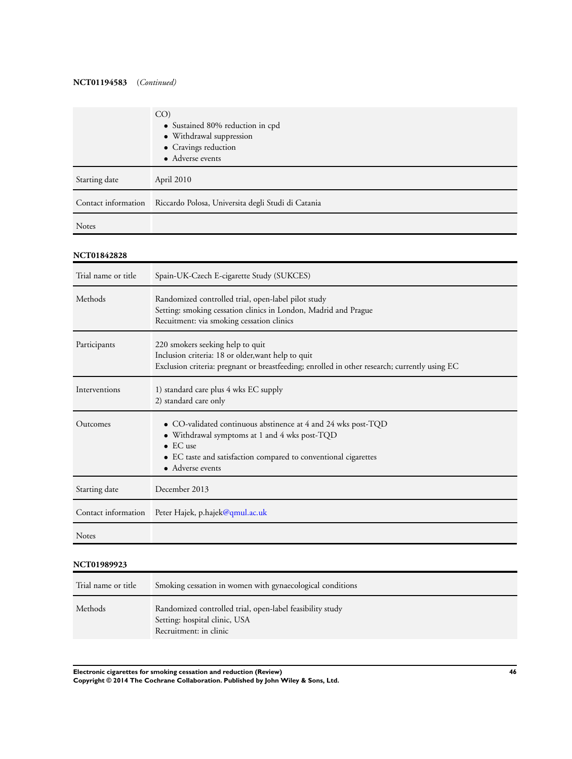# **NCT01194583** (*Continued)*

|               | CO)<br>• Sustained 80% reduction in cpd<br>· Withdrawal suppression<br>• Cravings reduction<br>• Adverse events |
|---------------|-----------------------------------------------------------------------------------------------------------------|
| Starting date | April 2010                                                                                                      |
|               | Contact information Riccardo Polosa, Universita degli Studi di Catania                                          |
| <b>Notes</b>  |                                                                                                                 |

# **NCT01842828**

| Trial name or title | Spain-UK-Czech E-cigarette Study (SUKCES)                                                                                                                                                                                    |
|---------------------|------------------------------------------------------------------------------------------------------------------------------------------------------------------------------------------------------------------------------|
| Methods             | Randomized controlled trial, open-label pilot study<br>Setting: smoking cessation clinics in London, Madrid and Prague<br>Recuitment: via smoking cessation clinics                                                          |
| Participants        | 220 smokers seeking help to quit<br>Inclusion criteria: 18 or older, want help to quit<br>Exclusion criteria: pregnant or breastfeeding; enrolled in other research; currently using EC                                      |
| Interventions       | 1) standard care plus 4 wks EC supply<br>2) standard care only                                                                                                                                                               |
| Outcomes            | • CO-validated continuous abstinence at 4 and 24 wks post-TQD<br>• Withdrawal symptoms at 1 and 4 wks post- $TQD$<br>$\bullet$ EC use<br>• EC taste and satisfaction compared to conventional cigarettes<br>• Adverse events |
| Starting date       | December 2013                                                                                                                                                                                                                |
|                     | Contact information Peter Hajek, p.hajek@qmul.ac.uk                                                                                                                                                                          |
| <b>Notes</b>        |                                                                                                                                                                                                                              |

# **NCT01989923**

| Trial name or title | Smoking cessation in women with gynaecological conditions                                                            |
|---------------------|----------------------------------------------------------------------------------------------------------------------|
| Methods             | Randomized controlled trial, open-label feasibility study<br>Setting: hospital clinic, USA<br>Recruitment: in clinic |

**Electronic cigarettes for smoking cessation and reduction (Review) 46 Copyright © 2014 The Cochrane Collaboration. Published by John Wiley & Sons, Ltd.**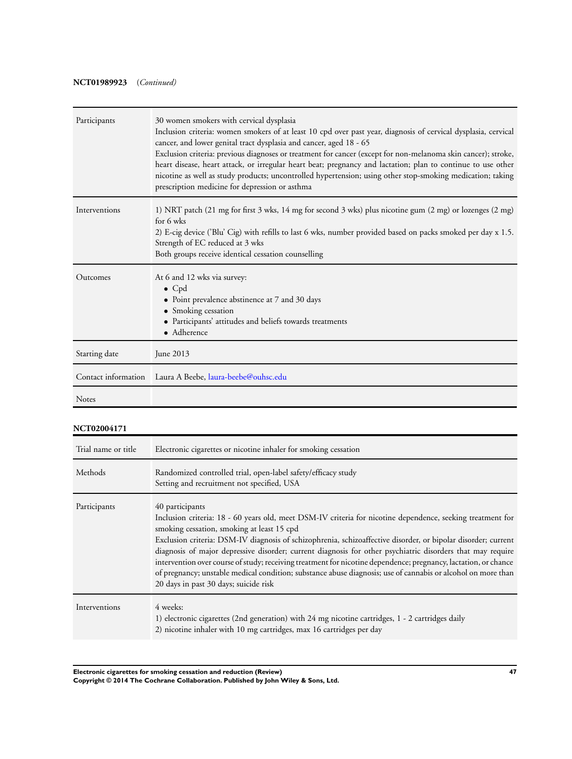# **NCT01989923** (*Continued)*

| Participants  | 30 women smokers with cervical dysplasia<br>Inclusion criteria: women smokers of at least 10 cpd over past year, diagnosis of cervical dysplasia, cervical<br>cancer, and lower genital tract dysplasia and cancer, aged 18 - 65<br>Exclusion criteria: previous diagnoses or treatment for cancer (except for non-melanoma skin cancer); stroke,<br>heart disease, heart attack, or irregular heart beat; pregnancy and lactation; plan to continue to use other<br>nicotine as well as study products; uncontrolled hypertension; using other stop-smoking medication; taking<br>prescription medicine for depression or asthma |
|---------------|-----------------------------------------------------------------------------------------------------------------------------------------------------------------------------------------------------------------------------------------------------------------------------------------------------------------------------------------------------------------------------------------------------------------------------------------------------------------------------------------------------------------------------------------------------------------------------------------------------------------------------------|
| Interventions | 1) NRT patch (21 mg for first 3 wks, 14 mg for second 3 wks) plus nicotine gum (2 mg) or lozenges (2 mg)<br>for 6 wks<br>2) E-cig device ('Blu' Cig) with refills to last 6 wks, number provided based on packs smoked per day x 1.5.<br>Strength of EC reduced at 3 wks<br>Both groups receive identical cessation counselling                                                                                                                                                                                                                                                                                                   |
| Outcomes      | At 6 and 12 wks via survey:<br>$\bullet$ Cpd<br>• Point prevalence abstinence at 7 and 30 days<br>• Smoking cessation<br>• Participants' attitudes and beliefs towards treatments<br>• Adherence                                                                                                                                                                                                                                                                                                                                                                                                                                  |
| Starting date | June 2013                                                                                                                                                                                                                                                                                                                                                                                                                                                                                                                                                                                                                         |
|               | Contact information Laura A Beebe, laura-beebe@ouhsc.edu                                                                                                                                                                                                                                                                                                                                                                                                                                                                                                                                                                          |
| <b>Notes</b>  |                                                                                                                                                                                                                                                                                                                                                                                                                                                                                                                                                                                                                                   |

# **NCT02004171**

| Trial name or title | Electronic cigarettes or nicotine inhaler for smoking cessation                                                                                                                                                                                                                                                                                                                                                                                                                                                                                                                                                                                                                        |
|---------------------|----------------------------------------------------------------------------------------------------------------------------------------------------------------------------------------------------------------------------------------------------------------------------------------------------------------------------------------------------------------------------------------------------------------------------------------------------------------------------------------------------------------------------------------------------------------------------------------------------------------------------------------------------------------------------------------|
| Methods             | Randomized controlled trial, open-label safety/efficacy study<br>Setting and recruitment not specified, USA                                                                                                                                                                                                                                                                                                                                                                                                                                                                                                                                                                            |
| Participants        | 40 participants<br>Inclusion criteria: 18 - 60 years old, meet DSM-IV criteria for nicotine dependence, seeking treatment for<br>smoking cessation, smoking at least 15 cpd<br>Exclusion criteria: DSM-IV diagnosis of schizophrenia, schizoaffective disorder, or bipolar disorder; current<br>diagnosis of major depressive disorder; current diagnosis for other psychiatric disorders that may require<br>intervention over course of study; receiving treatment for nicotine dependence; pregnancy, lactation, or chance<br>of pregnancy; unstable medical condition; substance abuse diagnosis; use of cannabis or alcohol on more than<br>20 days in past 30 days; suicide risk |
| Interventions       | 4 weeks:<br>1) electronic cigarettes (2nd generation) with 24 mg nicotine cartridges, 1 - 2 cartridges daily<br>2) nicotine inhaler with 10 mg cartridges, max 16 cartridges per day                                                                                                                                                                                                                                                                                                                                                                                                                                                                                                   |

**Electronic cigarettes for smoking cessation and reduction (Review) 47 Copyright © 2014 The Cochrane Collaboration. Published by John Wiley & Sons, Ltd.**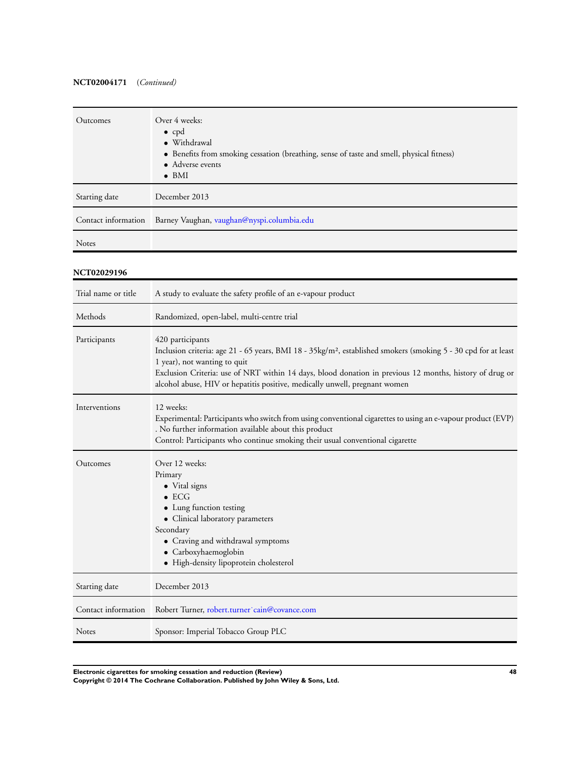# **NCT02004171** (*Continued)*

| <b>Outcomes</b> | Over 4 weeks:<br>$\bullet$ cpd<br>• Withdrawal<br>• Benefits from smoking cessation (breathing, sense of taste and smell, physical fitness)<br>• Adverse events<br>$\bullet$ BMI |
|-----------------|----------------------------------------------------------------------------------------------------------------------------------------------------------------------------------|
| Starting date   | December 2013                                                                                                                                                                    |
|                 | Contact information Barney Vaughan, vaughan@nyspi.columbia.edu                                                                                                                   |

Notes

# **NCT02029196**

| Trial name or title | A study to evaluate the safety profile of an e-vapour product                                                                                                                                                                                                                                                                                                           |
|---------------------|-------------------------------------------------------------------------------------------------------------------------------------------------------------------------------------------------------------------------------------------------------------------------------------------------------------------------------------------------------------------------|
| Methods             | Randomized, open-label, multi-centre trial                                                                                                                                                                                                                                                                                                                              |
| Participants        | 420 participants<br>Inclusion criteria: age 21 - 65 years, BMI 18 - 35kg/m <sup>2</sup> , established smokers (smoking 5 - 30 cpd for at least<br>1 year), not wanting to quit<br>Exclusion Criteria: use of NRT within 14 days, blood donation in previous 12 months, history of drug or<br>alcohol abuse, HIV or hepatitis positive, medically unwell, pregnant women |
| Interventions       | 12 weeks:<br>Experimental: Participants who switch from using conventional cigarettes to using an e-vapour product (EVP)<br>. No further information available about this product<br>Control: Participants who continue smoking their usual conventional cigarette                                                                                                      |
| Outcomes            | Over 12 weeks:<br>Primary<br>• Vital signs<br>$\bullet$ ECG<br>• Lung function testing<br>• Clinical laboratory parameters<br>Secondary<br>• Craving and withdrawal symptoms<br>• Carboxyhaemoglobin<br>• High-density lipoprotein cholesterol                                                                                                                          |
| Starting date       | December 2013                                                                                                                                                                                                                                                                                                                                                           |
| Contact information | Robert Turner, robert.turner cain@covance.com                                                                                                                                                                                                                                                                                                                           |
| Notes               | Sponsor: Imperial Tobacco Group PLC                                                                                                                                                                                                                                                                                                                                     |

**Electronic cigarettes for smoking cessation and reduction (Review) 48 Copyright © 2014 The Cochrane Collaboration. Published by John Wiley & Sons, Ltd.**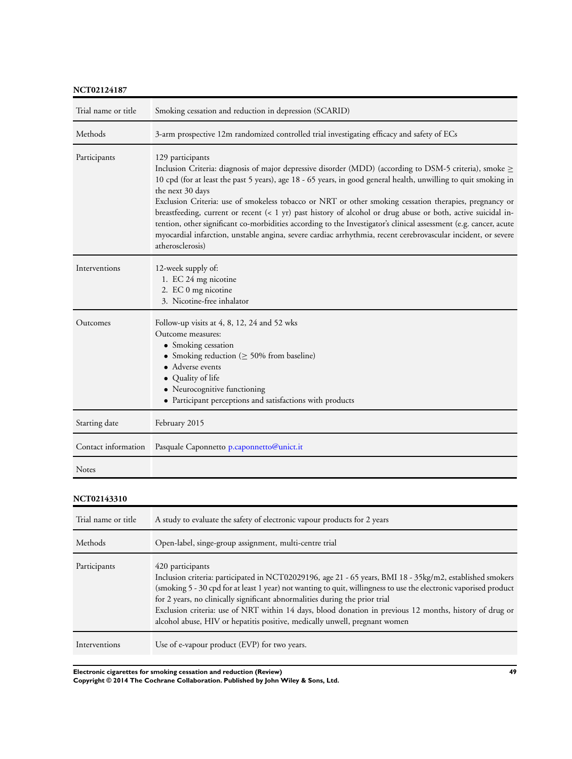# **NCT02124187**

| Trial name or title | Smoking cessation and reduction in depression (SCARID)                                                                                                                                                                                                                                                                                                                                                                                                                                                                                                                                                                                                                                                                                                        |
|---------------------|---------------------------------------------------------------------------------------------------------------------------------------------------------------------------------------------------------------------------------------------------------------------------------------------------------------------------------------------------------------------------------------------------------------------------------------------------------------------------------------------------------------------------------------------------------------------------------------------------------------------------------------------------------------------------------------------------------------------------------------------------------------|
| Methods             | 3-arm prospective 12m randomized controlled trial investigating efficacy and safety of ECs                                                                                                                                                                                                                                                                                                                                                                                                                                                                                                                                                                                                                                                                    |
| Participants        | 129 participants<br>Inclusion Criteria: diagnosis of major depressive disorder (MDD) (according to DSM-5 criteria), smoke $\geq$<br>10 cpd (for at least the past 5 years), age 18 - 65 years, in good general health, unwilling to quit smoking in<br>the next 30 days<br>Exclusion Criteria: use of smokeless tobacco or NRT or other smoking cessation therapies, pregnancy or<br>breastfeeding, current or recent $(< 1$ yr) past history of alcohol or drug abuse or both, active suicidal in-<br>tention, other significant co-morbidities according to the Investigator's clinical assessment (e.g. cancer, acute<br>myocardial infarction, unstable angina, severe cardiac arrhythmia, recent cerebrovascular incident, or severe<br>atherosclerosis) |
| Interventions       | 12-week supply of:<br>1. EC 24 mg nicotine<br>2. EC 0 mg nicotine<br>3. Nicotine-free inhalator                                                                                                                                                                                                                                                                                                                                                                                                                                                                                                                                                                                                                                                               |
| Outcomes            | Follow-up visits at 4, 8, 12, 24 and 52 wks<br>Outcome measures:<br>• Smoking cessation<br>• Smoking reduction ( $\geq$ 50% from baseline)<br>• Adverse events<br>• Quality of life<br>• Neurocognitive functioning<br>• Participant perceptions and satisfactions with products                                                                                                                                                                                                                                                                                                                                                                                                                                                                              |
| Starting date       | February 2015                                                                                                                                                                                                                                                                                                                                                                                                                                                                                                                                                                                                                                                                                                                                                 |
| Contact information | Pasquale Caponnetto p.caponnetto@unict.it                                                                                                                                                                                                                                                                                                                                                                                                                                                                                                                                                                                                                                                                                                                     |
| <b>Notes</b>        |                                                                                                                                                                                                                                                                                                                                                                                                                                                                                                                                                                                                                                                                                                                                                               |

# **NCT02143310**

| Trial name or title | A study to evaluate the safety of electronic vapour products for 2 years                                                                                                                                                                                                                                                                                                                                                                                                                                                   |
|---------------------|----------------------------------------------------------------------------------------------------------------------------------------------------------------------------------------------------------------------------------------------------------------------------------------------------------------------------------------------------------------------------------------------------------------------------------------------------------------------------------------------------------------------------|
| Methods             | Open-label, singe-group assignment, multi-centre trial                                                                                                                                                                                                                                                                                                                                                                                                                                                                     |
| Participants        | 420 participants<br>Inclusion criteria: participated in NCT02029196, age 21 - 65 years, BMI 18 - 35kg/m2, established smokers<br>(smoking 5 - 30 cpd for at least 1 year) not wanting to quit, willingness to use the electronic vaporised product<br>for 2 years, no clinically significant abnormalities during the prior trial<br>Exclusion criteria: use of NRT within 14 days, blood donation in previous 12 months, history of drug or<br>alcohol abuse, HIV or hepatitis positive, medically unwell, pregnant women |
| Interventions       | Use of e-vapour product (EVP) for two years.                                                                                                                                                                                                                                                                                                                                                                                                                                                                               |

**Electronic cigarettes for smoking cessation and reduction (Review) 49**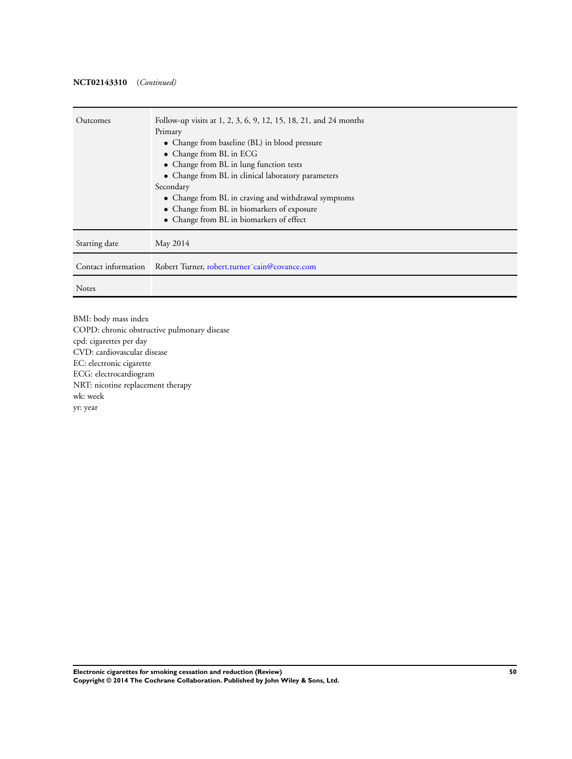# **NCT02143310** (*Continued)*

| Outcomes      | Follow-up visits at 1, 2, 3, 6, 9, 12, 15, 18, 21, and 24 months<br>Primary<br>• Change from baseline (BL) in blood pressure<br>• Change from BL in ECG<br>• Change from BL in lung function tests<br>• Change from BL in clinical laboratory parameters<br>Secondary<br>• Change from BL in craving and withdrawal symptoms<br>• Change from BL in biomarkers of exposure<br>• Change from BL in biomarkers of effect |
|---------------|------------------------------------------------------------------------------------------------------------------------------------------------------------------------------------------------------------------------------------------------------------------------------------------------------------------------------------------------------------------------------------------------------------------------|
| Starting date | May 2014                                                                                                                                                                                                                                                                                                                                                                                                               |
|               | Contact information Robert Turner, robert.turner cain@covance.com                                                                                                                                                                                                                                                                                                                                                      |
| <b>Notes</b>  |                                                                                                                                                                                                                                                                                                                                                                                                                        |

BMI: body mass index COPD: chronic obstructive pulmonary disease cpd: cigarettes per day CVD: cardiovascular disease EC: electronic cigarette ECG: electrocardiogram NRT: nicotine replacement therapy wk: week yr: year

**Electronic cigarettes for smoking cessation and reduction (Review) 50 Copyright © 2014 The Cochrane Collaboration. Published by John Wiley & Sons, Ltd.**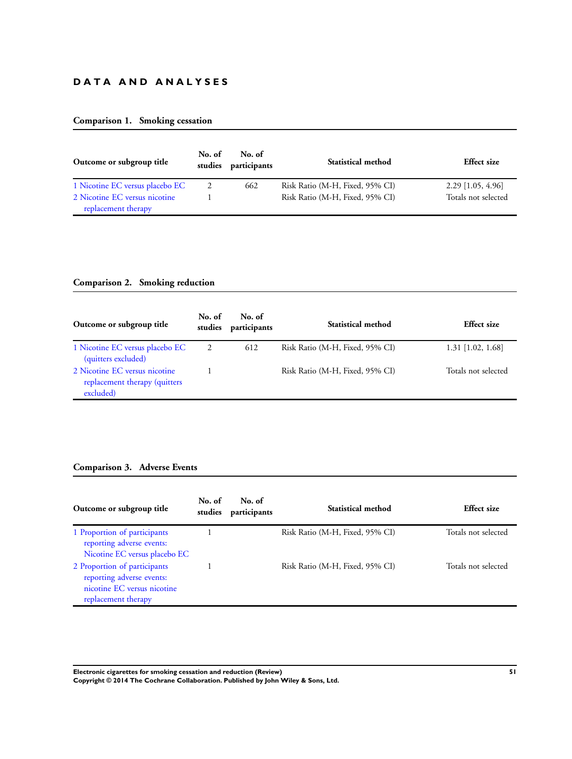# **D A T A A N D A N A L Y S E S**

# **Comparison 1. Smoking cessation**

| Outcome or subgroup title                            | No. of<br>studies | No. of<br>participants | <b>Statistical method</b>       | Effect size         |
|------------------------------------------------------|-------------------|------------------------|---------------------------------|---------------------|
| 1 Nicotine EC versus placebo EC                      |                   | 662                    | Risk Ratio (M-H, Fixed, 95% CI) | $2.29$ [1.05, 4.96] |
| 2 Nicotine EC versus nicotine<br>replacement therapy |                   |                        | Risk Ratio (M-H, Fixed, 95% CI) | Totals not selected |

# **Comparison 2. Smoking reduction**

| Outcome or subgroup title                                                   | No. of<br>studies | No. of<br>participants | Statistical method              | Effect size         |
|-----------------------------------------------------------------------------|-------------------|------------------------|---------------------------------|---------------------|
| 1 Nicotine EC versus placebo EC<br>(quitters excluded)                      |                   | 612                    | Risk Ratio (M-H, Fixed, 95% CI) | $1.31$ [1.02, 1.68] |
| 2 Nicotine EC versus nicotine<br>replacement therapy (quitters<br>excluded) |                   |                        | Risk Ratio (M-H, Fixed, 95% CI) | Totals not selected |

# **Comparison 3. Adverse Events**

| Outcome or subgroup title                                                                                       | No. of<br>studies | No. of<br>participants | Statistical method              | <b>Effect size</b>  |
|-----------------------------------------------------------------------------------------------------------------|-------------------|------------------------|---------------------------------|---------------------|
| 1 Proportion of participants<br>reporting adverse events:<br>Nicotine EC versus placebo EC                      |                   |                        | Risk Ratio (M-H, Fixed, 95% CI) | Totals not selected |
| 2 Proportion of participants<br>reporting adverse events:<br>nicotine EC versus nicotine<br>replacement therapy |                   |                        | Risk Ratio (M-H, Fixed, 95% CI) | Totals not selected |

**Electronic cigarettes for smoking cessation and reduction (Review) 51**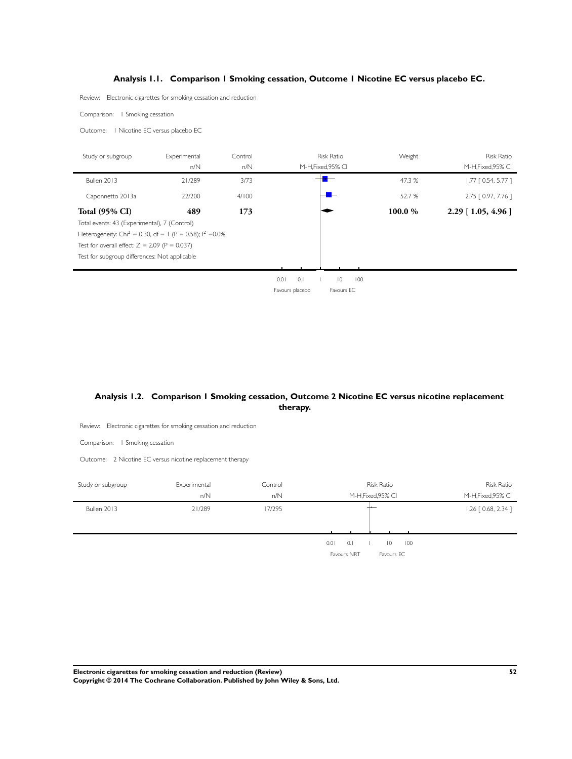# **Analysis 1.1. Comparison 1 Smoking cessation, Outcome 1 Nicotine EC versus placebo EC.**

<span id="page-53-0"></span>Review: Electronic cigarettes for smoking cessation and reduction

Comparison: 1 Smoking cessation

Outcome: 1 Nicotine EC versus placebo EC

| Study or subgroup                                                      | Experimental | Control |             | <b>Risk Ratio</b>     | Weight | <b>Risk Ratio</b>     |
|------------------------------------------------------------------------|--------------|---------|-------------|-----------------------|--------|-----------------------|
|                                                                        | n/N          | n/N     |             | M-H, Fixed, 95% CI    |        | M-H, Fixed, 95% CI    |
| Bullen 2013                                                            | 21/289       | 3/73    |             |                       | 47.3 % | $1.77$ $[0.54, 5.77]$ |
| Caponnetto 2013a                                                       | 22/200       | 4/100   |             |                       | 52.7 % | 2.75 [ 0.97, 7.76 ]   |
| <b>Total (95% CI)</b>                                                  | 489          | 173     |             |                       | 100.0% | $2.29$ [ 1.05, 4.96 ] |
| Total events: 43 (Experimental), 7 (Control)                           |              |         |             |                       |        |                       |
| Heterogeneity: Chi <sup>2</sup> = 0.30, df = 1 (P = 0.58); $1^2$ =0.0% |              |         |             |                       |        |                       |
| Test for overall effect: $Z = 2.09$ (P = 0.037)                        |              |         |             |                       |        |                       |
| Test for subgroup differences: Not applicable                          |              |         |             |                       |        |                       |
|                                                                        |              |         |             |                       |        |                       |
|                                                                        |              |         | 0.1<br>0.01 | 100<br>$\overline{0}$ |        |                       |

Favours placebo Favours EC

# **Analysis 1.2. Comparison 1 Smoking cessation, Outcome 2 Nicotine EC versus nicotine replacement therapy.**

Review: Electronic cigarettes for smoking cessation and reduction

Comparison: 1 Smoking cessation

Outcome: 2 Nicotine EC versus nicotine replacement therapy

| Study or subgroup | Experimental<br>n/N | Control<br>n/N |                            | <b>Risk Ratio</b><br>M-H, Fixed, 95% CI | <b>Risk Ratio</b><br>M-H, Fixed, 95% CI |
|-------------------|---------------------|----------------|----------------------------|-----------------------------------------|-----------------------------------------|
| Bullen 2013       | 21/289              | 17/295         |                            | --                                      | $1.26$ $[0.68, 2.34]$                   |
|                   |                     |                | 0.01<br>0.1<br>Favours NRT | 100<br>$\overline{0}$<br>Favours EC     |                                         |

**Electronic cigarettes for smoking cessation and reduction (Review) 52 Copyright © 2014 The Cochrane Collaboration. Published by John Wiley & Sons, Ltd.**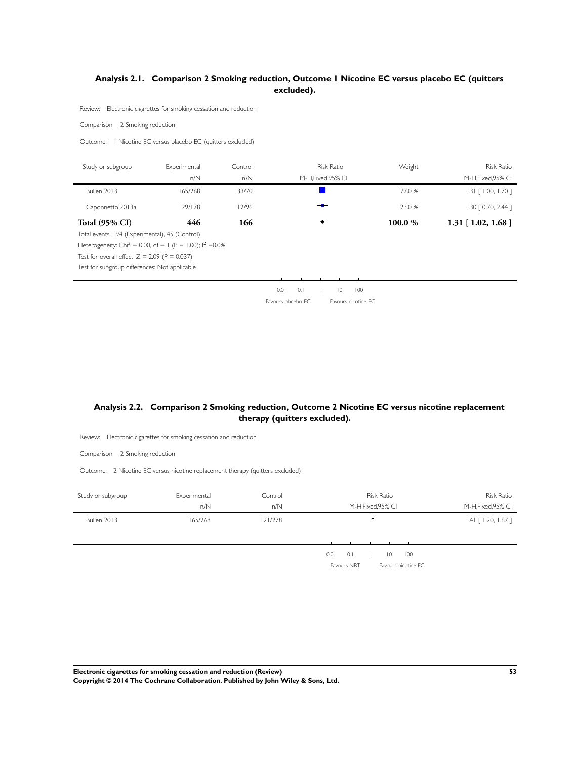# <span id="page-54-0"></span>**Analysis 2.1. Comparison 2 Smoking reduction, Outcome 1 Nicotine EC versus placebo EC (quitters excluded).**

Review: Electronic cigarettes for smoking cessation and reduction

## Comparison: 2 Smoking reduction

Outcome: 1 Nicotine EC versus placebo EC (quitters excluded)

| Study or subgroup                                                      | Experimental<br>n/N | Control<br>n/N |      |     | <b>Risk Ratio</b><br>M-H.Fixed.95% CI |     | Weight | <b>Risk Ratio</b><br>M-H, Fixed, 95% CI |
|------------------------------------------------------------------------|---------------------|----------------|------|-----|---------------------------------------|-----|--------|-----------------------------------------|
| Bullen 2013                                                            | 165/268             | 33/70          |      |     |                                       |     | 77.0 % | $1.31$ $[ 1.00, 1.70 ]$                 |
| Caponnetto 2013a                                                       | 29/178              | 12/96          |      |     |                                       |     | 23.0 % | 1.30 [ 0.70, 2.44 ]                     |
| <b>Total (95% CI)</b>                                                  | 446                 | 166            |      |     |                                       |     | 100.0% | $1.31$ [ 1.02, 1.68 ]                   |
| Total events: 194 (Experimental), 45 (Control)                         |                     |                |      |     |                                       |     |        |                                         |
| Heterogeneity: Chi <sup>2</sup> = 0.00, df = 1 (P = 1.00); $1^2$ =0.0% |                     |                |      |     |                                       |     |        |                                         |
| Test for overall effect: $Z = 2.09$ (P = 0.037)                        |                     |                |      |     |                                       |     |        |                                         |
| Test for subgroup differences: Not applicable                          |                     |                |      |     |                                       |     |        |                                         |
|                                                                        |                     |                |      |     |                                       |     |        |                                         |
|                                                                        |                     |                | 0.01 | 0.1 | $ 0\rangle$                           | 100 |        |                                         |

Favours placebo EC Favours nicotine EC

# **Analysis 2.2. Comparison 2 Smoking reduction, Outcome 2 Nicotine EC versus nicotine replacement therapy (quitters excluded).**

Review: Electronic cigarettes for smoking cessation and reduction

Comparison: 2 Smoking reduction

l.

Outcome: 2 Nicotine EC versus nicotine replacement therapy (quitters excluded)

| Study or subgroup | Experimental<br>n/N | Control<br>n/N | <b>Risk Ratio</b><br>M-H,Fixed,95% Cl |            |                         | Risk Ratio<br>M-H,Fixed,95% CI |  |
|-------------------|---------------------|----------------|---------------------------------------|------------|-------------------------|--------------------------------|--|
| Bullen 2013       | 165/268             | 121/278        | <b>+</b>                              |            | $1.41$ $[ 1.20, 1.67 ]$ |                                |  |
|                   |                     |                | 0.01                                  | $\Omega$ . |                         | 100                            |  |

Favours NRT Favours nicotine EC

**Electronic cigarettes for smoking cessation and reduction (Review) 53 Copyright © 2014 The Cochrane Collaboration. Published by John Wiley & Sons, Ltd.**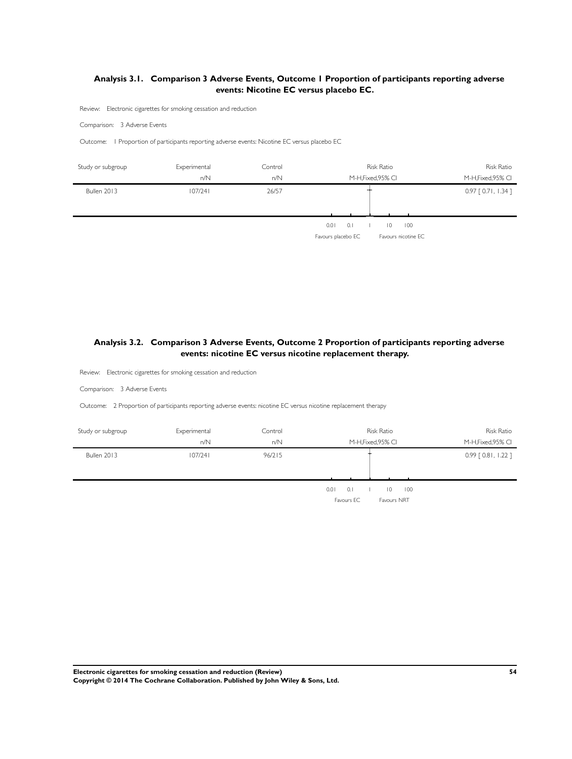# <span id="page-55-0"></span>**Analysis 3.1. Comparison 3 Adverse Events, Outcome 1 Proportion of participants reporting adverse events: Nicotine EC versus placebo EC.**

Review: Electronic cigarettes for smoking cessation and reduction

Comparison: 3 Adverse Events

Outcome: 1 Proportion of participants reporting adverse events: Nicotine EC versus placebo EC



# **Analysis 3.2. Comparison 3 Adverse Events, Outcome 2 Proportion of participants reporting adverse events: nicotine EC versus nicotine replacement therapy.**

Review: Electronic cigarettes for smoking cessation and reduction

Comparison: 3 Adverse Events

Outcome: 2 Proportion of participants reporting adverse events: nicotine EC versus nicotine replacement therapy

| Study or subgroup | Experimental<br>n/N | Control<br>n/N | M-H, Fixed, 95% CI        | Risk Ratio<br>M-H, Fixed, 95% CI     |                       |
|-------------------|---------------------|----------------|---------------------------|--------------------------------------|-----------------------|
| Bullen 2013       | 107/241             | 96/215         |                           |                                      | $0.99$ [ 0.81, 1.22 ] |
|                   |                     |                | 0.01<br>0.1<br>Favours EC | 100<br>$\overline{0}$<br>Favours NRT |                       |

**Electronic cigarettes for smoking cessation and reduction (Review) 54 Copyright © 2014 The Cochrane Collaboration. Published by John Wiley & Sons, Ltd.**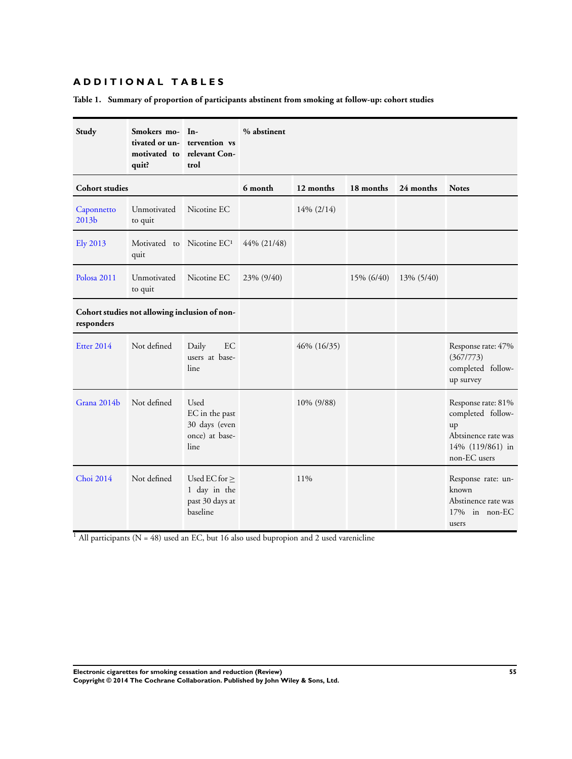# <span id="page-56-0"></span>**A D D I T I O N A L T A B L E S**

**Table 1. Summary of proportion of participants abstinent from smoking at follow-up: cohort studies**

| Study                                                       | Smokers mo- In-<br>tivated or un-<br>motivated to<br>quit? | tervention vs<br>relevant Con-<br>trol                            | % abstinent |             |            |            |                                                                                                          |
|-------------------------------------------------------------|------------------------------------------------------------|-------------------------------------------------------------------|-------------|-------------|------------|------------|----------------------------------------------------------------------------------------------------------|
| <b>Cohort</b> studies                                       |                                                            |                                                                   | 6 month     | 12 months   | 18 months  | 24 months  | <b>Notes</b>                                                                                             |
| Caponnetto<br>2013b                                         | Unmotivated<br>to quit                                     | Nicotine EC                                                       |             | 14% (2/14)  |            |            |                                                                                                          |
| <b>Ely 2013</b>                                             | Motivated to Nicotine EC <sup>1</sup><br>quit              |                                                                   | 44% (21/48) |             |            |            |                                                                                                          |
| Polosa 2011                                                 | Unmotivated<br>to quit                                     | Nicotine EC                                                       | 23% (9/40)  |             | 15% (6/40) | 13% (5/40) |                                                                                                          |
| Cohort studies not allowing inclusion of non-<br>responders |                                                            |                                                                   |             |             |            |            |                                                                                                          |
| Etter 2014                                                  | Not defined                                                | Daily<br>EC<br>users at base-<br>line                             |             | 46% (16/35) |            |            | Response rate: 47%<br>(367/773)<br>completed follow-<br>up survey                                        |
| Grana 2014b                                                 | Not defined                                                | Used<br>EC in the past<br>30 days (even<br>once) at base-<br>line |             | 10% (9/88)  |            |            | Response rate: 81%<br>completed follow-<br>up<br>Abtsinence rate was<br>14% (119/861) in<br>non-EC users |
| Choi 2014                                                   | Not defined                                                | Used EC for $\geq$<br>1 day in the<br>past 30 days at<br>baseline |             | 11%         |            |            | Response rate: un-<br>known<br>Abstinence rate was<br>17% in non-EC<br>users                             |

<sup>1</sup> All participants (N = 48) used an EC, but 16 also used bupropion and 2 used varenicline

**Electronic cigarettes for smoking cessation and reduction (Review) 55 Copyright © 2014 The Cochrane Collaboration. Published by John Wiley & Sons, Ltd.**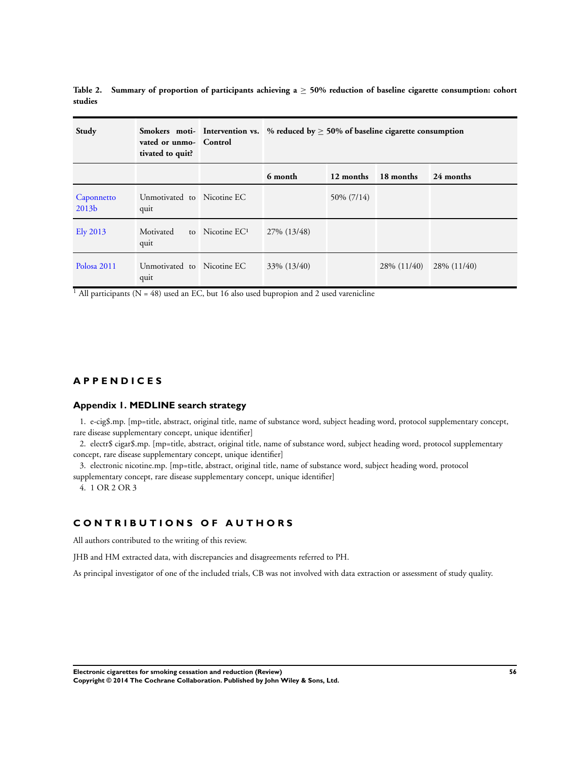<span id="page-57-0"></span>**Table 2. Summary of proportion of participants achieving a** ≥ **50% reduction of baseline cigarette consumption: cohort studies**

| Study                           | vated or unmo- Control<br>tivated to quit? |                   | Smokers moti- Intervention vs. % reduced by $\geq$ 50% of baseline cigarette consumption |             |              |              |  |  |
|---------------------------------|--------------------------------------------|-------------------|------------------------------------------------------------------------------------------|-------------|--------------|--------------|--|--|
|                                 |                                            |                   | 6 month                                                                                  | 12 months   | 18 months    | 24 months    |  |  |
| Caponnetto<br>2013 <sub>b</sub> | Unmotivated to Nicotine EC<br>quit         |                   |                                                                                          | 50\% (7/14) |              |              |  |  |
| <b>Ely 2013</b>                 | Motivated<br>quit                          | to Nicotine $EC1$ | 27% (13/48)                                                                              |             |              |              |  |  |
| Polosa 2011                     | Unmotivated to Nicotine EC<br>quit         |                   | 33% (13/40)                                                                              |             | 28\% (11/40) | 28\% (11/40) |  |  |

 $\frac{1}{1}$  All participants (N = 48) used an EC, but 16 also used bupropion and 2 used varenicline

# **A P P E N D I C E S**

## **Appendix 1. MEDLINE search strategy**

1. e-cig\$.mp. [mp=title, abstract, original title, name of substance word, subject heading word, protocol supplementary concept, rare disease supplementary concept, unique identifier]

2. electr\$ cigar\$.mp. [mp=title, abstract, original title, name of substance word, subject heading word, protocol supplementary concept, rare disease supplementary concept, unique identifier]

3. electronic nicotine.mp. [mp=title, abstract, original title, name of substance word, subject heading word, protocol

supplementary concept, rare disease supplementary concept, unique identifier]

4. 1 OR 2 OR 3

# **C O N T R I B U T I O N S O F A U T H O R S**

All authors contributed to the writing of this review.

JHB and HM extracted data, with discrepancies and disagreements referred to PH.

As principal investigator of one of the included trials, CB was not involved with data extraction or assessment of study quality.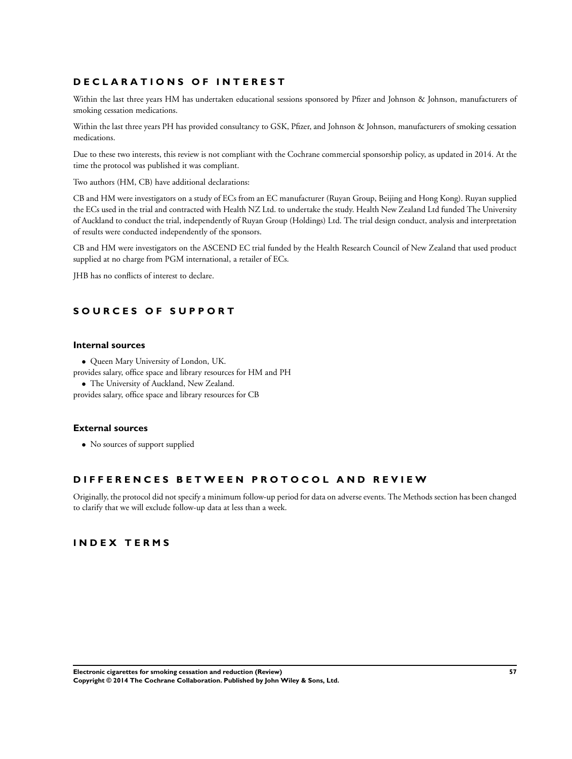# **D E C L A R A T I O N S O F I N T E R E S T**

Within the last three years HM has undertaken educational sessions sponsored by Pfizer and Johnson & Johnson, manufacturers of smoking cessation medications.

Within the last three years PH has provided consultancy to GSK, Pfizer, and Johnson & Johnson, manufacturers of smoking cessation medications.

Due to these two interests, this review is not compliant with the Cochrane commercial sponsorship policy, as updated in 2014. At the time the protocol was published it was compliant.

Two authors (HM, CB) have additional declarations:

CB and HM were investigators on a study of ECs from an EC manufacturer (Ruyan Group, Beijing and Hong Kong). Ruyan supplied the ECs used in the trial and contracted with Health NZ Ltd. to undertake the study. Health New Zealand Ltd funded The University of Auckland to conduct the trial, independently of Ruyan Group (Holdings) Ltd. The trial design conduct, analysis and interpretation of results were conducted independently of the sponsors.

CB and HM were investigators on the ASCEND EC trial funded by the Health Research Council of New Zealand that used product supplied at no charge from PGM international, a retailer of ECs.

JHB has no conflicts of interest to declare.

# **S O U R C E S O F S U P P O R T**

## **Internal sources**

- Queen Mary University of London, UK.
- provides salary, office space and library resources for HM and PH
- The University of Auckland, New Zealand.

provides salary, office space and library resources for CB

## **External sources**

• No sources of support supplied

# **DIFFERENCES BETWEEN PROTOCOL AND REVIEW**

Originally, the protocol did not specify a minimum follow-up period for data on adverse events. The Methods section has been changed to clarify that we will exclude follow-up data at less than a week.

# **I N D E X T E R M S**